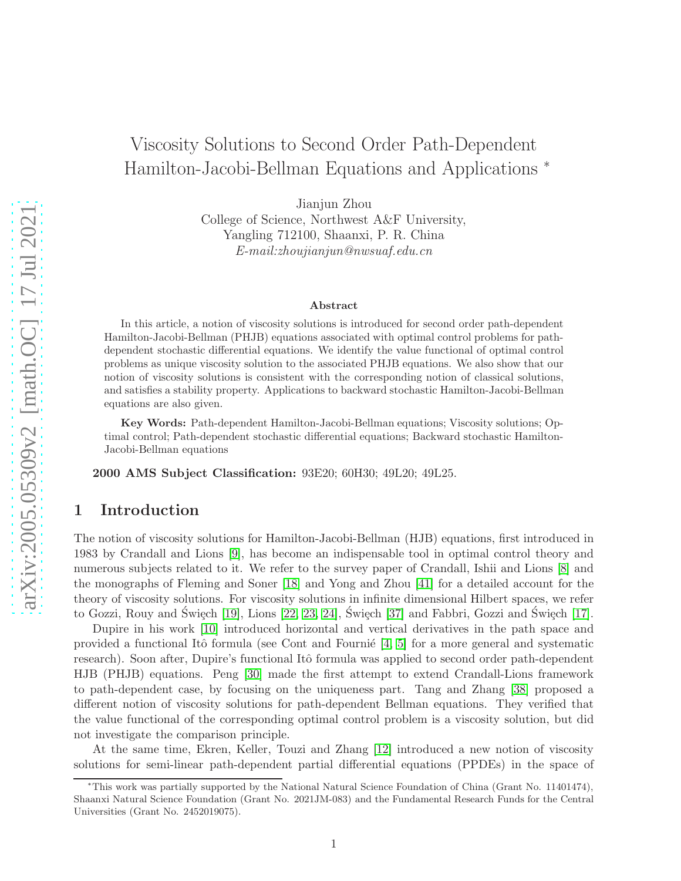# Viscosity Solutions to Second Order Path-Dependent Hamilton-Jacobi-Bellman Equations and Applications <sup>∗</sup>

Jianjun Zhou

College of Science, Northwest A&F University, Yangling 712100, Shaanxi, P. R. China *E-mail:zhoujianjun@nwsuaf.edu.cn*

#### Abstract

In this article, a notion of viscosity solutions is introduced for second order path-dependent Hamilton-Jacobi-Bellman (PHJB) equations associated with optimal control problems for pathdependent stochastic differential equations. We identify the value functional of optimal control problems as unique viscosity solution to the associated PHJB equations. We also show that our notion of viscosity solutions is consistent with the corresponding notion of classical solutions, and satisfies a stability property. Applications to backward stochastic Hamilton-Jacobi-Bellman equations are also given.

Key Words: Path-dependent Hamilton-Jacobi-Bellman equations; Viscosity solutions; Optimal control; Path-dependent stochastic differential equations; Backward stochastic Hamilton-Jacobi-Bellman equations

2000 AMS Subject Classification: 93E20; 60H30; 49L20; 49L25.

# 1 Introduction

The notion of viscosity solutions for Hamilton-Jacobi-Bellman (HJB) equations, first introduced in 1983 by Crandall and Lions [\[9\]](#page-41-0), has become an indispensable tool in optimal control theory and numerous subjects related to it. We refer to the survey paper of Crandall, Ishii and Lions [\[8\]](#page-41-1) and the monographs of Fleming and Soner [\[18\]](#page-41-2) and Yong and Zhou [\[41\]](#page-43-0) for a detailed account for the theory of viscosity solutions. For viscosity solutions in infinite dimensional Hilbert spaces, we refer to Gozzi, Rouy and Święch  $[19]$ , Lions  $[22, 23, 24]$  $[22, 23, 24]$  $[22, 23, 24]$ , Święch  $[37]$  and Fabbri, Gozzi and Święch  $[17]$ .

Dupire in his work [\[10\]](#page-41-6) introduced horizontal and vertical derivatives in the path space and provided a functional Itô formula (see Cont and Fournie  $[4, 5]$  $[4, 5]$  for a more general and systematic research). Soon after, Dupire's functional Itô formula was applied to second order path-dependent HJB (PHJB) equations. Peng [\[30\]](#page-42-3) made the first attempt to extend Crandall-Lions framework to path-dependent case, by focusing on the uniqueness part. Tang and Zhang [\[38\]](#page-42-4) proposed a different notion of viscosity solutions for path-dependent Bellman equations. They verified that the value functional of the corresponding optimal control problem is a viscosity solution, but did not investigate the comparison principle.

At the same time, Ekren, Keller, Touzi and Zhang [\[12\]](#page-41-8) introduced a new notion of viscosity solutions for semi-linear path-dependent partial differential equations (PPDEs) in the space of

<sup>∗</sup>This work was partially supported by the National Natural Science Foundation of China (Grant No. 11401474), Shaanxi Natural Science Foundation (Grant No. 2021JM-083) and the Fundamental Research Funds for the Central Universities (Grant No. 2452019075).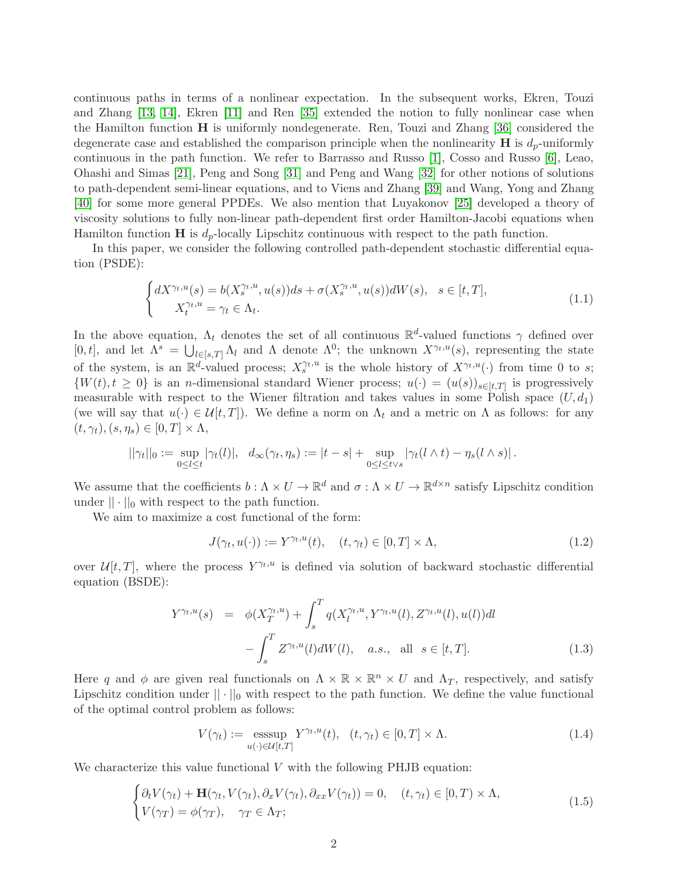continuous paths in terms of a nonlinear expectation. In the subsequent works, Ekren, Touzi and Zhang [\[13,](#page-41-9) [14\]](#page-41-10), Ekren [\[11\]](#page-41-11) and Ren [\[35\]](#page-42-5) extended the notion to fully nonlinear case when the Hamilton function H is uniformly nondegenerate. Ren, Touzi and Zhang [\[36\]](#page-42-6) considered the degenerate case and established the comparison principle when the nonlinearity  $\bf{H}$  is  $d_p$ -uniformly continuous in the path function. We refer to Barrasso and Russo [\[1\]](#page-40-1), Cosso and Russo [\[6\]](#page-41-12), Leao, Ohashi and Simas [\[21\]](#page-41-13), Peng and Song [\[31\]](#page-42-7) and Peng and Wang [\[32\]](#page-42-8) for other notions of solutions to path-dependent semi-linear equations, and to Viens and Zhang [\[39\]](#page-42-9) and Wang, Yong and Zhang [\[40\]](#page-42-10) for some more general PPDEs. We also mention that Luyakonov [\[25\]](#page-42-11) developed a theory of viscosity solutions to fully non-linear path-dependent first order Hamilton-Jacobi equations when Hamilton function  $\bf{H}$  is  $d_p$ -locally Lipschitz continuous with respect to the path function.

In this paper, we consider the following controlled path-dependent stochastic differential equation (PSDE):

$$
\begin{cases} dX^{\gamma_t, u}(s) = b(X_s^{\gamma_t, u}, u(s))ds + \sigma(X_s^{\gamma_t, u}, u(s))dW(s), & s \in [t, T],\\ X_t^{\gamma_t, u} = \gamma_t \in \Lambda_t. \end{cases}
$$
\n(1.1)

In the above equation,  $\Lambda_t$  denotes the set of all continuous  $\mathbb{R}^d$ -valued functions  $\gamma$  defined over [0, t], and let  $\Lambda^s = \bigcup_{l \in [s,T]} \Lambda_l$  and  $\Lambda$  denote  $\Lambda^0$ ; the unknown  $X^{\gamma_t,u}(s)$ , representing the state of the system, is an  $\mathbb{R}^d$ -valued process;  $X_s^{\gamma_t,u}$  is the whole history of  $X^{\gamma_t,u}(\cdot)$  from time 0 to s;  $\{W(t), t \geq 0\}$  is an *n*-dimensional standard Wiener process;  $u(\cdot) = (u(s))_{s \in [t,T]}$  is progressively measurable with respect to the Wiener filtration and takes values in some Polish space  $(U, d_1)$ (we will say that  $u(\cdot) \in \mathcal{U}[t,T]$ ). We define a norm on  $\Lambda_t$  and a metric on  $\Lambda$  as follows: for any  $(t, \gamma_t), (s, \eta_s) \in [0, T] \times \Lambda,$ 

$$
||\gamma_t||_0 := \sup_{0 \leq l \leq t} |\gamma_t(l)|, d_{\infty}(\gamma_t, \eta_s) := |t - s| + \sup_{0 \leq l \leq t \vee s} |\gamma_t(l \wedge t) - \eta_s(l \wedge s)|.
$$

We assume that the coefficients  $b: \Lambda \times U \to \mathbb{R}^d$  and  $\sigma: \Lambda \times U \to \mathbb{R}^{d \times n}$  satisfy Lipschitz condition under  $|| \cdot ||_0$  with respect to the path function.

We aim to maximize a cost functional of the form:

$$
J(\gamma_t, u(\cdot)) := Y^{\gamma_t, u}(t), \quad (t, \gamma_t) \in [0, T] \times \Lambda,
$$
\n(1.2)

over  $\mathcal{U}[t,T]$ , where the process  $Y^{\gamma_t,u}$  is defined via solution of backward stochastic differential equation (BSDE):

$$
Y^{\gamma_t, u}(s) = \phi(X_T^{\gamma_t, u}) + \int_s^T q(X_l^{\gamma_t, u}, Y^{\gamma_t, u}(l), Z^{\gamma_t, u}(l), u(l))dl - \int_s^T Z^{\gamma_t, u}(l)dW(l), \quad a.s., \text{ all } s \in [t, T].
$$
 (1.3)

Here q and  $\phi$  are given real functionals on  $\Lambda \times \mathbb{R} \times \mathbb{R}^n \times U$  and  $\Lambda_T$ , respectively, and satisfy Lipschitz condition under  $|| \cdot ||_0$  with respect to the path function. We define the value functional of the optimal control problem as follows:

$$
V(\gamma_t) := \underset{u(\cdot) \in \mathcal{U}[t,T]}{\operatorname{esssup}} Y^{\gamma_t, u}(t), \quad (t, \gamma_t) \in [0, T] \times \Lambda. \tag{1.4}
$$

We characterize this value functional  $V$  with the following PHJB equation:

$$
\begin{cases}\n\partial_t V(\gamma_t) + \mathbf{H}(\gamma_t, V(\gamma_t), \partial_x V(\gamma_t), \partial_{xx} V(\gamma_t)) = 0, & (t, \gamma_t) \in [0, T) \times \Lambda, \\
V(\gamma_T) = \phi(\gamma_T), & \gamma_T \in \Lambda_T;\n\end{cases}
$$
\n(1.5)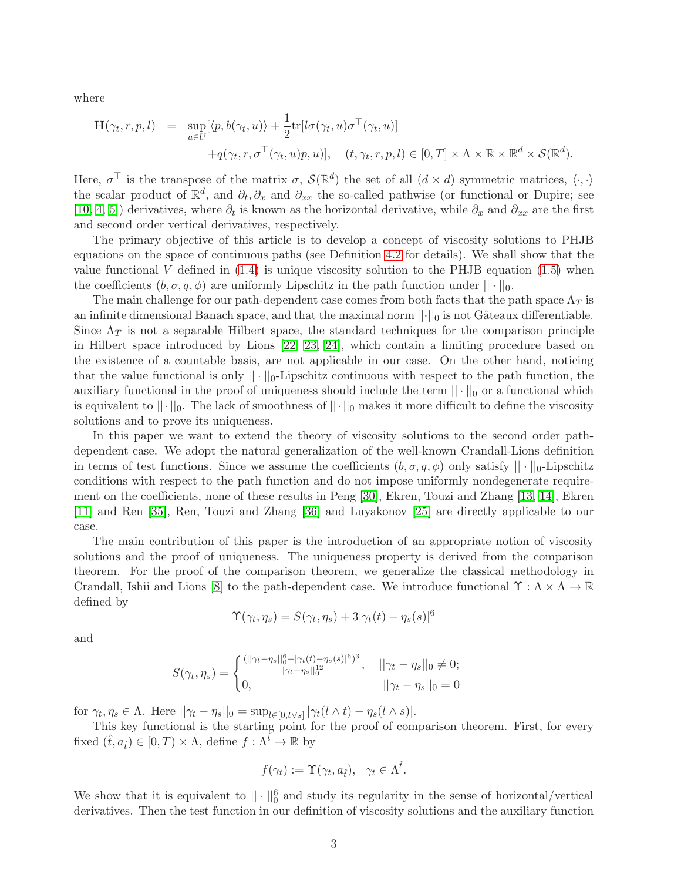where

$$
\mathbf{H}(\gamma_t, r, p, l) = \sup_{u \in U} [\langle p, b(\gamma_t, u) \rangle + \frac{1}{2} \text{tr}[l\sigma(\gamma_t, u)\sigma^\top(\gamma_t, u)] \n+ q(\gamma_t, r, \sigma^\top(\gamma_t, u)p, u)], \quad (t, \gamma_t, r, p, l) \in [0, T] \times \Lambda \times \mathbb{R} \times \mathbb{R}^d \times \mathcal{S}(\mathbb{R}^d).
$$

Here,  $\sigma^{\top}$  is the transpose of the matrix  $\sigma$ ,  $\mathcal{S}(\mathbb{R}^d)$  the set of all  $(d \times d)$  symmetric matrices,  $\langle \cdot, \cdot \rangle$ the scalar product of  $\mathbb{R}^d$ , and  $\partial_t$ ,  $\partial_x$  and  $\partial_{xx}$  the so-called pathwise (or functional or Dupire; see [\[10,](#page-41-6) [4,](#page-40-0) [5\]](#page-41-7)) derivatives, where  $\partial_t$  is known as the horizontal derivative, while  $\partial_x$  and  $\partial_{xx}$  are the first and second order vertical derivatives, respectively.

The primary objective of this article is to develop a concept of viscosity solutions to PHJB equations on the space of continuous paths (see Definition [4.2](#page-13-0) for details). We shall show that the value functional V defined in  $(1.4)$  is unique viscosity solution to the PHJB equation  $(1.5)$  when the coefficients  $(b, \sigma, q, \phi)$  are uniformly Lipschitz in the path function under  $|| \cdot ||_0$ .

The main challenge for our path-dependent case comes from both facts that the path space  $\Lambda_T$  is an infinite dimensional Banach space, and that the maximal norm  $\|\cdot\|_0$  is not Gâteaux differentiable. Since  $\Lambda_T$  is not a separable Hilbert space, the standard techniques for the comparison principle in Hilbert space introduced by Lions [\[22,](#page-41-4) [23,](#page-42-0) [24\]](#page-42-1), which contain a limiting procedure based on the existence of a countable basis, are not applicable in our case. On the other hand, noticing that the value functional is only  $||\cdot||_0$ -Lipschitz continuous with respect to the path function, the auxiliary functional in the proof of uniqueness should include the term  $|| \cdot ||_0$  or a functional which is equivalent to  $||\cdot||_0$ . The lack of smoothness of  $||\cdot||_0$  makes it more difficult to define the viscosity solutions and to prove its uniqueness.

In this paper we want to extend the theory of viscosity solutions to the second order pathdependent case. We adopt the natural generalization of the well-known Crandall-Lions definition in terms of test functions. Since we assume the coefficients  $(b, \sigma, q, \phi)$  only satisfy  $|| \cdot ||_0$ -Lipschitz conditions with respect to the path function and do not impose uniformly nondegenerate requirement on the coefficients, none of these results in Peng [\[30\]](#page-42-3), Ekren, Touzi and Zhang [\[13,](#page-41-9) [14\]](#page-41-10), Ekren [\[11\]](#page-41-11) and Ren [\[35\]](#page-42-5), Ren, Touzi and Zhang [\[36\]](#page-42-6) and Luyakonov [\[25\]](#page-42-11) are directly applicable to our case.

The main contribution of this paper is the introduction of an appropriate notion of viscosity solutions and the proof of uniqueness. The uniqueness property is derived from the comparison theorem. For the proof of the comparison theorem, we generalize the classical methodology in Crandall, Ishii and Lions [\[8\]](#page-41-1) to the path-dependent case. We introduce functional  $\Upsilon : \Lambda \times \Lambda \to \mathbb{R}$ defined by

$$
\Upsilon(\gamma_t, \eta_s) = S(\gamma_t, \eta_s) + 3|\gamma_t(t) - \eta_s(s)|^6
$$

and

$$
S(\gamma_t, \eta_s) = \begin{cases} \frac{(||\gamma_t - \eta_s||_0^6 - |\gamma_t(t) - \eta_s(s)|^6)^3}{||\gamma_t - \eta_s||_0^2}, & ||\gamma_t - \eta_s||_0 \neq 0; \\ 0, & ||\gamma_t - \eta_s||_0 = 0 \end{cases}
$$

for  $\gamma_t, \eta_s \in \Lambda$ . Here  $||\gamma_t - \eta_s||_0 = \sup_{l \in [0, t \vee s]} |\gamma_t(l \wedge t) - \eta_s(l \wedge s)|$ .

This key functional is the starting point for the proof of comparison theorem. First, for every fixed  $(\hat{t}, a_{\hat{t}}) \in [0, T) \times \Lambda$ , define  $f : \Lambda^{\hat{t}} \to \mathbb{R}$  by

$$
f(\gamma_t) := \Upsilon(\gamma_t, a_{\hat{t}}), \ \ \gamma_t \in \Lambda^{\hat{t}}.
$$

We show that it is equivalent to  $|| \cdot ||_0^6$  and study its regularity in the sense of horizontal/vertical derivatives. Then the test function in our definition of viscosity solutions and the auxiliary function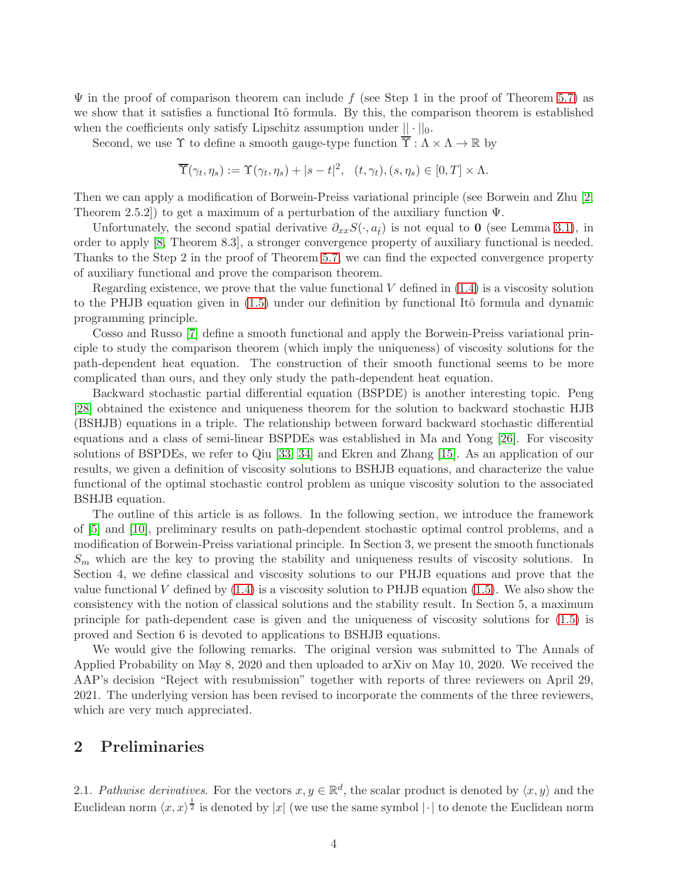$\Psi$  in the proof of comparison theorem can include f (see Step 1 in the proof of Theorem [5.7\)](#page-23-0) as we show that it satisfies a functional Itô formula. By this, the comparison theorem is established when the coefficients only satisfy Lipschitz assumption under  $|| \cdot ||_0$ .

Second, we use  $\Upsilon$  to define a smooth gauge-type function  $\overline{\Upsilon} : \Lambda \times \Lambda \to \mathbb{R}$  by

$$
\overline{\Upsilon}(\gamma_t, \eta_s) := \Upsilon(\gamma_t, \eta_s) + |s - t|^2, \quad (t, \gamma_t), (s, \eta_s) \in [0, T] \times \Lambda.
$$

Then we can apply a modification of Borwein-Preiss variational principle (see Borwein and Zhu [\[2,](#page-40-2) Theorem 2.5.2]) to get a maximum of a perturbation of the auxiliary function Ψ.

Unfortunately, the second spatial derivative  $\partial_{xx}S(\cdot, a_{\hat{t}})$  is not equal to 0 (see Lemma [3.1\)](#page-8-0), in order to apply [\[8,](#page-41-1) Theorem 8.3], a stronger convergence property of auxiliary functional is needed. Thanks to the Step 2 in the proof of Theorem [5.7,](#page-23-0) we can find the expected convergence property of auxiliary functional and prove the comparison theorem.

Regarding existence, we prove that the value functional  $V$  defined in  $(1.4)$  is a viscosity solution to the PHJB equation given in  $(1.5)$  under our definition by functional Itô formula and dynamic programming principle.

Cosso and Russo [\[7\]](#page-41-14) define a smooth functional and apply the Borwein-Preiss variational principle to study the comparison theorem (which imply the uniqueness) of viscosity solutions for the path-dependent heat equation. The construction of their smooth functional seems to be more complicated than ours, and they only study the path-dependent heat equation.

Backward stochastic partial differential equation (BSPDE) is another interesting topic. Peng [\[28\]](#page-42-12) obtained the existence and uniqueness theorem for the solution to backward stochastic HJB (BSHJB) equations in a triple. The relationship between forward backward stochastic differential equations and a class of semi-linear BSPDEs was established in Ma and Yong [\[26\]](#page-42-13). For viscosity solutions of BSPDEs, we refer to Qiu [\[33,](#page-42-14) [34\]](#page-42-15) and Ekren and Zhang [\[15\]](#page-41-15). As an application of our results, we given a definition of viscosity solutions to BSHJB equations, and characterize the value functional of the optimal stochastic control problem as unique viscosity solution to the associated BSHJB equation.

The outline of this article is as follows. In the following section, we introduce the framework of [\[5\]](#page-41-7) and [\[10\]](#page-41-6), preliminary results on path-dependent stochastic optimal control problems, and a modification of Borwein-Preiss variational principle. In Section 3, we present the smooth functionals  $S_m$  which are the key to proving the stability and uniqueness results of viscosity solutions. In Section 4, we define classical and viscosity solutions to our PHJB equations and prove that the value functional V defined by  $(1.4)$  is a viscosity solution to PHJB equation  $(1.5)$ . We also show the consistency with the notion of classical solutions and the stability result. In Section 5, a maximum principle for path-dependent case is given and the uniqueness of viscosity solutions for [\(1.5\)](#page-36-1) is proved and Section 6 is devoted to applications to BSHJB equations.

We would give the following remarks. The original version was submitted to The Annals of Applied Probability on May 8, 2020 and then uploaded to arXiv on May 10, 2020. We received the AAP's decision "Reject with resubmission" together with reports of three reviewers on April 29, 2021. The underlying version has been revised to incorporate the comments of the three reviewers, which are very much appreciated.

### 2 Preliminaries

2.1. Pathwise derivatives. For the vectors  $x, y \in \mathbb{R}^d$ , the scalar product is denoted by  $\langle x, y \rangle$  and the Euclidean norm  $\langle x, x \rangle^{\frac{1}{2}}$  is denoted by |x| (we use the same symbol | · | to denote the Euclidean norm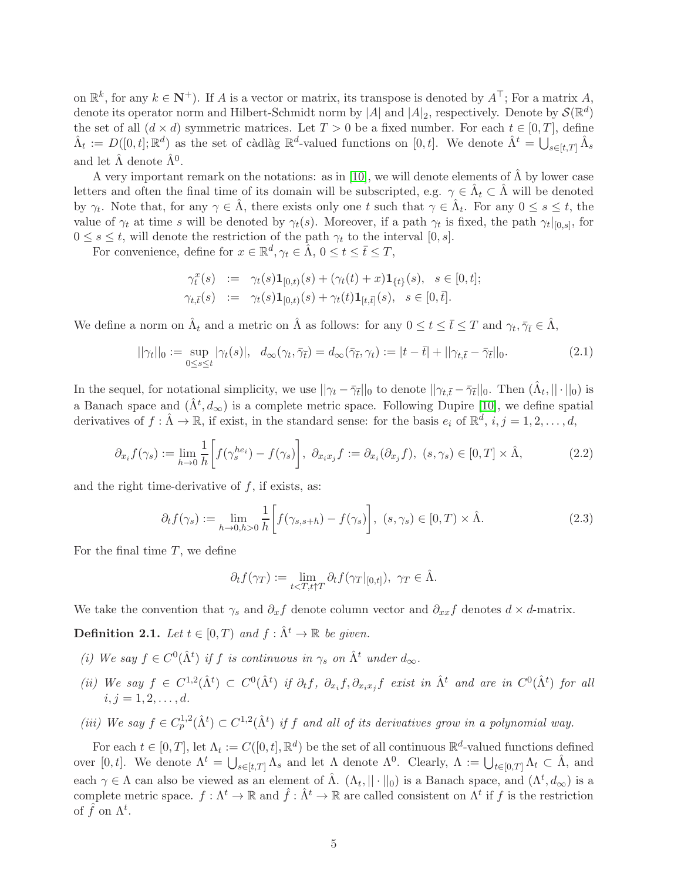on  $\mathbb{R}^k$ , for any  $k \in \mathbb{N}^+$ ). If A is a vector or matrix, its transpose is denoted by  $A^{\top}$ ; For a matrix A, denote its operator norm and Hilbert-Schmidt norm by |A| and |A|<sub>2</sub>, respectively. Denote by  $\mathcal{S}(\mathbb{R}^d)$ the set of all  $(d \times d)$  symmetric matrices. Let  $T > 0$  be a fixed number. For each  $t \in [0, T]$ , define  $\hat{\Lambda}_t := D([0,t];\mathbb{R}^d)$  as the set of càdlàg  $\mathbb{R}^d$ -valued functions on  $[0,t]$ . We denote  $\hat{\Lambda}^t = \bigcup_{s \in [t,T]} \hat{\Lambda}_s$ and let  $\hat{\Lambda}$  denote  $\hat{\Lambda}^0$ .

A very important remark on the notations: as in [\[10\]](#page-41-6), we will denote elements of  $\hat{\Lambda}$  by lower case letters and often the final time of its domain will be subscripted, e.g.  $\gamma \in \hat{\Lambda}_t \subset \hat{\Lambda}$  will be denoted by  $\gamma_t$ . Note that, for any  $\gamma \in \hat{\Lambda}$ , there exists only one t such that  $\gamma \in \hat{\Lambda}_t$ . For any  $0 \le s \le t$ , the value of  $\gamma_t$  at time s will be denoted by  $\gamma_t(s)$ . Moreover, if a path  $\gamma_t$  is fixed, the path  $\gamma_t|_{[0,s]}$ , for  $0 \leq s \leq t$ , will denote the restriction of the path  $\gamma_t$  to the interval  $[0, s]$ .

For convenience, define for  $x \in \mathbb{R}^d$ ,  $\gamma_t \in \hat{\Lambda}$ ,  $0 \le t \le \bar{t} \le T$ ,

$$
\begin{array}{rcl}\n\gamma_t^x(s) & := & \gamma_t(s)\mathbf{1}_{[0,t)}(s) + (\gamma_t(t) + x)\mathbf{1}_{\{t\}}(s), \quad s \in [0,t]; \\
\gamma_{t,\bar{t}}(s) & := & \gamma_t(s)\mathbf{1}_{[0,t)}(s) + \gamma_t(t)\mathbf{1}_{[t,\bar{t}]}(s), \quad s \in [0,\bar{t}].\n\end{array}
$$

We define a norm on  $\hat{\Lambda}_t$  and a metric on  $\hat{\Lambda}$  as follows: for any  $0 \le t \le \bar{t} \le T$  and  $\gamma_t, \bar{\gamma}_{\bar{t}} \in \hat{\Lambda}$ ,

$$
||\gamma_t||_0 := \sup_{0 \le s \le t} |\gamma_t(s)|, \quad d_\infty(\gamma_t, \bar{\gamma}_{\bar{t}}) = d_\infty(\bar{\gamma}_{\bar{t}}, \gamma_t) := |t - \bar{t}| + ||\gamma_{t, \bar{t}} - \bar{\gamma}_{\bar{t}}||_0. \tag{2.1}
$$

In the sequel, for notational simplicity, we use  $||\gamma_t - \bar{\gamma}_{\bar{t}}||_0$  to denote  $||\gamma_{t,\bar{t}} - \bar{\gamma}_{\bar{t}}||_0$ . Then  $(\hat{\Lambda}_t, ||\cdot||_0)$  is a Banach space and  $(\hat{\Lambda}^t, d_{\infty})$  is a complete metric space. Following Dupire [\[10\]](#page-41-6), we define spatial derivatives of  $f: \hat{\Lambda} \to \mathbb{R}$ , if exist, in the standard sense: for the basis  $e_i$  of  $\mathbb{R}^d$ ,  $i, j = 1, 2, \ldots, d$ ,

$$
\partial_{x_i} f(\gamma_s) := \lim_{h \to 0} \frac{1}{h} \bigg[ f(\gamma_s^{he_i}) - f(\gamma_s) \bigg], \ \partial_{x_i x_j} f := \partial_{x_i} (\partial_{x_j} f), \ (s, \gamma_s) \in [0, T] \times \hat{\Lambda}, \tag{2.2}
$$

and the right time-derivative of  $f$ , if exists, as:

$$
\partial_t f(\gamma_s) := \lim_{h \to 0, h > 0} \frac{1}{h} \bigg[ f(\gamma_{s,s+h}) - f(\gamma_s) \bigg], \ (s, \gamma_s) \in [0, T) \times \hat{\Lambda}.\tag{2.3}
$$

For the final time  $T$ , we define

$$
\partial_t f(\gamma_T) := \lim_{t < T, t \uparrow T} \partial_t f(\gamma_T |_{[0,t]}), \ \gamma_T \in \hat{\Lambda}.
$$

We take the convention that  $\gamma_s$  and  $\partial_x f$  denote column vector and  $\partial_{xx} f$  denotes  $d \times d$ -matrix.

**Definition 2.1.** Let  $t \in [0, T)$  and  $f : \hat{\Lambda}^t \to \mathbb{R}$  be given.

- (i) We say  $f \in C^{0}(\hat{\Lambda}^{t})$  if f is continuous in  $\gamma_{s}$  on  $\hat{\Lambda}^{t}$  under  $d_{\infty}$ .
- (ii) We say  $f \in C^{1,2}(\hat{\Lambda}^t) \subset C^0(\hat{\Lambda}^t)$  if  $\partial_t f$ ,  $\partial_{x_i} f$ ,  $\partial_{x_i x_j} f$  exist in  $\hat{\Lambda}^t$  and are in  $C^0(\hat{\Lambda}^t)$  for all  $i, j = 1, 2, \ldots, d.$
- (iii) We say  $f \in C_p^{1,2}(\hat{\Lambda}^t) \subset C^{1,2}(\hat{\Lambda}^t)$  if f and all of its derivatives grow in a polynomial way.

For each  $t \in [0,T]$ , let  $\Lambda_t := C([0,t], \mathbb{R}^d)$  be the set of all continuous  $\mathbb{R}^d$ -valued functions defined over [0, t]. We denote  $\Lambda^t = \bigcup_{s \in [t,T]} \Lambda_s$  and let  $\Lambda$  denote  $\Lambda^0$ . Clearly,  $\Lambda := \bigcup_{t \in [0,T]} \Lambda_t \subset \hat{\Lambda}$ , and each  $\gamma \in \Lambda$  can also be viewed as an element of  $\hat{\Lambda}$ .  $(\Lambda_t, ||\cdot||_0)$  is a Banach space, and  $(\Lambda^t, d_{\infty})$  is a complete metric space.  $f: \Lambda^t \to \mathbb{R}$  and  $\hat{f}: \hat{\Lambda}^t \to \mathbb{R}$  are called consistent on  $\Lambda^t$  if f is the restriction of  $\hat{f}$  on  $\Lambda^t$ .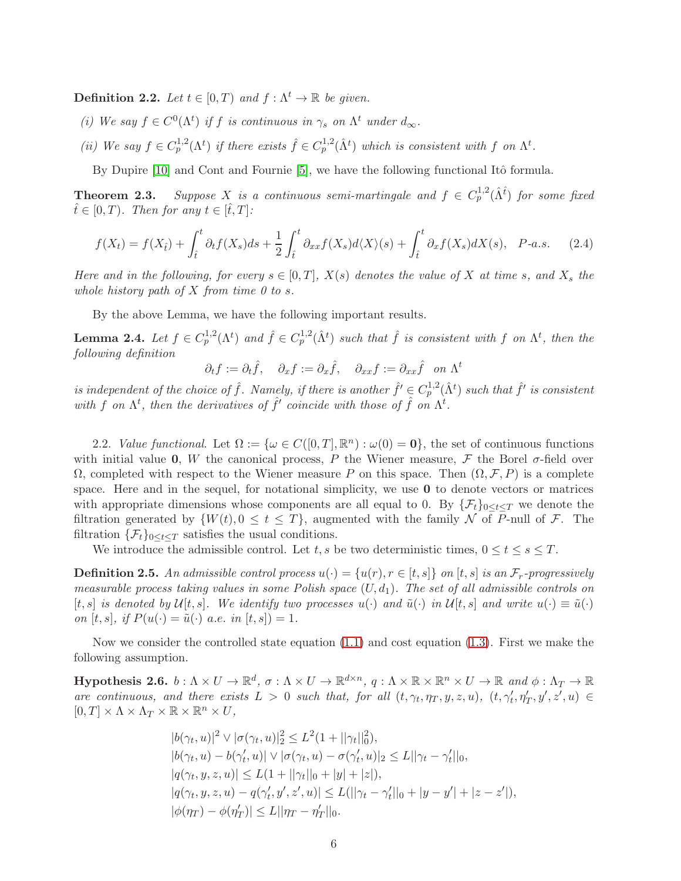**Definition 2.2.** Let  $t \in [0, T)$  and  $f : \Lambda^t \to \mathbb{R}$  be given.

- (i) We say  $f \in C^0(\Lambda^t)$  if f is continuous in  $\gamma_s$  on  $\Lambda^t$  under  $d_{\infty}$ .
- (ii) We say  $f \in C_p^{1,2}(\Lambda^t)$  if there exists  $\hat{f} \in C_p^{1,2}(\hat{\Lambda}^t)$  which is consistent with f on  $\Lambda^t$ .

By Dupire [\[10\]](#page-41-6) and Cont and Fournie [\[5\]](#page-41-7), we have the following functional Itô formula.

**Theorem 2.3.** Suppose X is a continuous semi-martingale and  $f \in C_p^{1,2}(\hat{\Lambda}^{\hat{t}})$  for some fixed  $\hat{t} \in [0, T)$ . Then for any  $t \in [\hat{t}, T]$ :

$$
f(X_t) = f(X_{\hat{t}}) + \int_{\hat{t}}^t \partial_t f(X_s) ds + \frac{1}{2} \int_{\hat{t}}^t \partial_{xx} f(X_s) d\langle X \rangle(s) + \int_{\hat{t}}^t \partial_x f(X_s) dX(s), \quad P\text{-}a.s. \tag{2.4}
$$

Here and in the following, for every  $s \in [0,T]$ ,  $X(s)$  denotes the value of X at time s, and  $X_s$  the whole history path of  $X$  from time 0 to s.

By the above Lemma, we have the following important results.

**Lemma 2.4.** Let  $f \in C_p^{1,2}(\Lambda^t)$  and  $\hat{f} \in C_p^{1,2}(\hat{\Lambda}^t)$  such that  $\hat{f}$  is consistent with  $f$  on  $\Lambda^t$ , then the following definition

$$
\partial_t f := \partial_t \hat{f}, \quad \partial_x f := \partial_x \hat{f}, \quad \partial_{xx} f := \partial_{xx} \hat{f} \quad on \ \Lambda^t
$$

is independent of the choice of  $\hat{f}$ . Namely, if there is another  $\hat{f}' \in C_p^{1,2}(\hat{\Lambda}^t)$  such that  $\hat{f}'$  is consistent with f on  $\Lambda^t$ , then the derivatives of  $\hat{f}'$  coincide with those of  $\hat{f}$  on  $\Lambda^t$ .

2.2. Value functional. Let  $\Omega := \{ \omega \in C([0,T], \mathbb{R}^n) : \omega(0) = 0 \}$ , the set of continuous functions with initial value 0, W the canonical process, P the Wiener measure, F the Borel  $\sigma$ -field over  $\Omega$ , completed with respect to the Wiener measure P on this space. Then  $(\Omega, \mathcal{F}, P)$  is a complete space. Here and in the sequel, for notational simplicity, we use  $\bf{0}$  to denote vectors or matrices with appropriate dimensions whose components are all equal to 0. By  $\{\mathcal{F}_t\}_{0\leq t\leq T}$  we denote the filtration generated by  $\{W(t), 0 \le t \le T\}$ , augmented with the family N of P-null of F. The filtration  $\{\mathcal{F}_t\}_{0\leq t\leq T}$  satisfies the usual conditions.

We introduce the admissible control. Let t, s be two deterministic times,  $0 \le t \le s \le T$ .

**Definition 2.5.** An admissible control process  $u(\cdot) = \{u(r), r \in [t, s] \}$  on  $[t, s]$  is an  $\mathcal{F}_r$ -progressively measurable process taking values in some Polish space  $(U, d_1)$ . The set of all admissible controls on  $[t, s]$  is denoted by  $\mathcal{U}[t, s]$ . We identify two processes  $u(\cdot)$  and  $\tilde{u}(\cdot)$  in  $\mathcal{U}[t, s]$  and write  $u(\cdot) \equiv \tilde{u}(\cdot)$ on [t, s], if  $P(u(\cdot) = \tilde{u}(\cdot)$  a.e. in [t, s]) = 1.

Now we consider the controlled state equation [\(1.1\)](#page-36-2) and cost equation [\(1.3\)](#page-36-3). First we make the following assumption.

<span id="page-5-0"></span>**Hypothesis 2.6.**  $b: \Lambda \times U \to \mathbb{R}^d$ ,  $\sigma: \Lambda \times U \to \mathbb{R}^{d \times n}$ ,  $q: \Lambda \times \mathbb{R} \times \mathbb{R}^n \times U \to \mathbb{R}$  and  $\phi: \Lambda_T \to \mathbb{R}$ are continuous, and there exists  $L > 0$  such that, for all  $(t, \gamma_t, \eta_T, y, z, u)$ ,  $(t, \gamma'_t, \eta'_T, y', z', u) \in$  $[0, T] \times \Lambda \times \Lambda_T \times \mathbb{R} \times \mathbb{R}^n \times U$ ,

$$
|b(\gamma_t, u)|^2 \vee |\sigma(\gamma_t, u)|_2^2 \le L^2(1 + ||\gamma_t||_0^2),
$$
  
\n
$$
|b(\gamma_t, u) - b(\gamma_t', u)| \vee |\sigma(\gamma_t, u) - \sigma(\gamma_t', u)|_2 \le L||\gamma_t - \gamma_t'||_0,
$$
  
\n
$$
|q(\gamma_t, y, z, u)| \le L(1 + ||\gamma_t||_0 + |y| + |z|),
$$
  
\n
$$
|q(\gamma_t, y, z, u) - q(\gamma_t', y', z', u)| \le L(||\gamma_t - \gamma_t'||_0 + |y - y'| + |z - z'|),
$$
  
\n
$$
|\phi(\eta_T) - \phi(\eta_T')| \le L||\eta_T - \eta_T'||_0.
$$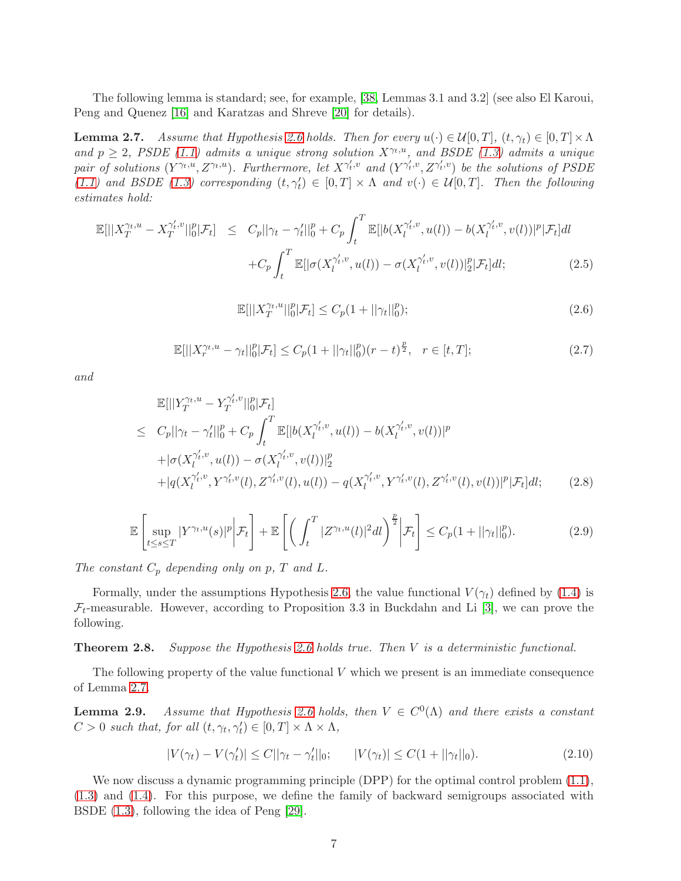The following lemma is standard; see, for example, [\[38,](#page-42-4) Lemmas 3.1 and 3.2] (see also El Karoui, Peng and Quenez [\[16\]](#page-41-16) and Karatzas and Shreve [\[20\]](#page-41-17) for details).

<span id="page-6-0"></span>**Lemma 2.7.** Assume that Hypothesis [2.6](#page-5-0) holds. Then for every  $u(\cdot) \in \mathcal{U}[0,T]$ ,  $(t, \gamma_t) \in [0,T] \times \Lambda$ and  $p \geq 2$ , PSDE [\(1.1\)](#page-36-2) admits a unique strong solution  $X^{\gamma_t,u}$ , and BSDE [\(1.3\)](#page-36-3) admits a unique pair of solutions  $(Y^{\gamma_t,u}, Z^{\gamma_t,u})$ . Furthermore, let  $X^{\gamma'_t,v}$  and  $(Y^{\gamma'_t,v}, Z^{\gamma'_t,v})$  be the solutions of PSDE [\(1.1\)](#page-36-2) and BSDE [\(1.3\)](#page-36-3) corresponding  $(t, \gamma'_t) \in [0, T] \times \Lambda$  and  $v(\cdot) \in \mathcal{U}[0, T]$ . Then the following estimates hold:

$$
\mathbb{E}[||X_T^{\gamma_t, u} - X_T^{\gamma'_t, v}||_0^p | \mathcal{F}_t] \leq C_p ||\gamma_t - \gamma'_t||_0^p + C_p \int_t^T \mathbb{E}[|b(X_l^{\gamma'_t, v}, u(l)) - b(X_l^{\gamma'_t, v}, v(l))|^p | \mathcal{F}_t] dl + C_p \int_t^T \mathbb{E}[|\sigma(X_l^{\gamma'_t, v}, u(l)) - \sigma(X_l^{\gamma'_t, v}, v(l))|_2^p | \mathcal{F}_t] dl; \tag{2.5}
$$

$$
\mathbb{E}[||X_T^{\gamma_t, u}||_0^p | \mathcal{F}_t] \le C_p (1 + ||\gamma_t||_0^p); \tag{2.6}
$$

$$
\mathbb{E}[||X_r^{\gamma_t, u} - \gamma_t||_0^p | \mathcal{F}_t] \le C_p (1 + ||\gamma_t||_0^p)(r - t)^{\frac{p}{2}}, \quad r \in [t, T];
$$
\n(2.7)

and

$$
\mathbb{E}[||Y_T^{\gamma_t,u} - Y_T^{\gamma_t',v}||_0^p | \mathcal{F}_t]
$$
\n
$$
\leq C_p ||\gamma_t - \gamma_t'||_0^p + C_p \int_t^T \mathbb{E}[|b(X_t^{\gamma_t',v}, u(l)) - b(X_t^{\gamma_t',v}, v(l))|^p
$$
\n
$$
+ |\sigma(X_t^{\gamma_t',v}, u(l)) - \sigma(X_t^{\gamma_t',v}, v(l))|^p_2
$$
\n
$$
+ |q(X_t^{\gamma_t',v}, Y^{\gamma_t',v}(l), Z^{\gamma_t',v}(l), u(l)) - q(X_t^{\gamma_t',v}, Y^{\gamma_t',v}(l), Z^{\gamma_t',v}(l), v(l))|^p | \mathcal{F}_t] dt; \qquad (2.8)
$$

$$
\mathbb{E}\left[\sup_{t\leq s\leq T}|Y^{\gamma_t,u}(s)|^p\bigg|\mathcal{F}_t\right]+\mathbb{E}\left[\left(\int_t^T|Z^{\gamma_t,u}(l)|^2dl\right)^{\frac{p}{2}}\bigg|\mathcal{F}_t\right]\leq C_p(1+||\gamma_t||_0^p). \tag{2.9}
$$

The constant  $C_p$  depending only on p, T and L.

Formally, under the assumptions Hypothesis [2.6,](#page-5-0) the value functional  $V(\gamma_t)$  defined by [\(1.4\)](#page-36-0) is  $\mathcal{F}_t$ -measurable. However, according to Proposition 3.3 in Buckdahn and Li [\[3\]](#page-40-3), we can prove the following.

**Theorem 2.8.** Suppose the Hypothesis [2.6](#page-5-0) holds true. Then  $V$  is a deterministic functional.

The following property of the value functional  $V$  which we present is an immediate consequence of Lemma [2.7.](#page-6-0)

<span id="page-6-1"></span>**Lemma 2.9.** Assume that Hypothesis [2.6](#page-5-0) holds, then  $V \in C^{0}(\Lambda)$  and there exists a constant  $C > 0$  such that, for all  $(t, \gamma_t, \gamma'_t) \in [0, T] \times \Lambda \times \Lambda$ ,

$$
|V(\gamma_t) - V(\gamma'_t)| \le C||\gamma_t - \gamma'_t||_0; \qquad |V(\gamma_t)| \le C(1 + ||\gamma_t||_0). \tag{2.10}
$$

We now discuss a dynamic programming principle (DPP) for the optimal control problem  $(1.1)$ , [\(1.3\)](#page-36-3) and [\(1.4\)](#page-36-0). For this purpose, we define the family of backward semigroups associated with BSDE [\(1.3\)](#page-36-3), following the idea of Peng [\[29\]](#page-42-16).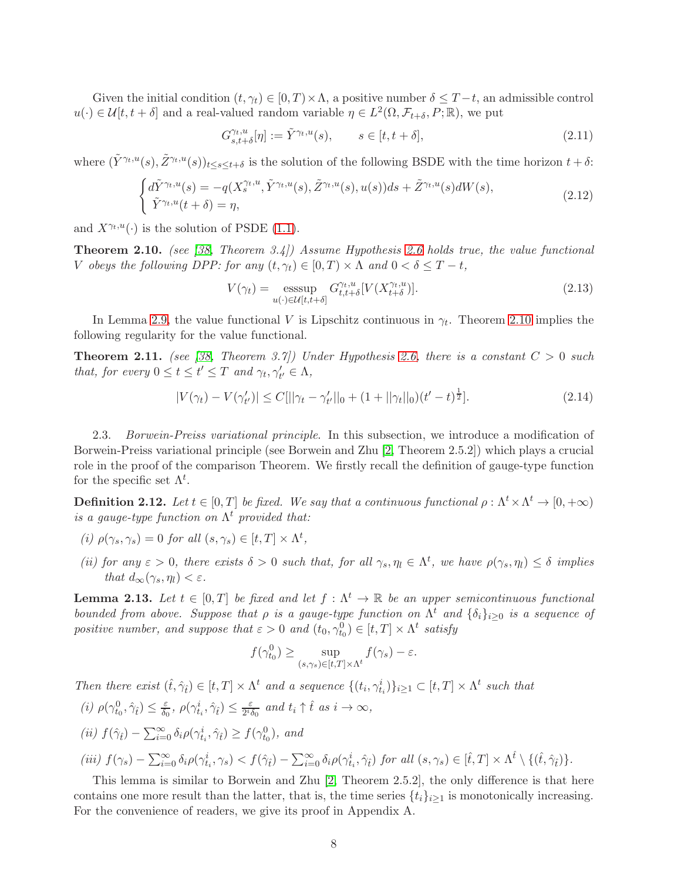Given the initial condition  $(t, \gamma_t) \in [0, T) \times \Lambda$ , a positive number  $\delta \leq T-t$ , an admissible control  $u(\cdot) \in \mathcal{U}[t, t + \delta]$  and a real-valued random variable  $\eta \in L^2(\Omega, \mathcal{F}_{t+\delta}, P; \mathbb{R})$ , we put

$$
G_{s,t+\delta}^{\gamma_t,u}[\eta] := \tilde{Y}^{\gamma_t,u}(s), \qquad s \in [t,t+\delta], \tag{2.11}
$$

where  $(\tilde{Y}^{\gamma_t,u}(s),\tilde{Z}^{\gamma_t,u}(s))_{t\leq s\leq t+\delta}$  is the solution of the following BSDE with the time horizon  $t+\delta$ :

$$
\begin{cases} d\tilde{Y}^{\gamma_t, u}(s) = -q(X_s^{\gamma_t, u}, \tilde{Y}^{\gamma_t, u}(s), \tilde{Z}^{\gamma_t, u}(s), u(s))ds + \tilde{Z}^{\gamma_t, u}(s)dW(s), \\ \tilde{Y}^{\gamma_t, u}(t+\delta) = \eta, \end{cases}
$$
(2.12)

and  $X^{\gamma_t, u}(\cdot)$  is the solution of PSDE [\(1.1\)](#page-36-2).

<span id="page-7-0"></span>**Theorem 2.10.** (see [\[38,](#page-42-4) Theorem 3.4]) Assume Hypothesis [2.6](#page-5-0) holds true, the value functional V obeys the following DPP: for any  $(t, \gamma_t) \in [0, T) \times \Lambda$  and  $0 < \delta \leq T - t$ ,

$$
V(\gamma_t) = \underset{u(\cdot) \in \mathcal{U}[t, t+\delta]}{\operatorname{esssup}} G_{t, t+\delta}^{\gamma_t, u}[V(X_{t+\delta}^{\gamma_t, u})].\tag{2.13}
$$

In Lemma [2.9,](#page-6-1) the value functional V is Lipschitz continuous in  $\gamma_t$ . Theorem [2.10](#page-7-0) implies the following regularity for the value functional.

<span id="page-7-2"></span>**Theorem 2.11.** (see [\[38,](#page-42-4) Theorem 3.7]) Under Hypothesis [2.6,](#page-5-0) there is a constant  $C > 0$  such that, for every  $0 \le t \le t' \le T$  and  $\gamma_t, \gamma'_{t'} \in \Lambda$ ,

$$
|V(\gamma_t) - V(\gamma'_{t'})| \le C[||\gamma_t - \gamma'_{t'}||_0 + (1 + ||\gamma_t||_0)(t'-t)^{\frac{1}{2}}].
$$
\n(2.14)

2.3. Borwein-Preiss variational principle. In this subsection, we introduce a modification of Borwein-Preiss variational principle (see Borwein and Zhu [\[2,](#page-40-2) Theorem 2.5.2]) which plays a crucial role in the proof of the comparison Theorem. We firstly recall the definition of gauge-type function for the specific set  $\Lambda^t$ .

**Definition 2.12.** Let  $t \in [0, T]$  be fixed. We say that a continuous functional  $\rho : \Lambda^t \times \Lambda^t \to [0, +\infty)$ is a gauge-type function on  $\Lambda^t$  provided that:

- (i)  $\rho(\gamma_s, \gamma_s) = 0$  for all  $(s, \gamma_s) \in [t, T] \times \Lambda^t$ ,
- (ii) for any  $\varepsilon > 0$ , there exists  $\delta > 0$  such that, for all  $\gamma_s, \eta_l \in \Lambda^t$ , we have  $\rho(\gamma_s, \eta_l) \leq \delta$  implies that  $d_{\infty}(\gamma_s, \eta_l) < \varepsilon$ .

<span id="page-7-1"></span>**Lemma 2.13.** Let  $t \in [0, T]$  be fixed and let  $f : \Lambda^t \to \mathbb{R}$  be an upper semicontinuous functional bounded from above. Suppose that  $\rho$  is a gauge-type function on  $\Lambda^t$  and  $\{\delta_i\}_{i\geq 0}$  is a sequence of positive number, and suppose that  $\varepsilon > 0$  and  $(t_0, \gamma_{t_0}^0) \in [t, T] \times \Lambda^t$  satisfy

$$
f(\gamma_{t_0}^0) \ge \sup_{(s,\gamma_s)\in[t,T]\times\Lambda^t} f(\gamma_s) - \varepsilon.
$$

Then there exist  $(\hat{t}, \hat{\gamma}_t) \in [t, T] \times \Lambda^t$  and a sequence  $\{(t_i, \gamma_{t_i}^i)\}_{i \geq 1} \subset [t, T] \times \Lambda^t$  such that (i)  $\rho(\gamma_{t_0}^0, \hat{\gamma}_{\hat{t}}) \leq \frac{\varepsilon}{\delta_0}$  $\frac{\varepsilon}{\delta_0},\ \rho(\gamma_{t_i}^i,\hat{\gamma}_{\hat{t}})\leq \frac{\varepsilon}{2^i\delta}$  $\frac{\varepsilon}{2^i \delta_0}$  and  $t_i \uparrow \hat{t}$  as  $i \to \infty$ , (ii)  $f(\hat{\gamma}_t) - \sum_{i=0}^{\infty} \delta_i \rho(\gamma_{t_i}^i, \hat{\gamma}_t) \ge f(\gamma_{t_0}^0)$ , and (iii)  $f(\gamma_s) - \sum_{i=0}^{\infty} \delta_i \rho(\gamma_{t_i}^i, \gamma_s) < f(\hat{\gamma}_t) - \sum_{i=0}^{\infty} \delta_i \rho(\gamma_{t_i}^i, \hat{\gamma}_t)$  for all  $(s, \gamma_s) \in [\hat{t}, T] \times \Lambda^{\hat{t}} \setminus \{(\hat{t}, \hat{\gamma}_t)\}.$ 

This lemma is similar to Borwein and Zhu [\[2,](#page-40-2) Theorem 2.5.2], the only difference is that here contains one more result than the latter, that is, the time series  $\{t_i\}_{i\geq 1}$  is monotonically increasing. For the convenience of readers, we give its proof in Appendix A.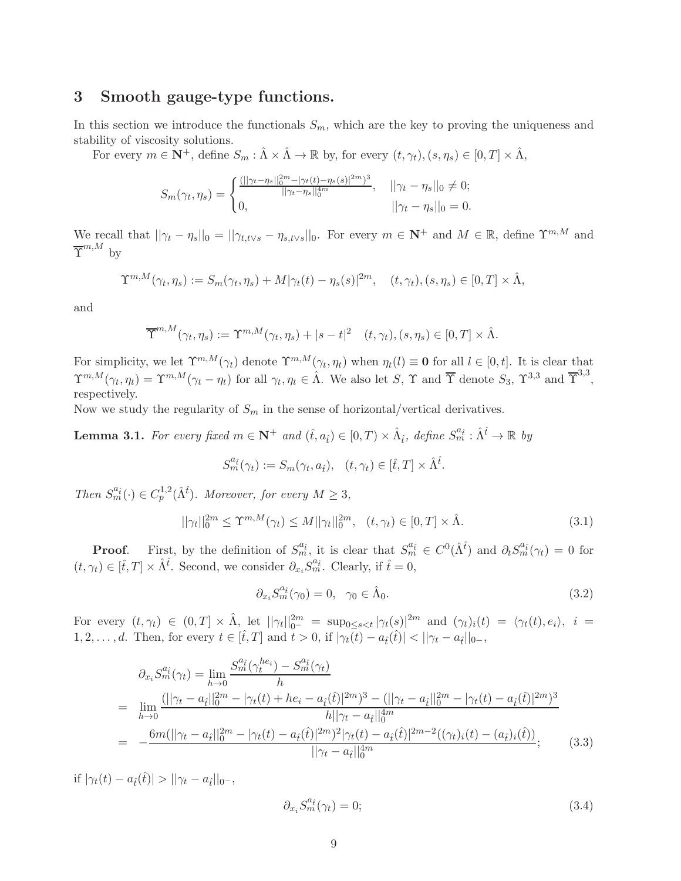# 3 Smooth gauge-type functions.

In this section we introduce the functionals  $S_m$ , which are the key to proving the uniqueness and stability of viscosity solutions.

For every  $m \in \mathbf{N}^+$ , define  $S_m : \hat{\Lambda} \times \hat{\Lambda} \to \mathbb{R}$  by, for every  $(t, \gamma_t), (s, \eta_s) \in [0, T] \times \hat{\Lambda}$ ,

$$
S_m(\gamma_t, \eta_s) = \begin{cases} \frac{(||\gamma_t - \eta_s||_0^{2m} - |\gamma_t(t) - \eta_s(s)|^{2m})^3}{||\gamma_t - \eta_s||_0^{4m}}, & ||\gamma_t - \eta_s||_0 \neq 0; \\ 0, & ||\gamma_t - \eta_s||_0 = 0. \end{cases}
$$

We recall that  $||\gamma_t - \eta_s||_0 = ||\gamma_{t,t\vee s} - \eta_{s,t\vee s}||_0$ . For every  $m \in \mathbb{N}^+$  and  $M \in \mathbb{R}$ , define  $\Upsilon^{m,M}$  and  $\overline{\Upsilon}^{m,M}$  by

$$
\Upsilon^{m,M}(\gamma_t,\eta_s) := S_m(\gamma_t,\eta_s) + M|\gamma_t(t) - \eta_s(s)|^{2m}, \quad (t,\gamma_t), (s,\eta_s) \in [0,T] \times \hat{\Lambda},
$$

and

$$
\overline{\Upsilon}^{m,M}(\gamma_t,\eta_s) := \Upsilon^{m,M}(\gamma_t,\eta_s) + |s-t|^2 \quad (t,\gamma_t), (s,\eta_s) \in [0,T] \times \hat{\Lambda}.
$$

For simplicity, we let  $\Upsilon^{m,M}(\gamma_t)$  denote  $\Upsilon^{m,M}(\gamma_t,\eta_t)$  when  $\eta_t(l) \equiv 0$  for all  $l \in [0,t]$ . It is clear that  $\Upsilon^{m,M}(\gamma_t,\eta_t) = \Upsilon^{m,M}(\gamma_t-\eta_t)$  for all  $\gamma_t, \eta_t \in \hat{\Lambda}$ . We also let S,  $\Upsilon$  and  $\overline{\Upsilon}$  denote  $S_3$ ,  $\Upsilon^{3,3}$  and  $\overline{\Upsilon}^{3,3}$ , respectively.

Now we study the regularity of  $S_m$  in the sense of horizontal/vertical derivatives.

<span id="page-8-0"></span>**Lemma 3.1.** For every fixed  $m \in \mathbb{N}^+$  and  $(\hat{t}, a_{\hat{t}}) \in [0, T) \times \hat{\Lambda}_{\hat{t}}$ , define  $S_m^{a_{\hat{t}}} : \hat{\Lambda}^{\hat{t}} \to \mathbb{R}$  by

$$
S_m^{a_{\hat{t}}}(\gamma_t) := S_m(\gamma_t, a_{\hat{t}}), \quad (t, \gamma_t) \in [\hat{t}, T] \times \hat{\Lambda}^{\hat{t}}.
$$

Then  $S_m^{a_{\hat{t}}}(\cdot) \in C_p^{1,2}(\hat{\Lambda}^{\hat{t}})$ . Moreover, for every  $M \geq 3$ ,

<span id="page-8-4"></span>
$$
||\gamma_t||_0^{2m} \le \Upsilon^{m,M}(\gamma_t) \le M ||\gamma_t||_0^{2m}, \quad (t, \gamma_t) \in [0, T] \times \hat{\Lambda}.
$$
 (3.1)

**Proof.** First, by the definition of  $S_m^{a_{\hat{t}}}$ , it is clear that  $S_m^{a_{\hat{t}}} \in C^0(\hat{\Lambda}^{\hat{t}})$  and  $\partial_t S_m^{a_{\hat{t}}}(\gamma_t) = 0$  for  $(t, \gamma_t) \in [\hat{t}, T] \times \hat{\Lambda}^{\hat{t}}$ . Second, we consider  $\partial_{x_i} S_m^{a_{\hat{t}}}$ . Clearly, if  $\hat{t} = 0$ ,

<span id="page-8-1"></span>
$$
\partial_{x_i} S_m^{a_i}(\gamma_0) = 0, \quad \gamma_0 \in \hat{\Lambda}_0. \tag{3.2}
$$

For every  $(t, \gamma_t) \in (0,T] \times \hat{\Lambda}$ , let  $||\gamma_t||_{0^-}^{2m} = \sup_{0 \le s \le t} |\gamma_t(s)|^{2m}$  and  $(\gamma_t)_i(t) = \langle \gamma_t(t), e_i \rangle$ ,  $i =$ 1, 2, ..., d. Then, for every  $t \in [\hat{t}, T]$  and  $t > 0$ , if  $|\gamma_t(\overline{t}) - a_{\hat{t}}(\hat{t})| < ||\gamma_t - a_{\hat{t}}||_0$ ,

<span id="page-8-2"></span>
$$
\partial_{x_i} S_m^{a_{\hat{t}}}(\gamma_t) = \lim_{h \to 0} \frac{S_m^{a_{\hat{t}}}(\gamma_t^{he_i}) - S_m^{a_{\hat{t}}}(\gamma_t)}{h}
$$
\n
$$
= \lim_{h \to 0} \frac{(||\gamma_t - a_{\hat{t}}||_0^{2m} - |\gamma_t(t) + he_i - a_{\hat{t}}(\hat{t})|^{2m})^3 - (||\gamma_t - a_{\hat{t}}||_0^{2m} - |\gamma_t(t) - a_{\hat{t}}(\hat{t})|^{2m})^3}{h||\gamma_t - a_{\hat{t}}||_0^{4m}}
$$
\n
$$
= \frac{6m(||\gamma_t - a_{\hat{t}}||_0^{2m} - |\gamma_t(t) - a_{\hat{t}}(\hat{t})|^{2m})^2 |\gamma_t(t) - a_{\hat{t}}(\hat{t})|^{2m-2} ((\gamma_t)_i(t) - (a_{\hat{t}})_i(\hat{t}))}{||\gamma_t - a_{\hat{t}}||_0^{4m}}; \qquad (3.3)
$$

if  $|\gamma_t(t) - a_i(\hat{t})| > ||\gamma_t - a_i||_{0^{-}},$ 

<span id="page-8-3"></span>
$$
\partial_{x_i} S_m^{a_i}(\gamma_t) = 0; \tag{3.4}
$$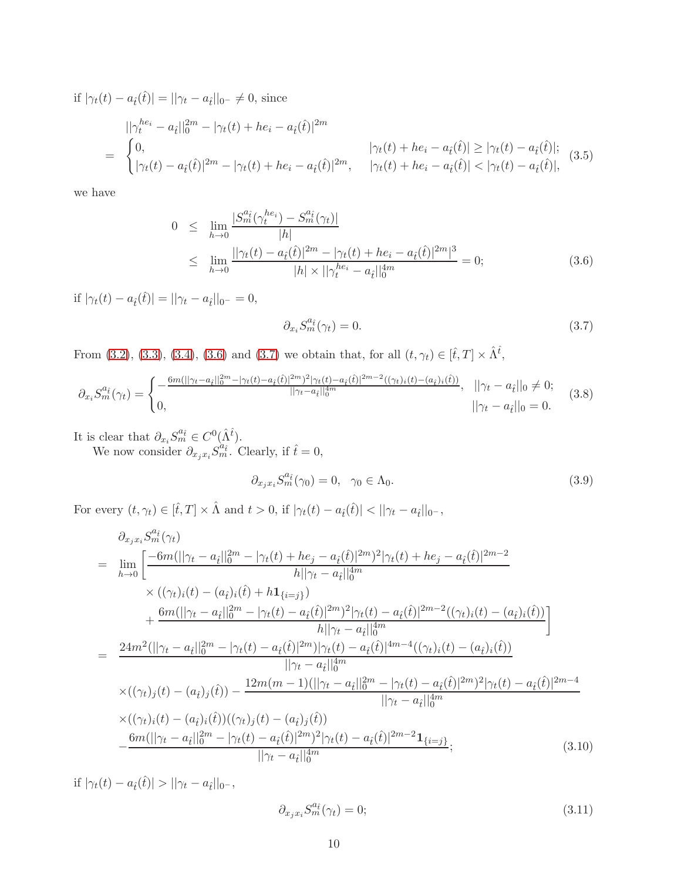if  $|\gamma_t(t) - a_t(\hat{t})| = ||\gamma_t - a_t||_{0^-} \neq 0$ , since

<span id="page-9-2"></span>
$$
||\gamma_t^{he_i} - a_{\hat{t}}||_0^{2m} - |\gamma_t(t) + he_i - a_{\hat{t}}(\hat{t})|^{2m}
$$
  
= 
$$
\begin{cases} 0, & |\gamma_t(t) + he_i - a_{\hat{t}}(\hat{t})| \ge |\gamma_t(t) - a_{\hat{t}}(\hat{t})|; \\ |\gamma_t(t) - a_{\hat{t}}(\hat{t})|^{2m} - |\gamma_t(t) + he_i - a_{\hat{t}}(\hat{t})|^{2m}, & |\gamma_t(t) + he_i - a_{\hat{t}}(\hat{t})| < |\gamma_t(t) - a_{\hat{t}}(\hat{t})|, \end{cases}
$$
(3.5)

we have

<span id="page-9-0"></span>
$$
0 \leq \lim_{h \to 0} \frac{|S_m^{a_i}(\gamma_t^{he_i}) - S_m^{a_i}(\gamma_t)|}{|h|} \leq \lim_{h \to 0} \frac{||\gamma_t(t) - a_i(\hat{t})|^{2m} - |\gamma_t(t) + he_i - a_{\hat{t}}(\hat{t})|^{2m}|^3}{|h| \times ||\gamma_t^{he_i} - a_{\hat{t}}||_0^{4m}} = 0;
$$
\n(3.6)

if  $|\gamma_t(t) - a_{\hat{t}}(\hat{t})| = ||\gamma_t - a_{\hat{t}}||_{0^-} = 0,$ 

<span id="page-9-1"></span>
$$
\partial_{x_i} S_m^{a_i}(\gamma_t) = 0. \tag{3.7}
$$

From [\(3.2\)](#page-8-1), [\(3.3\)](#page-8-2), [\(3.4\)](#page-8-3), [\(3.6\)](#page-9-0) and [\(3.7\)](#page-9-1) we obtain that, for all  $(t, \gamma_t) \in [\hat{t}, T] \times \hat{\Lambda}^{\hat{t}}$ ,

<span id="page-9-6"></span>
$$
\partial_{x_i} S_m^{a_{\hat{t}}}(\gamma_t) = \begin{cases}\n-\frac{6m(||\gamma_t - a_{\hat{t}}||_0^{2m} - |\gamma_t(t) - a_{\hat{t}}(\hat{t})|^{2m})^2 |\gamma_t(t) - a_{\hat{t}}(\hat{t})|^{2m-2}((\gamma_t)_i(t) - (a_{\hat{t}})_i(\hat{t}))}{||\gamma_t - a_{\hat{t}}||_0^{4m}}, & ||\gamma_t - a_{\hat{t}}||_0 \neq 0; \\
0, & ||\gamma_t - a_{\hat{t}}||_0 = 0.\n\end{cases}
$$
\n(3.8)

It is clear that  $\partial_{x_i} S_m^{a_{\hat{t}}} \in C^0(\hat{\Lambda}^{\hat{t}})$ .

We now consider  $\partial_{x_jx_i}S_m^{\hat{a}_{\hat{t}}}$ . Clearly, if  $\hat{t}=0$ ,

<span id="page-9-3"></span>
$$
\partial_{x_j x_i} S_m^{a_i}(\gamma_0) = 0, \quad \gamma_0 \in \Lambda_0. \tag{3.9}
$$

For every  $(t, \gamma_t) \in [\hat{t}, T] \times \hat{\Lambda}$  and  $t > 0$ , if  $|\gamma_t(t) - a_{\hat{t}}(\hat{t})| < ||\gamma_t - a_{\hat{t}}||_0$ -,

<span id="page-9-4"></span>
$$
\partial_{x_j x_i} S_m^{a_i}(\gamma_t)
$$
\n
$$
= \lim_{h \to 0} \left[ \frac{-6m(||\gamma_t - a_i||_0^{2m} - |\gamma_t(t) + he_j - a_i(\hat{t})|^{2m})^2 |\gamma_t(t) + he_j - a_i(\hat{t})|^{2m-2}}{h ||\gamma_t - a_i||_0^{4m}} \right]
$$
\n
$$
\times ((\gamma_t)_i(t) - (a_i)_i(\hat{t}) + h \mathbf{1}_{\{i=j\}})
$$
\n
$$
+ \frac{6m(||\gamma_t - a_i||_0^{2m} - |\gamma_t(t) - a_i(\hat{t})|^{2m})^2 |\gamma_t(t) - a_i(\hat{t})|^{2m-2} ((\gamma_t)_i(t) - (a_i)_i(\hat{t}))}{h ||\gamma_t - a_i||_0^{4m}} \right]
$$
\n
$$
= \frac{24m^2(||\gamma_t - a_i||_0^{2m} - |\gamma_t(t) - a_i(\hat{t})|^{2m}) |\gamma_t(t) - a_i(\hat{t})|^{4m-4} ((\gamma_t)_i(t) - (a_i)_i(\hat{t}))}{||\gamma_t - a_i||_0^{4m}}
$$
\n
$$
\times ((\gamma_t)_j(t) - (a_i)_j(\hat{t})) - \frac{12m(m-1)(||\gamma_t - a_i||_0^{2m} - |\gamma_t(t) - a_i(\hat{t})|^{2m})^2 |\gamma_t(t) - a_i(\hat{t})|^{2m-4}}{||\gamma_t - a_i||_0^{4m}}
$$
\n
$$
\times ((\gamma_t)_i(t) - (a_i)_i(\hat{t}))((\gamma_t)_j(t) - (a_i)_j(\hat{t}))
$$
\n
$$
- \frac{6m(||\gamma_t - a_i||_0^{2m} - |\gamma_t(t) - a_i(\hat{t})|^{2m})^2 |\gamma_t(t) - a_i(\hat{t})|^{2m-2} \mathbf{1}_{\{i=j\}}}{||\gamma_t - a_i||_0^{4m}};
$$
\n(3.10)

if  $|\gamma_t(t) - a_{\hat{t}}(\hat{t})| > ||\gamma_t - a_{\hat{t}}||_{0^-}$ ,

<span id="page-9-5"></span>
$$
\partial_{x_j x_i} S_m^{a_i}(\gamma_t) = 0; \tag{3.11}
$$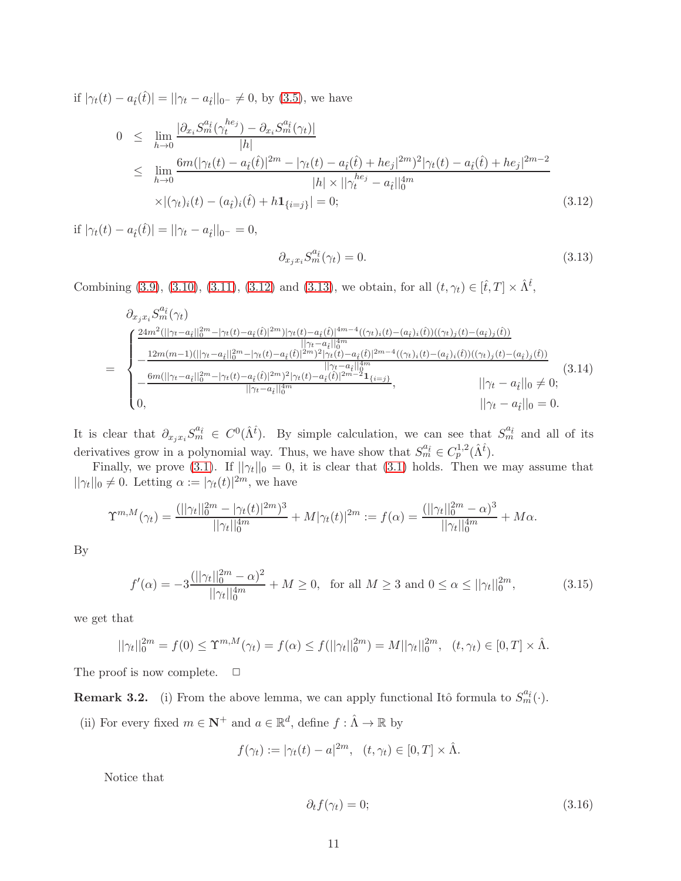if  $|\gamma_t(t) - a_t(\hat{t})| = ||\gamma_t - a_t||_{0^-} \neq 0$ , by [\(3.5\)](#page-9-2), we have

<span id="page-10-0"></span>
$$
0 \leq \lim_{h \to 0} \frac{|\partial_{x_i} S_m^{a_i}(\gamma_t^{he_j}) - \partial_{x_i} S_m^{a_i}(\gamma_t)|}{|h|} \n\leq \lim_{h \to 0} \frac{6m(|\gamma_t(t) - a_i(\hat{t})|^{2m} - |\gamma_t(t) - a_i(\hat{t}) + he_j|^{2m})^2 |\gamma_t(t) - a_i(\hat{t}) + he_j|^{2m-2}}{|h| \times ||\gamma_t^{he_j} - a_i||_0^{4m}} \n\times |(\gamma_t)_i(t) - (a_i)_i(\hat{t}) + h\mathbf{1}_{\{i=j\}}| = 0;
$$
\n(3.12)

if  $|\gamma_t(t) - a_{\hat{t}}(\hat{t})| = ||\gamma_t - a_{\hat{t}}||_{0^-} = 0,$ 

<span id="page-10-1"></span>
$$
\partial_{x_j x_i} S_m^{a_i}(\gamma_t) = 0. \tag{3.13}
$$

Combining [\(3.9\)](#page-9-3), [\(3.10\)](#page-9-4), [\(3.11\)](#page-9-5), [\(3.12\)](#page-10-0) and [\(3.13\)](#page-10-1), we obtain, for all  $(t, \gamma_t) \in [\hat{t}, T] \times \hat{\Lambda}^{\hat{t}},$ 

<span id="page-10-2"></span>
$$
\partial_{x_j x_i} S_m^{a_i}(\gamma_t) = \begin{cases}\n\frac{24m^2(||\gamma_t - a_i||_0^{2m} - |\gamma_t(t) - a_i(t)|^{2m})|\gamma_t(t) - a_i(t)|^{4m-4}((\gamma_t)_i(t) - (a_i)_i(t))((\gamma_t)_j(t) - (a_i)_j(t))}{||\gamma_t - a_i||_0^{2m} - \gamma_t(t) - a_i(t)|^{2m}} \\
-\frac{12m(m-1)(||\gamma_t - a_i||_0^{2m} - |\gamma_t(t) - a_i(t)|^{2m})^2|\gamma_t(t) - a_i(t)|^{2m-4}((\gamma_t)_i(t) - (a_i)_i(t))((\gamma_t)_j(t) - (a_i)_j(t))}{||\gamma_t - a_i||_0^{4m}} \\
-\frac{6m(||\gamma_t - a_i||_0^{2m} - |\gamma_t(t) - a_i(t)|^{2m})^2|\gamma_t(t) - a_i(t)|^{2m-2}1_{\{i=j\}}}{||\gamma_t - a_i||_0^{4m}}, \qquad ||\gamma_t - a_i||_0 \neq 0;\n\end{cases}
$$
\n(3.14)

It is clear that  $\partial_{x_jx_i}S_m^{a_i} \in C^0(\hat{\Lambda}^i)$ . By simple calculation, we can see that  $S_m^{a_i}$  and all of its derivatives grow in a polynomial way. Thus, we have show that  $S_m^{a_{\hat{t}}}\in C_p^{1,2}(\hat{\Lambda}^{\hat{t}})$ .

Finally, we prove [\(3.1\)](#page-8-4). If  $||\gamma_t||_0 = 0$ , it is clear that (3.1) holds. Then we may assume that  $||\gamma_t||_0 \neq 0$ . Letting  $\alpha := |\gamma_t(t)|^{2m}$ , we have

$$
\Upsilon^{m,M}(\gamma_t) = \frac{(||\gamma_t||_0^{2m} - |\gamma_t(t)|^{2m})^3}{||\gamma_t||_0^{4m}} + M|\gamma_t(t)|^{2m} := f(\alpha) = \frac{(||\gamma_t||_0^{2m} - \alpha)^3}{||\gamma_t||_0^{4m}} + M\alpha.
$$

By

$$
f'(\alpha) = -3 \frac{(||\gamma_t||_0^{2m} - \alpha)^2}{||\gamma_t||_0^{4m}} + M \ge 0, \text{ for all } M \ge 3 \text{ and } 0 \le \alpha \le ||\gamma_t||_0^{2m}, \tag{3.15}
$$

we get that

$$
||\gamma_t||_0^{2m} = f(0) \le \Upsilon^{m,M}(\gamma_t) = f(\alpha) \le f(||\gamma_t||_0^{2m}) = M||\gamma_t||_0^{2m}, \quad (t, \gamma_t) \in [0, T] \times \hat{\Lambda}.
$$

The proof is now complete.  $\Box$ 

**Remark 3.2.** (i) From the above lemma, we can apply functional Itô formula to  $S_m^{a_i}(\cdot)$ .

(ii) For every fixed  $m \in \mathbb{N}^+$  and  $a \in \mathbb{R}^d$ , define  $f : \hat{\Lambda} \to \mathbb{R}$  by

$$
f(\gamma_t) := |\gamma_t(t) - a|^{2m}, \quad (t, \gamma_t) \in [0, T] \times \hat{\Lambda}.
$$

Notice that

$$
\partial_t f(\gamma_t) = 0; \tag{3.16}
$$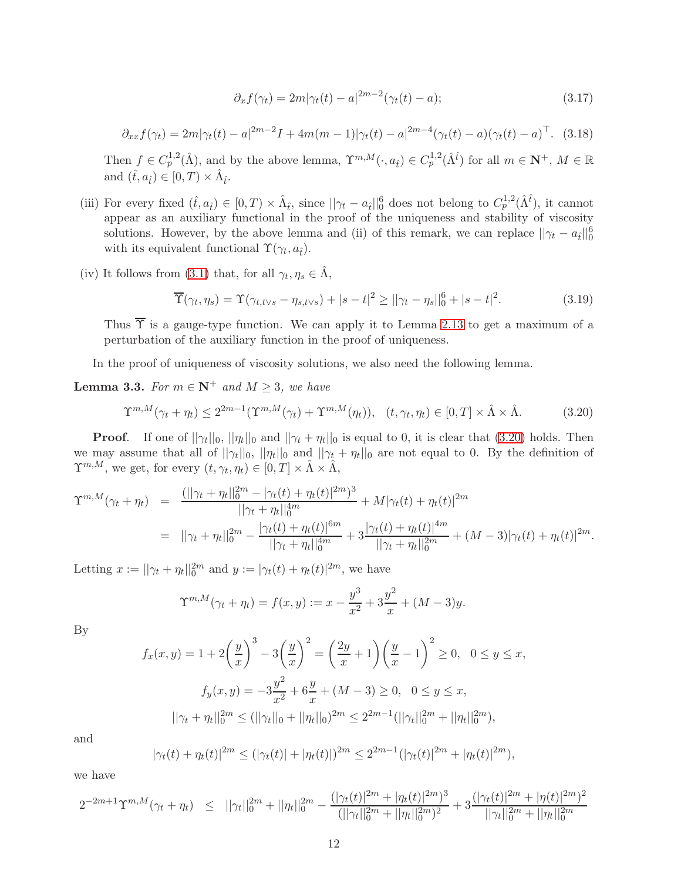<span id="page-11-2"></span>
$$
\partial_x f(\gamma_t) = 2m|\gamma_t(t) - a|^{2m-2}(\gamma_t(t) - a); \tag{3.17}
$$

<span id="page-11-3"></span>
$$
\partial_{xx} f(\gamma_t) = 2m|\gamma_t(t) - a|^{2m-2}I + 4m(m-1)|\gamma_t(t) - a|^{2m-4}(\gamma_t(t) - a)(\gamma_t(t) - a)^{\top}.
$$
 (3.18)

Then  $f \in C_p^{1,2}(\hat{\Lambda})$ , and by the above lemma,  $\Upsilon^{m,M}(\cdot, a_{\hat{t}}) \in C_p^{1,2}(\hat{\Lambda}^{\hat{t}})$  for all  $m \in \mathbb{N}^+$ ,  $M \in \mathbb{R}$ and  $(\hat{t}, a_{\hat{t}}) \in [0, T) \times \hat{\Lambda}_{\hat{t}}$ .

- (iii) For every fixed  $(\hat{t}, a_{\hat{t}}) \in [0, T) \times \hat{\Lambda}_{\hat{t}}$ , since  $||\gamma_t a_{\hat{t}}||_0^6$  does not belong to  $C_p^{1,2}(\hat{\Lambda}^{\hat{t}})$ , it cannot appear as an auxiliary functional in the proof of the uniqueness and stability of viscosity solutions. However, by the above lemma and (ii) of this remark, we can replace  $||\gamma_t - a_t||_0^6$ with its equivalent functional  $\Upsilon(\gamma_t, a_{\hat{t}})$ .
- (iv) It follows from [\(3.1\)](#page-8-4) that, for all  $\gamma_t, \eta_s \in \hat{\Lambda}$ ,

<span id="page-11-1"></span>
$$
\overline{\Upsilon}(\gamma_t, \eta_s) = \Upsilon(\gamma_{t,t\vee s} - \eta_{s,t\vee s}) + |s - t|^2 \ge ||\gamma_t - \eta_s||_0^6 + |s - t|^2. \tag{3.19}
$$

Thus  $\overline{\Upsilon}$  is a gauge-type function. We can apply it to Lemma [2.13](#page-7-1) to get a maximum of a perturbation of the auxiliary function in the proof of uniqueness.

In the proof of uniqueness of viscosity solutions, we also need the following lemma.

<span id="page-11-4"></span>**Lemma 3.3.** For  $m \in \mathbb{N}^+$  and  $M \geq 3$ , we have

<span id="page-11-0"></span>
$$
\Upsilon^{m,M}(\gamma_t + \eta_t) \le 2^{2m-1}(\Upsilon^{m,M}(\gamma_t) + \Upsilon^{m,M}(\eta_t)), \quad (t, \gamma_t, \eta_t) \in [0, T] \times \hat{\Lambda} \times \hat{\Lambda}.
$$
 (3.20)

**Proof.** If one of  $||\gamma_t||_0$ ,  $||\eta_t||_0$  and  $||\gamma_t + \eta_t||_0$  is equal to 0, it is clear that [\(3.20\)](#page-11-0) holds. Then we may assume that all of  $||\gamma_t||_0$ ,  $||\eta_t||_0$  and  $||\gamma_t + \eta_t||_0$  are not equal to 0. By the definition of  $\Upsilon^{m,M}$ , we get, for every  $(t, \gamma_t, \eta_t) \in [0, T] \times \hat{\Lambda} \times \hat{\Lambda}$ ,

$$
\begin{split}\n\Upsilon^{m,M}(\gamma_t + \eta_t) &= \frac{(||\gamma_t + \eta_t||_0^{2m} - |\gamma_t(t) + \eta_t(t)|^{2m})^3}{||\gamma_t + \eta_t||_0^{4m}} + M|\gamma_t(t) + \eta_t(t)|^{2m} \\
&= ||\gamma_t + \eta_t||_0^{2m} - \frac{|\gamma_t(t) + \eta_t(t)|^{6m}}{||\gamma_t + \eta_t||_0^{4m}} + 3\frac{|\gamma_t(t) + \eta_t(t)|^{4m}}{||\gamma_t + \eta_t||_0^{2m}} + (M-3)|\gamma_t(t) + \eta_t(t)|^{2m}.\n\end{split}
$$

Letting  $x := ||\gamma_t + \eta_t||_0^{2m}$  and  $y := |\gamma_t(t) + \eta_t(t)|^{2m}$ , we have

$$
\Upsilon^{m,M}(\gamma_t + \eta_t) = f(x,y) := x - \frac{y^3}{x^2} + 3\frac{y^2}{x} + (M-3)y.
$$

By

$$
f_x(x,y) = 1 + 2\left(\frac{y}{x}\right)^3 - 3\left(\frac{y}{x}\right)^2 = \left(\frac{2y}{x} + 1\right)\left(\frac{y}{x} - 1\right)^2 \ge 0, \quad 0 \le y \le x,
$$
  

$$
f_y(x,y) = -3\frac{y^2}{x^2} + 6\frac{y}{x} + (M-3) \ge 0, \quad 0 \le y \le x,
$$
  

$$
||\gamma_t + \eta_t||_0^{2m} \le (||\gamma_t||_0 + ||\eta_t||_0)^{2m} \le 2^{2m-1}(||\gamma_t||_0^{2m} + ||\eta_t||_0^{2m}),
$$

and

$$
|\gamma_t(t) + \eta_t(t)|^{2m} \le (|\gamma_t(t)| + |\eta_t(t)|)^{2m} \le 2^{2m-1} (|\gamma_t(t)|^{2m} + |\eta_t(t)|^{2m}),
$$

we have

$$
2^{-2m+1}\Upsilon^{m,M}(\gamma_t+\eta_t) \leq ||\gamma_t||_0^{2m} + ||\eta_t||_0^{2m} - \frac{(|\gamma_t(t)|^{2m} + |\eta_t(t)|^{2m})^3}{(||\gamma_t||_0^{2m} + ||\eta_t||_0^{2m})^2} + 3\frac{(|\gamma_t(t)|^{2m} + |\eta(t)|^{2m})^2}{||\gamma_t||_0^{2m} + ||\eta_t||_0^{2m}}
$$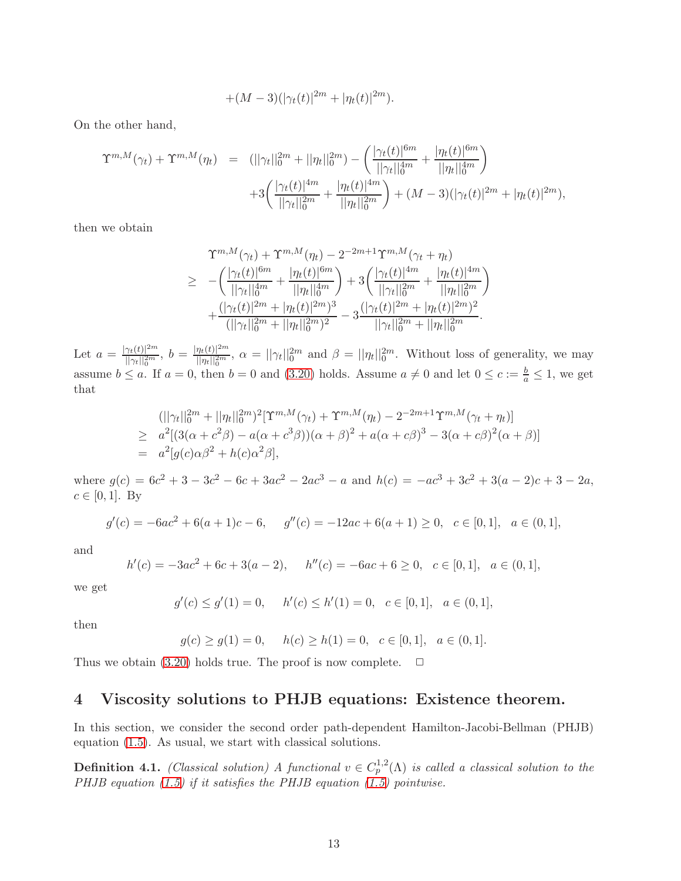$$
+(M-3)(|\gamma_t(t)|^{2m}+|\eta_t(t)|^{2m}).
$$

On the other hand,

$$
\begin{array}{rcl}\n\Upsilon^{m,M}(\gamma_t) + \Upsilon^{m,M}(\eta_t) & = & \left( ||\gamma_t||_0^{2m} + ||\eta_t||_0^{2m} \right) - \left( \frac{|\gamma_t(t)|^{6m}}{||\gamma_t||_0^{4m}} + \frac{|\eta_t(t)|^{6m}}{||\eta_t||_0^{4m}} \right) \\
& & \left. + 3 \left( \frac{|\gamma_t(t)|^{4m}}{||\gamma_t||_0^{2m}} + \frac{|\eta_t(t)|^{4m}}{||\eta_t||_0^{2m}} \right) + (M-3) \left( |\gamma_t(t)|^{2m} + |\eta_t(t)|^{2m} \right),\n\end{array}
$$

then we obtain

$$
\begin{split} \Upsilon^{m,M}(\gamma_t) + \Upsilon^{m,M}(\eta_t) - 2^{-2m+1} \Upsilon^{m,M}(\gamma_t + \eta_t) \\ \geq &\ -\left(\frac{|\gamma_t(t)|^{6m}}{||\gamma_t||_0^{4m}} + \frac{|\eta_t(t)|^{6m}}{||\eta_t||_0^{4m}}\right) + 3\left(\frac{|\gamma_t(t)|^{4m}}{||\gamma_t||_0^{2m}} + \frac{|\eta_t(t)|^{4m}}{||\eta_t||_0^{2m}}\right) \\ + \frac{(|\gamma_t(t)|^{2m} + |\eta_t(t)|^{2m})^3}{(||\gamma_t||_0^{2m} + ||\eta_t||_0^{2m})^2} - 3\frac{(|\gamma_t(t)|^{2m} + |\eta_t(t)|^{2m})^2}{||\gamma_t||_0^{2m} + ||\eta_t||_0^{2m}}. \end{split}
$$

Let  $a = \frac{|\gamma_t(t)|^{2m}}{||\gamma_t||^{2m}}$  $\frac{\gamma_t(t)|^{2m}}{||\gamma_t||_0^{2m}},\; b = \frac{|\eta_t(t)|^{2m}}{||\eta_t||_0^{2m}}$  $\frac{\eta_t(t)|^{2m}}{||\eta_t||_0^{2m}}$ ,  $\alpha = ||\gamma_t||_0^{2m}$  and  $\beta = ||\eta_t||_0^{2m}$ . Without loss of generality, we may assume  $b \le a$ . If  $a = 0$ , then  $b = 0$  and [\(3.20\)](#page-11-0) holds. Assume  $a \ne 0$  and let  $0 \le c := \frac{b}{a} \le 1$ , we get that

$$
(||\gamma_t||_0^{2m} + ||\eta_t||_0^{2m})^2 [\Upsilon^{m,M}(\gamma_t) + \Upsilon^{m,M}(\eta_t) - 2^{-2m+1}\Upsilon^{m,M}(\gamma_t + \eta_t)]
$$
  
\n
$$
\geq a^2 [(3(\alpha + c^2\beta) - a(\alpha + c^3\beta))(\alpha + \beta)^2 + a(\alpha + c\beta)^3 - 3(\alpha + c\beta)^2(\alpha + \beta)]
$$
  
\n
$$
= a^2 [g(c)\alpha\beta^2 + h(c)\alpha^2\beta],
$$

where  $g(c) = 6c^2 + 3 - 3c^2 - 6c + 3ac^2 - 2ac^3 - a$  and  $h(c) = -ac^3 + 3c^2 + 3(a-2)c + 3 - 2a$ ,  $c \in [0, 1]$ . By

$$
g'(c) = -6ac^2 + 6(a+1)c - 6, \quad g''(c) = -12ac + 6(a+1) \ge 0, \quad c \in [0,1], \quad a \in (0,1],
$$

and

$$
h'(c) = -3ac^2 + 6c + 3(a - 2), \quad h''(c) = -6ac + 6 \ge 0, \quad c \in [0, 1], \quad a \in (0, 1],
$$

we get

$$
g'(c) \le g'(1) = 0, \quad h'(c) \le h'(1) = 0, \quad c \in [0, 1], \quad a \in (0, 1],
$$

then

$$
g(c) \ge g(1) = 0
$$
,  $h(c) \ge h(1) = 0$ ,  $c \in [0, 1]$ ,  $a \in (0, 1]$ .

Thus we obtain [\(3.20\)](#page-11-0) holds true. The proof is now complete.  $\Box$ 

# 4 Viscosity solutions to PHJB equations: Existence theorem.

In this section, we consider the second order path-dependent Hamilton-Jacobi-Bellman (PHJB) equation [\(1.5\)](#page-36-1). As usual, we start with classical solutions.

**Definition 4.1.** (Classical solution) A functional  $v \in C_p^{1,2}(\Lambda)$  is called a classical solution to the PHJB equation  $(1.5)$  if it satisfies the PHJB equation  $(1.5)$  pointwise.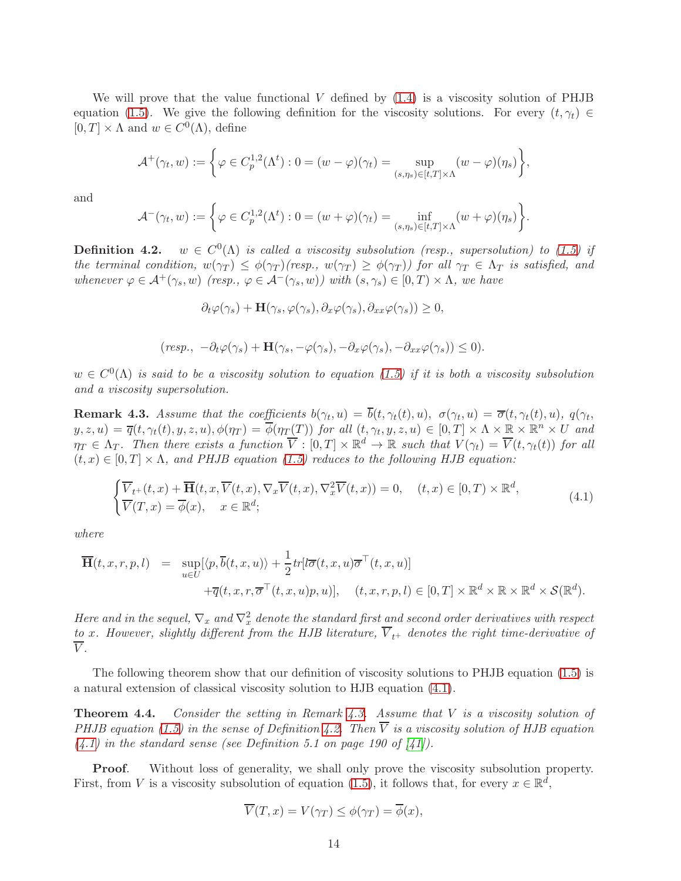We will prove that the value functional  $V$  defined by  $(1.4)$  is a viscosity solution of PHJB equation [\(1.5\)](#page-36-1). We give the following definition for the viscosity solutions. For every  $(t, \gamma_t) \in$  $[0, T] \times \Lambda$  and  $w \in C^{0}(\Lambda)$ , define

$$
\mathcal{A}^+(\gamma_t, w) := \left\{ \varphi \in C_p^{1,2}(\Lambda^t) : 0 = (w - \varphi)(\gamma_t) = \sup_{(s,\eta_s) \in [t,T] \times \Lambda} (w - \varphi)(\eta_s) \right\},\,
$$

and

$$
\mathcal{A}^-(\gamma_t,w) := \left\{ \varphi \in C^{1,2}_p(\Lambda^t) : 0 = (w+\varphi)(\gamma_t) = \inf_{(s,\eta_s) \in [t,T] \times \Lambda} (w+\varphi)(\eta_s) \right\}.
$$

<span id="page-13-0"></span>**Definition 4.2.**  $w \in C^{0}(\Lambda)$  is called a viscosity subsolution (resp., supersolution) to [\(1.5\)](#page-36-1) if the terminal condition,  $w(\gamma_T) \leq \phi(\gamma_T)(resp., w(\gamma_T) \geq \phi(\gamma_T))$  for all  $\gamma_T \in \Lambda_T$  is satisfied, and whenever  $\varphi \in \mathcal{A}^+(\gamma_s, w)$  (resp.,  $\varphi \in \mathcal{A}^-(\gamma_s, w)$ ) with  $(s, \gamma_s) \in [0, T) \times \Lambda$ , we have

$$
\partial_t \varphi(\gamma_s) + \mathbf{H}(\gamma_s, \varphi(\gamma_s), \partial_x \varphi(\gamma_s), \partial_{xx} \varphi(\gamma_s)) \ge 0,
$$

$$
(resp., -\partial_t \varphi(\gamma_s) + \mathbf{H}(\gamma_s, -\varphi(\gamma_s), -\partial_x \varphi(\gamma_s), -\partial_{xx} \varphi(\gamma_s)) \leq 0).
$$

 $w \in C^{0}(\Lambda)$  is said to be a viscosity solution to equation [\(1.5\)](#page-36-1) if it is both a viscosity subsolution and a viscosity supersolution.

<span id="page-13-2"></span>**Remark 4.3.** Assume that the coefficients  $b(\gamma_t, u) = b(t, \gamma_t(t), u)$ ,  $\sigma(\gamma_t, u) = \overline{\sigma}(t, \gamma_t(t), u)$ ,  $q(\gamma_t, u)$  $y, z, u) = \overline{q}(t, \gamma_t(t), y, z, u), \phi(\eta_T) = \overline{\phi}(\eta_T(T))$  for all  $(t, \gamma_t, y, z, u) \in [0, T] \times \Lambda \times \mathbb{R} \times \mathbb{R}^n \times U$  and  $\eta_T \in \Lambda_T$ . Then there exists a function  $\overline{V} : [0,T] \times \mathbb{R}^d \to \mathbb{R}$  such that  $V(\gamma_t) = \overline{V}(t, \gamma_t(t))$  for all  $(t, x) \in [0, T] \times \Lambda$ , and PHJB equation [\(1.5\)](#page-36-1) reduces to the following HJB equation:

<span id="page-13-1"></span>
$$
\begin{cases} \overline{V}_{t+}(t,x) + \overline{\mathbf{H}}(t,x,\overline{V}(t,x),\nabla_{x}\overline{V}(t,x),\nabla_{x}^{2}\overline{V}(t,x)) = 0, \quad (t,x) \in [0,T) \times \mathbb{R}^{d}, \\ \overline{V}(T,x) = \overline{\phi}(x), \quad x \in \mathbb{R}^{d}; \end{cases}
$$
\n(4.1)

where

$$
\overline{\mathbf{H}}(t,x,r,p,l) = \sup_{u \in U} [\langle p, \overline{b}(t,x,u) \rangle + \frac{1}{2} tr [l\overline{\sigma}(t,x,u)\overline{\sigma}^{\top}(t,x,u)] \n+ \overline{q}(t,x,r,\overline{\sigma}^{\top}(t,x,u)p,u)], \quad (t,x,r,p,l) \in [0,T] \times \mathbb{R}^{d} \times \mathbb{R} \times \mathbb{R}^{d} \times \mathcal{S}(\mathbb{R}^{d}).
$$

Here and in the sequel,  $\nabla_x$  and  $\nabla_x^2$  denote the standard first and second order derivatives with respect to x. However, slightly different from the HJB literature,  $\overline{V}_{t+}$  denotes the right time-derivative of  $\overline{V}$ .

The following theorem show that our definition of viscosity solutions to PHJB equation [\(1.5\)](#page-36-1) is a natural extension of classical viscosity solution to HJB equation [\(4.1\)](#page-13-1).

**Theorem 4.4.** Consider the setting in Remark [4.3.](#page-13-2) Assume that  $V$  is a viscosity solution of PHJB equation [\(1.5\)](#page-36-1) in the sense of Definition [4.2.](#page-13-0) Then  $\overline{V}$  is a viscosity solution of HJB equation  $(4.1)$  in the standard sense (see Definition 5.1 on page 190 of  $[41]$ ).

Proof. Without loss of generality, we shall only prove the viscosity subsolution property. First, from V is a viscosity subsolution of equation [\(1.5\)](#page-36-1), it follows that, for every  $x \in \mathbb{R}^d$ ,

$$
\overline{V}(T, x) = V(\gamma_T) \le \phi(\gamma_T) = \overline{\phi}(x),
$$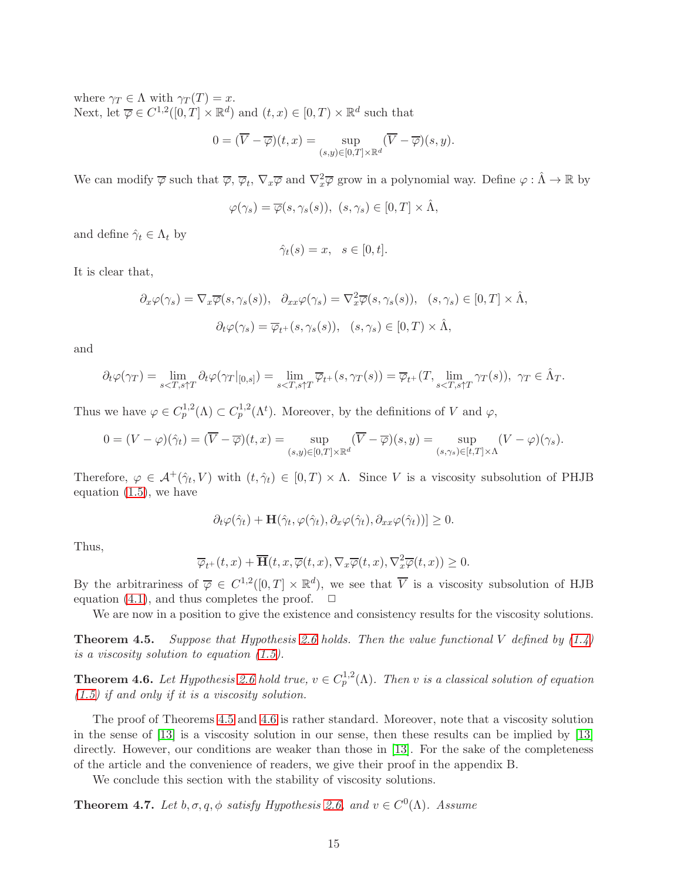where  $\gamma_T \in \Lambda$  with  $\gamma_T(T) = x$ . Next, let  $\overline{\varphi} \in C^{1,2}([0,T] \times \mathbb{R}^d)$  and  $(t,x) \in [0,T] \times \mathbb{R}^d$  such that

$$
0 = (\overline{V} - \overline{\varphi})(t, x) = \sup_{(s,y) \in [0,T] \times \mathbb{R}^d} (\overline{V} - \overline{\varphi})(s, y).
$$

We can modify  $\overline{\varphi}$  such that  $\overline{\varphi}$ ,  $\overline{\varphi}_t$ ,  $\nabla_x \overline{\varphi}$  and  $\nabla_x^2 \overline{\varphi}$  grow in a polynomial way. Define  $\varphi : \hat{\Lambda} \to \mathbb{R}$  by

$$
\varphi(\gamma_s) = \overline{\varphi}(s, \gamma_s(s)), \ (s, \gamma_s) \in [0, T] \times \hat{\Lambda},
$$

and define  $\hat{\gamma}_t \in \Lambda_t$  by

$$
\hat{\gamma}_t(s) = x, \quad s \in [0, t].
$$

It is clear that,

$$
\partial_x \varphi(\gamma_s) = \nabla_x \overline{\varphi}(s, \gamma_s(s)), \quad \partial_{xx} \varphi(\gamma_s) = \nabla_x^2 \overline{\varphi}(s, \gamma_s(s)), \quad (s, \gamma_s) \in [0, T] \times \hat{\Lambda},
$$

$$
\partial_t \varphi(\gamma_s) = \overline{\varphi}_{t^+}(s, \gamma_s(s)), \quad (s, \gamma_s) \in [0, T] \times \hat{\Lambda},
$$

and

$$
\partial_t \varphi(\gamma_T) = \lim_{s < T, s \uparrow T} \partial_t \varphi(\gamma_T |_{[0, s]}) = \lim_{s < T, s \uparrow T} \overline{\varphi}_{t^+}(s, \gamma_T(s)) = \overline{\varphi}_{t^+}(T, \lim_{s < T, s \uparrow T} \gamma_T(s)), \ \gamma_T \in \hat{\Lambda}_T.
$$

Thus we have  $\varphi \in C_p^{1,2}(\Lambda) \subset C_p^{1,2}(\Lambda^t)$ . Moreover, by the definitions of V and  $\varphi$ ,

$$
0=(V-\varphi)(\hat{\gamma}_t)=(\overline{V}-\overline{\varphi})(t,x)=\sup_{(s,y)\in[0,T]\times\mathbb{R}^d}(\overline{V}-\overline{\varphi})(s,y)=\sup_{(s,\gamma_s)\in[t,T]\times\Lambda}(V-\varphi)(\gamma_s).
$$

Therefore,  $\varphi \in \mathcal{A}^+(\hat{\gamma}_t, V)$  with  $(t, \hat{\gamma}_t) \in [0, T) \times \Lambda$ . Since V is a viscosity subsolution of PHJB equation  $(1.5)$ , we have

$$
\partial_t \varphi(\hat{\gamma}_t) + \mathbf{H}(\hat{\gamma}_t, \varphi(\hat{\gamma}_t), \partial_x \varphi(\hat{\gamma}_t), \partial_{xx} \varphi(\hat{\gamma}_t))] \geq 0.
$$

Thus,

$$
\overline{\varphi}_{t+}(t,x)+\overline{\mathbf{H}}(t,x,\overline{\varphi}(t,x),\nabla_x\overline{\varphi}(t,x),\nabla_x^2\overline{\varphi}(t,x))\geq 0.
$$

By the arbitrariness of  $\overline{\varphi} \in C^{1,2}([0,T] \times \mathbb{R}^d)$ , we see that  $\overline{V}$  is a viscosity subsolution of HJB equation [\(4.1\)](#page-13-1), and thus completes the proof.  $\Box$ 

We are now in a position to give the existence and consistency results for the viscosity solutions.

<span id="page-14-0"></span>**Theorem 4.5.** Suppose that Hypothesis [2.6](#page-5-0) holds. Then the value functional V defined by  $(1.4)$ is a viscosity solution to equation [\(1.5\)](#page-36-1).

<span id="page-14-1"></span>**Theorem 4.6.** Let Hypothesis [2.6](#page-5-0) hold true,  $v \in C_p^{1,2}(\Lambda)$ . Then v is a classical solution of equation  $(1.5)$  if and only if it is a viscosity solution.

The proof of Theorems [4.5](#page-14-0) and [4.6](#page-14-1) is rather standard. Moreover, note that a viscosity solution in the sense of [\[13\]](#page-41-9) is a viscosity solution in our sense, then these results can be implied by [\[13\]](#page-41-9) directly. However, our conditions are weaker than those in [\[13\]](#page-41-9). For the sake of the completeness of the article and the convenience of readers, we give their proof in the appendix B.

We conclude this section with the stability of viscosity solutions.

**Theorem 4.7.** Let  $b, \sigma, q, \phi$  satisfy Hypothesis [2.6,](#page-5-0) and  $v \in C^0(\Lambda)$ . Assume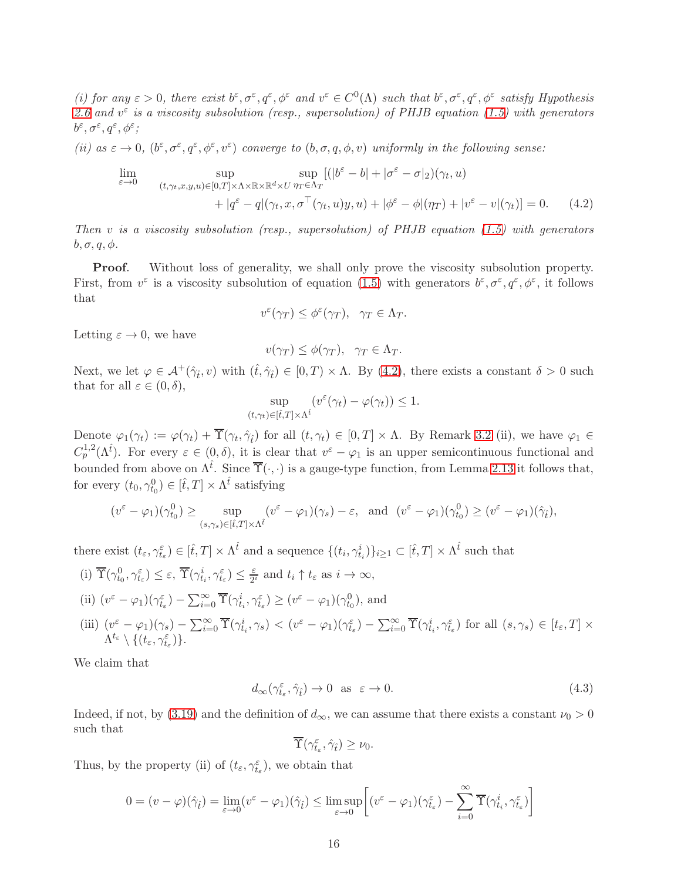(i) for any  $\varepsilon > 0$ , there exist  $b^{\varepsilon}, \sigma^{\varepsilon}, q^{\varepsilon}, \phi^{\varepsilon}$  and  $v^{\varepsilon} \in C^{0}(\Lambda)$  such that  $b^{\varepsilon}, \sigma^{\varepsilon}, q^{\varepsilon}, \phi^{\varepsilon}$  satisfy Hypothesis [2.6](#page-5-0) and  $v^{\varepsilon}$  is a viscosity subsolution (resp., supersolution) of PHJB equation [\(1.5\)](#page-36-1) with generators  $b^{\varepsilon}, \sigma^{\varepsilon}, q^{\varepsilon}, \phi^{\varepsilon}$ ;

(ii) as  $\varepsilon \to 0$ ,  $(b^{\varepsilon}, \sigma^{\varepsilon}, q^{\varepsilon}, \phi^{\varepsilon}, v^{\varepsilon})$  converge to  $(b, \sigma, q, \phi, v)$  uniformly in the following sense:

<span id="page-15-0"></span>
$$
\lim_{\varepsilon \to 0} \sup_{(t,\gamma_t,x,y,u) \in [0,T] \times \Lambda \times \mathbb{R} \times \mathbb{R}^d \times U} \sup_{\eta_T \in \Lambda_T} [(|b^{\varepsilon} - b| + |\sigma^{\varepsilon} - \sigma|_2)(\gamma_t, u) \n+ |\sigma^{\varepsilon} - q|(\gamma_t,x,\sigma^{\top}(\gamma_t,u)y,u) + |\phi^{\varepsilon} - \phi|(\eta_T) + |v^{\varepsilon} - v|(\gamma_t)] = 0.
$$
\n(4.2)

Then v is a viscosity subsolution (resp., supersolution) of  $PHJB$  equation [\(1.5\)](#page-36-1) with generators  $b, \sigma, q, \phi.$ 

Proof. Without loss of generality, we shall only prove the viscosity subsolution property. First, from  $v^{\varepsilon}$  is a viscosity subsolution of equation [\(1.5\)](#page-36-1) with generators  $b^{\varepsilon}, \sigma^{\varepsilon}, q^{\varepsilon}, \phi^{\varepsilon}$ , it follows that

$$
v^{\varepsilon}(\gamma_T) \le \phi^{\varepsilon}(\gamma_T), \quad \gamma_T \in \Lambda_T.
$$

Letting  $\varepsilon \to 0$ , we have

$$
v(\gamma_T) \le \phi(\gamma_T), \quad \gamma_T \in \Lambda_T.
$$

Next, we let  $\varphi \in \mathcal{A}^+(\hat{\gamma}_t, v)$  with  $(\hat{t}, \hat{\gamma}_t) \in [0, T) \times \Lambda$ . By [\(4.2\)](#page-15-0), there exists a constant  $\delta > 0$  such that for all  $\varepsilon \in (0, \delta)$ ,

$$
\sup_{(t,\gamma_t)\in[\hat{t},T]\times\Lambda^{\hat{t}}} (v^{\varepsilon}(\gamma_t)-\varphi(\gamma_t))\leq 1.
$$

Denote  $\varphi_1(\gamma_t) := \varphi(\gamma_t) + \Upsilon(\gamma_t, \hat{\gamma}_t)$  for all  $(t, \gamma_t) \in [0, T] \times \Lambda$ . By Remark 3.2 (ii), we have  $\varphi_1 \in$  $C_p^{1,2}(\Lambda^{\hat{t}})$ . For every  $\varepsilon \in (0,\delta)$ , it is clear that  $v^{\varepsilon} - \varphi_1$  is an upper semicontinuous functional and bounded from above on  $\Lambda^{\hat{t}}$ . Since  $\overline{\Upsilon}(\cdot,\cdot)$  is a gauge-type function, from Lemma [2.13](#page-7-1) it follows that, for every  $(t_0, \gamma_{t_0}^0) \in [\hat{t}, T] \times \Lambda^{\hat{t}}$  satisfying

$$
(v^{\varepsilon} - \varphi_1)(\gamma_{t_0}^0) \ge \sup_{(s,\gamma_s)\in[\hat{t},T]\times\Lambda^{\hat{t}}} (v^{\varepsilon} - \varphi_1)(\gamma_s) - \varepsilon, \text{ and } (v^{\varepsilon} - \varphi_1)(\gamma_{t_0}^0) \ge (v^{\varepsilon} - \varphi_1)(\hat{\gamma}_{\hat{t}}),
$$

there exist  $(t_{\varepsilon}, \gamma_{t_{\varepsilon}}^{\varepsilon}) \in [\hat{t}, T] \times \Lambda^{\hat{t}}$  and a sequence  $\{(t_i, \gamma_{t_i}^i)\}_{i \geq 1} \subset [\hat{t}, T] \times \Lambda^{\hat{t}}$  such that

(i) 
$$
\overline{\Upsilon}(\gamma_{t_0}^0, \gamma_{t_{\varepsilon}}^{\varepsilon}) \leq \varepsilon
$$
,  $\overline{\Upsilon}(\gamma_{t_i}^i, \gamma_{t_{\varepsilon}}^{\varepsilon}) \leq \frac{\varepsilon}{2^i}$  and  $t_i \uparrow t_{\varepsilon}$  as  $i \to \infty$ ,  
\n(ii)  $(v^{\varepsilon} - \varphi_1)(\gamma_{t_{\varepsilon}}^{\varepsilon}) - \sum_{i=0}^{\infty} \overline{\Upsilon}(\gamma_{t_i}^i, \gamma_{t_{\varepsilon}}^{\varepsilon}) \geq (v^{\varepsilon} - \varphi_1)(\gamma_{t_0}^0)$ , and  
\n(iii)  $(v^{\varepsilon} - \varphi_1)(\gamma_s) - \sum_{i=0}^{\infty} \overline{\Upsilon}(\gamma_{t_i}^i, \gamma_s) < (v^{\varepsilon} - \varphi_1)(\gamma_{t_{\varepsilon}}^{\varepsilon}) - \sum_{i=0}^{\infty} \overline{\Upsilon}(\gamma_{t_i}^i, \gamma_{t_{\varepsilon}}^{\varepsilon})$  for all  $(s, \gamma_s) \in [t_{\varepsilon}, T] \times \Lambda^{t_{\varepsilon}} \setminus \{(t_{\varepsilon}, \gamma_{t_{\varepsilon}}^{\varepsilon})\}$ .

We claim that

<span id="page-15-1"></span>
$$
d_{\infty}(\gamma_{t_{\varepsilon}}^{\varepsilon}, \hat{\gamma}_{t}) \to 0 \quad \text{as} \quad \varepsilon \to 0. \tag{4.3}
$$

Indeed, if not, by [\(3.19\)](#page-11-1) and the definition of  $d_{\infty}$ , we can assume that there exists a constant  $\nu_0 > 0$ such that

$$
\overline{\Upsilon}(\gamma_{t_\varepsilon}^\varepsilon,\hat{\gamma}_{\hat{t}})\geq \nu_0.
$$

Thus, by the property (ii) of  $(t_{\varepsilon}, \gamma_{t_{\varepsilon}}^{\varepsilon})$ , we obtain that

$$
0 = (v - \varphi)(\hat{\gamma}_t) = \lim_{\varepsilon \to 0} (v^{\varepsilon} - \varphi_1)(\hat{\gamma}_t) \le \limsup_{\varepsilon \to 0} \left[ (v^{\varepsilon} - \varphi_1)(\gamma_{t_{\varepsilon}}^{\varepsilon}) - \sum_{i=0}^{\infty} \overline{\Upsilon}(\gamma_{t_i}^i, \gamma_{t_{\varepsilon}}^{\varepsilon}) \right]
$$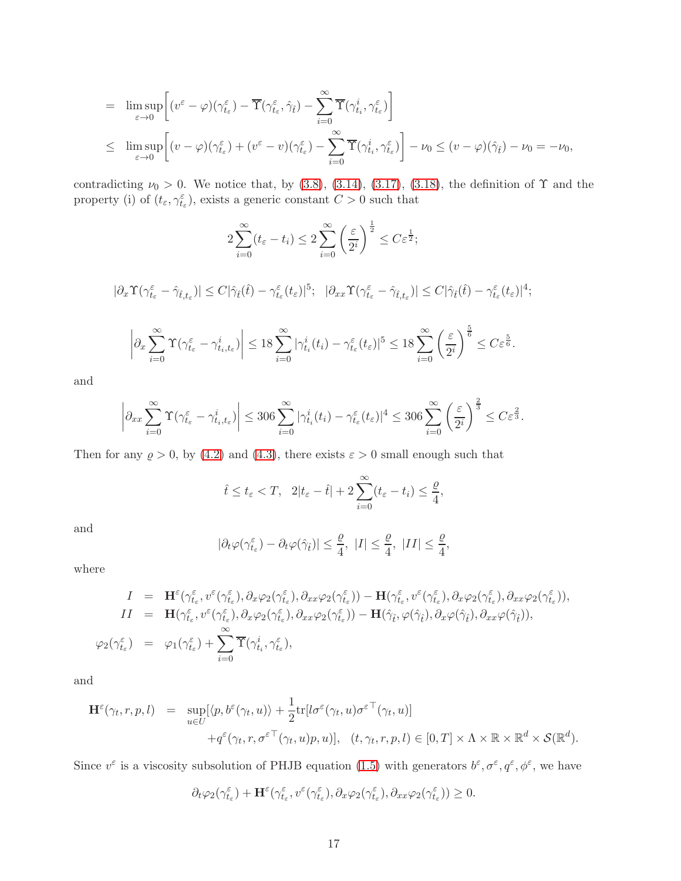$$
= \limsup_{\varepsilon \to 0} \left[ (v^{\varepsilon} - \varphi)(\gamma_{t_{\varepsilon}}^{\varepsilon}) - \overline{\Upsilon}(\gamma_{t_{\varepsilon}}^{\varepsilon}, \hat{\gamma}_{\hat{t}}) - \sum_{i=0}^{\infty} \overline{\Upsilon}(\gamma_{t_i}^{i}, \gamma_{t_{\varepsilon}}^{\varepsilon}) \right]
$$
  

$$
\leq \limsup_{\varepsilon \to 0} \left[ (v - \varphi)(\gamma_{t_{\varepsilon}}^{\varepsilon}) + (v^{\varepsilon} - v)(\gamma_{t_{\varepsilon}}^{\varepsilon}) - \sum_{i=0}^{\infty} \overline{\Upsilon}(\gamma_{t_i}^{i}, \gamma_{t_{\varepsilon}}^{\varepsilon}) \right] - \nu_0 \leq (v - \varphi)(\hat{\gamma}_{\hat{t}}) - \nu_0 = -\nu_0,
$$

contradicting  $\nu_0 > 0$ . We notice that, by [\(3.8\)](#page-9-6), [\(3.14\)](#page-10-2), [\(3.17\)](#page-11-2), [\(3.18\)](#page-11-3), the definition of  $\Upsilon$  and the property (i) of  $(t_{\varepsilon}, \gamma_{t_{\varepsilon}}^{\varepsilon})$ , exists a generic constant  $C > 0$  such that

$$
2\sum_{i=0}^{\infty}(t_{\varepsilon}-t_{i}) \leq 2\sum_{i=0}^{\infty}\left(\frac{\varepsilon}{2^{i}}\right)^{\frac{1}{2}} \leq C\varepsilon^{\frac{1}{2}};
$$

 $|\partial_x \Upsilon (\gamma^\varepsilon_{t\varepsilon} - \hat{\gamma}_{\hat{t},t\varepsilon})| \leq C |\hat{\gamma}_{\hat{t}}(\hat{t}) - \gamma^\varepsilon_{t\varepsilon}(t\varepsilon)|^5; \quad |\partial_{xx} \Upsilon (\gamma^\varepsilon_{t\varepsilon} - \hat{\gamma}_{\hat{t},t\varepsilon})| \leq C |\hat{\gamma}_{\hat{t}}(\hat{t}) - \gamma^\varepsilon_{t\varepsilon}(t\varepsilon)|^4;$ 

$$
\left| \partial_x \sum_{i=0}^{\infty} \Upsilon(\gamma_{t_{\varepsilon}}^{\varepsilon} - \gamma_{t_i, t_{\varepsilon}}^i) \right| \leq 18 \sum_{i=0}^{\infty} |\gamma_{t_i}^i(t_i) - \gamma_{t_{\varepsilon}}^{\varepsilon}(t_{\varepsilon})|^5 \leq 18 \sum_{i=0}^{\infty} \left( \frac{\varepsilon}{2^i} \right)^{\frac{5}{6}} \leq C \varepsilon^{\frac{5}{6}}.
$$

and

$$
\left|\partial_{xx}\sum_{i=0}^{\infty}\Upsilon(\gamma_{t_{\varepsilon}}^{\varepsilon}-\gamma_{t_{i},t_{\varepsilon}}^{i})\right|\leq 306\sum_{i=0}^{\infty}|\gamma_{t_{i}}^{i}(t_{i})-\gamma_{t_{\varepsilon}}^{\varepsilon}(t_{\varepsilon})|^{4}\leq 306\sum_{i=0}^{\infty}\left(\frac{\varepsilon}{2^{i}}\right)^{\frac{2}{3}}\leq C\varepsilon^{\frac{2}{3}}.
$$

Then for any  $\rho > 0$ , by [\(4.2\)](#page-15-0) and [\(4.3\)](#page-15-1), there exists  $\varepsilon > 0$  small enough such that

$$
\hat{t} \le t_{\varepsilon} < T, \quad 2|t_{\varepsilon} - \hat{t}| + 2\sum_{i=0}^{\infty} (t_{\varepsilon} - t_i) \le \frac{\varrho}{4},
$$

and

$$
|\partial_t \varphi(\gamma^\varepsilon_{t_\varepsilon}) - \partial_t \varphi(\hat{\gamma}_t)| \leq \frac{\varrho}{4}, \ |I| \leq \frac{\varrho}{4}, \ |II| \leq \frac{\varrho}{4},
$$

where

$$
I = \mathbf{H}^{\varepsilon}(\gamma_{t_{\varepsilon}}^{\varepsilon}, v^{\varepsilon}(\gamma_{t_{\varepsilon}}^{\varepsilon}), \partial_x \varphi_2(\gamma_{t_{\varepsilon}}^{\varepsilon}), \partial_{xx} \varphi_2(\gamma_{t_{\varepsilon}}^{\varepsilon})) - \mathbf{H}(\gamma_{t_{\varepsilon}}^{\varepsilon}, v^{\varepsilon}(\gamma_{t_{\varepsilon}}^{\varepsilon}), \partial_x \varphi_2(\gamma_{t_{\varepsilon}}^{\varepsilon})), I I = \mathbf{H}(\gamma_{t_{\varepsilon}}^{\varepsilon}, v^{\varepsilon}(\gamma_{t_{\varepsilon}}^{\varepsilon}), \partial_x \varphi_2(\gamma_{t_{\varepsilon}}^{\varepsilon}), \partial_{xx} \varphi_2(\gamma_{t_{\varepsilon}}^{\varepsilon})) - \mathbf{H}(\hat{\gamma}_{\varepsilon}, \varphi(\hat{\gamma}_{\varepsilon}), \partial_x \varphi(\hat{\gamma}_{\varepsilon}), \partial_{xx} \varphi(\hat{\gamma}_{\varepsilon})), \varphi_2(\gamma_{t_{\varepsilon}}^{\varepsilon}) = \varphi_1(\gamma_{t_{\varepsilon}}^{\varepsilon}) + \sum_{i=0}^{\infty} \overline{\Upsilon}(\gamma_{t_i}^i, \gamma_{t_{\varepsilon}}^{\varepsilon}),
$$

and

$$
\mathbf{H}^{\varepsilon}(\gamma_t, r, p, l) = \sup_{u \in U} [\langle p, b^{\varepsilon}(\gamma_t, u) \rangle + \frac{1}{2} \text{tr}[l \sigma^{\varepsilon}(\gamma_t, u) \sigma^{\varepsilon \top}(\gamma_t, u)] \n+ q^{\varepsilon}(\gamma_t, r, \sigma^{\varepsilon \top}(\gamma_t, u) p, u)], \quad (t, \gamma_t, r, p, l) \in [0, T] \times \Lambda \times \mathbb{R} \times \mathbb{R}^d \times \mathcal{S}(\mathbb{R}^d).
$$

Since  $v^{\varepsilon}$  is a viscosity subsolution of PHJB equation [\(1.5\)](#page-36-1) with generators  $b^{\varepsilon}, \sigma^{\varepsilon}, q^{\varepsilon}, \phi^{\varepsilon}$ , we have

$$
\partial_t\varphi_2(\gamma^\varepsilon_{t_\varepsilon})+\mathbf H^\varepsilon(\gamma^\varepsilon_{t_\varepsilon},v^\varepsilon(\gamma^\varepsilon_{t_\varepsilon}),\partial_x\varphi_2(\gamma^\varepsilon_{t_\varepsilon}),\partial_{xx}\varphi_2(\gamma^\varepsilon_{t_\varepsilon}))\geq 0.
$$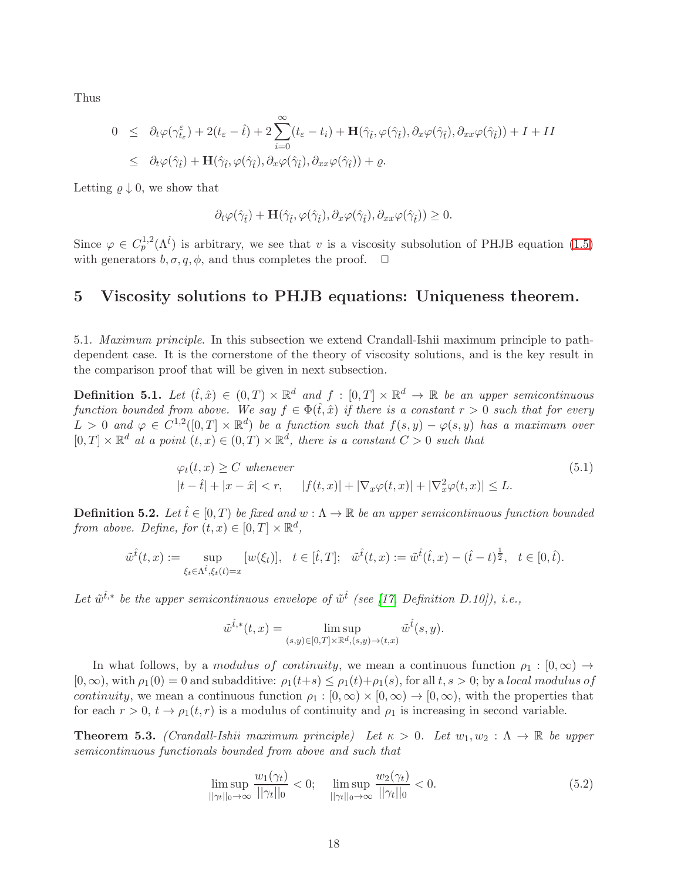Thus

$$
0 \leq \partial_t \varphi(\gamma_{t_\varepsilon}^\varepsilon) + 2(t_\varepsilon - \hat{t}) + 2 \sum_{i=0}^\infty (t_\varepsilon - t_i) + \mathbf{H}(\hat{\gamma}_{\hat{t}}, \varphi(\hat{\gamma}_{\hat{t}}), \partial_x \varphi(\hat{\gamma}_{\hat{t}}), \partial_{xx} \varphi(\hat{\gamma}_{\hat{t}})) + I + II \leq \partial_t \varphi(\hat{\gamma}_{\hat{t}}) + \mathbf{H}(\hat{\gamma}_{\hat{t}}, \varphi(\hat{\gamma}_{\hat{t}}), \partial_x \varphi(\hat{\gamma}_{\hat{t}}), \partial_{xx} \varphi(\hat{\gamma}_{\hat{t}})) + \varrho.
$$

Letting  $\rho \downarrow 0$ , we show that

$$
\partial_t \varphi(\hat{\gamma}_{\hat{t}}) + \mathbf{H}(\hat{\gamma}_{\hat{t}}, \varphi(\hat{\gamma}_{\hat{t}}), \partial_x \varphi(\hat{\gamma}_{\hat{t}}), \partial_{xx} \varphi(\hat{\gamma}_{\hat{t}})) \geq 0.
$$

Since  $\varphi \in C_p^{1,2}(\Lambda^{\hat{t}})$  is arbitrary, we see that v is a viscosity subsolution of PHJB equation [\(1.5\)](#page-36-1) with generators  $b, \sigma, q, \phi$ , and thus completes the proof.  $\Box$ 

#### 5 Viscosity solutions to PHJB equations: Uniqueness theorem.

5.1. Maximum principle. In this subsection we extend Crandall-Ishii maximum principle to pathdependent case. It is the cornerstone of the theory of viscosity solutions, and is the key result in the comparison proof that will be given in next subsection.

**Definition 5.1.** Let  $(\hat{t}, \hat{x}) \in (0,T) \times \mathbb{R}^d$  and  $f : [0,T] \times \mathbb{R}^d \to \mathbb{R}$  be an upper semicontinuous function bounded from above. We say  $f \in \Phi(\hat{t}, \hat{x})$  if there is a constant  $r > 0$  such that for every  $L > 0$  and  $\varphi \in C^{1,2}([0,T] \times \mathbb{R}^d)$  be a function such that  $f(s,y) - \varphi(s,y)$  has a maximum over  $[0,T] \times \mathbb{R}^d$  at a point  $(t,x) \in (0,T) \times \mathbb{R}^d$ , there is a constant  $C > 0$  such that

<span id="page-17-0"></span>
$$
\varphi_t(t,x) \ge C \text{ whenever } |t-\hat{t}|+|x-\hat{x}| < r, \qquad |f(t,x)|+|\nabla_x \varphi(t,x)|+|\nabla_x^2 \varphi(t,x)| \le L.
$$
\n
$$
(5.1)
$$

<span id="page-17-3"></span>**Definition 5.2.** Let  $\hat{t} \in [0, T)$  be fixed and  $w : \Lambda \to \mathbb{R}$  be an upper semicontinuous function bounded from above. Define, for  $(t, x) \in [0, T] \times \mathbb{R}^d$ ,

$$
\tilde{w}^{\hat{t}}(t,x) := \sup_{\xi_t \in \Lambda^{\hat{t}}, \xi_t(t) = x} [w(\xi_t)], \quad t \in [\hat{t},T]; \quad \tilde{w}^{\hat{t}}(t,x) := \tilde{w}^{\hat{t}}(\hat{t},x) - (\hat{t}-t)^{\frac{1}{2}}, \quad t \in [0,\hat{t}).
$$

Let  $\tilde{w}^{\hat{t},*}$  be the upper semicontinuous envelope of  $\tilde{w}^{\hat{t}}$  (see [\[17,](#page-41-5) Definition D.10]), i.e.,

$$
\tilde{w}^{\hat{t},*}(t,x) = \limsup_{(s,y)\in[0,T]\times\mathbb{R}^d, (s,y)\to(t,x)} \tilde{w}^{\hat{t}}(s,y).
$$

In what follows, by a modulus of continuity, we mean a continuous function  $\rho_1 : [0, \infty) \rightarrow$  $[0,\infty)$ , with  $\rho_1(0) = 0$  and subadditive:  $\rho_1(t+s) \leq \rho_1(t)+\rho_1(s)$ , for all  $t,s > 0$ ; by a local modulus of *continuity*, we mean a continuous function  $\rho_1 : [0, \infty) \times [0, \infty) \to [0, \infty)$ , with the properties that for each  $r > 0$ ,  $t \to \rho_1(t, r)$  is a modulus of continuity and  $\rho_1$  is increasing in second variable.

<span id="page-17-1"></span>**Theorem 5.3.** (Crandall-Ishii maximum principle) Let  $\kappa > 0$ . Let  $w_1, w_2 : \Lambda \to \mathbb{R}$  be upper semicontinuous functionals bounded from above and such that

<span id="page-17-2"></span>
$$
\limsup_{||\gamma_t||_0 \to \infty} \frac{w_1(\gamma_t)}{||\gamma_t||_0} < 0; \quad \limsup_{||\gamma_t||_0 \to \infty} \frac{w_2(\gamma_t)}{||\gamma_t||_0} < 0. \tag{5.2}
$$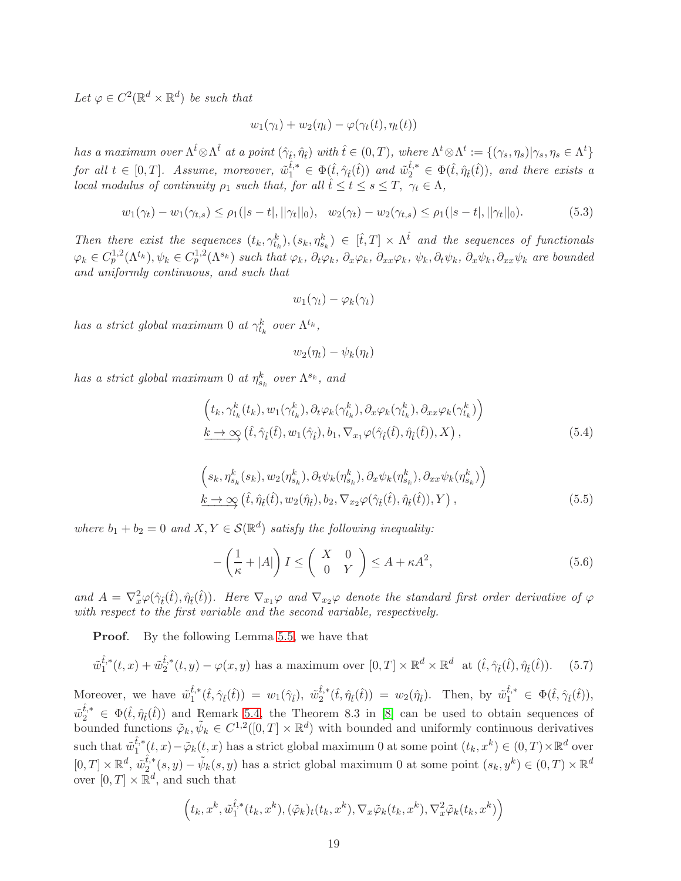Let  $\varphi \in C^2(\mathbb{R}^d \times \mathbb{R}^d)$  be such that

$$
w_1(\gamma_t) + w_2(\eta_t) - \varphi(\gamma_t(t), \eta_t(t))
$$

has a maximum over  $\Lambda^{\hat{t}} \otimes \Lambda^{\hat{t}}$  at a point  $(\hat{\gamma}_{\hat{t}}, \hat{\eta}_{\hat{t}})$  with  $\hat{t} \in (0, T)$ , where  $\Lambda^t \otimes \Lambda^t := \{(\gamma_s, \eta_s) | \gamma_s, \eta_s \in \Lambda^t\}$ for all  $t \in [0,T]$ . Assume, moreover,  $\tilde{w}_1^{\hat{t},*} \in \Phi(\hat{t}, \hat{\gamma}_{\hat{t}}(\hat{t}))$  and  $\tilde{w}_2^{\hat{t},*} \in \Phi(\hat{t}, \hat{\eta}_{\hat{t}}(\hat{t}))$ , and there exists a local modulus of continuity  $\rho_1$  such that, for all  $\hat{t} \leq t \leq s \leq T$ ,  $\gamma_t \in \Lambda$ ,

<span id="page-18-3"></span>
$$
w_1(\gamma_t) - w_1(\gamma_{t,s}) \le \rho_1(|s-t|, ||\gamma_t||_0), \quad w_2(\gamma_t) - w_2(\gamma_{t,s}) \le \rho_1(|s-t|, ||\gamma_t||_0). \tag{5.3}
$$

Then there exist the sequences  $(t_k, \gamma_{t_k}^k), (s_k, \eta_{s_k}^k) \in [\hat{t}, T] \times \Lambda^{\hat{t}}$  and the sequences of functionals  $\varphi_k \in C_p^{1,2}(\Lambda^{t_k}), \psi_k \in C_p^{1,2}(\Lambda^{s_k})$  such that  $\varphi_k$ ,  $\partial_t \varphi_k$ ,  $\partial_x \varphi_k$ ,  $\partial_{xx} \varphi_k$ ,  $\psi_k$ ,  $\partial_x \psi_k$ ,  $\partial_x \psi_k$ , are bounded and uniformly continuous, and such that

$$
w_1(\gamma_t) - \varphi_k(\gamma_t)
$$

has a strict global maximum 0 at  $\gamma_{t_k}^k$  over  $\Lambda^{t_k}$ ,

 $w_2(\eta_t) - \psi_k(\eta_t)$ 

has a strict global maximum 0 at  $\eta^k_{s_k}$  over  $\Lambda^{s_k}$ , and

<span id="page-18-2"></span>
$$
\left(t_k, \gamma_{t_k}^k(t_k), w_1(\gamma_{t_k}^k), \partial_t \varphi_k(\gamma_{t_k}^k), \partial_x \varphi_k(\gamma_{t_k}^k), \partial_{xx} \varphi_k(\gamma_{t_k}^k)\right) \n\underline{k \to \infty} \left(\hat{t}, \hat{\gamma}_{\hat{t}}(\hat{t}), w_1(\hat{\gamma}_{\hat{t}}), b_1, \nabla_{x_1} \varphi(\hat{\gamma}_{\hat{t}}(\hat{t}), \hat{\eta}_{\hat{t}}(\hat{t})), X\right),
$$
\n(5.4)

$$
\left(s_k, \eta_{s_k}^k(s_k), w_2(\eta_{s_k}^k), \partial_t \psi_k(\eta_{s_k}^k), \partial_x \psi_k(\eta_{s_k}^k), \partial_{xx} \psi_k(\eta_{s_k}^k)\right)
$$
\n
$$
\underline{k \to \infty} (\hat{t}, \hat{\eta}_{\hat{t}}(\hat{t}), w_2(\hat{\eta}_{\hat{t}}), b_2, \nabla_{x_2} \varphi(\hat{\gamma}_{\hat{t}}(\hat{t}), \hat{\eta}_{\hat{t}}(\hat{t})), Y),
$$
\n
$$
(5.5)
$$

where  $b_1 + b_2 = 0$  and  $X, Y \in \mathcal{S}(\mathbb{R}^d)$  satisfy the following inequality:

<span id="page-18-0"></span>
$$
-\left(\frac{1}{\kappa} + |A|\right)I \le \left(\begin{array}{cc} X & 0\\ 0 & Y \end{array}\right) \le A + \kappa A^2,\tag{5.6}
$$

and  $A = \nabla_x^2 \varphi(\hat{\gamma}_t(\hat{t}), \hat{\eta}_t(\hat{t}))$ . Here  $\nabla_{x_1} \varphi$  and  $\nabla_{x_2} \varphi$  denote the standard first order derivative of  $\varphi$ with respect to the first variable and the second variable, respectively.

**Proof.** By the following Lemma [5.5,](#page-20-0) we have that

$$
\tilde{w}_1^{\hat{t},*}(t,x) + \tilde{w}_2^{\hat{t},*}(t,y) - \varphi(x,y) \text{ has a maximum over } [0,T] \times \mathbb{R}^d \times \mathbb{R}^d \text{ at } (\hat{t},\hat{\gamma}_{\hat{t}}(\hat{t}),\hat{\eta}_{\hat{t}}(\hat{t})).\tag{5.7}
$$

Moreover, we have  $\tilde{w}_{1}^{\hat{t},*}$  $\begin{array}{rcl} \hat{t}, *(\hat{t}, \hat{\gamma}_{\hat{t}}(\hat{t})) \; = \; w_1(\hat{\gamma}_{\hat{t}}), \; \, \tilde{w}^{\hat{t},*}_2 \end{array}$  $(\hat{t}_2^{\hat{t},*}(\hat{t},\hat{\eta}_{\hat{t}}(\hat{t})) = w_2(\hat{\eta}_{\hat{t}}).$  Then, by  $\tilde{w}_1^{\hat{t},*} \in \Phi(\hat{t},\hat{\gamma}_{\hat{t}}(\hat{t})),$  $\tilde{w}_2^{\hat{t},*} \in \Phi(\hat{t},\hat{\eta}_{\hat{t}}(\hat{t}))$  and Remark [5.4,](#page-20-1) the Theorem 8.3 in [\[8\]](#page-41-1) can be used to obtain sequences of bounded functions  $\tilde{\varphi}_k, \tilde{\psi}_k \in C^{1,2}([0,T] \times \mathbb{R}^d)$  with bounded and uniformly continuous derivatives such that  $\tilde{w}_{1}^{\hat{t},*}$  $_{1}^{t,*}(t,x)-\tilde{\varphi}_{k}(t,x)$  has a strict global maximum 0 at some point  $(t_k,x^k) \in (0,T) \times \mathbb{R}^d$  over  $[0, T] \times \mathbb{R}^d$ ,  $\tilde{w}_2^{\hat{t},*}$  $\psi_{2}^{t,*}(s,y) - \tilde{\psi}_{k}(s,y)$  has a strict global maximum 0 at some point  $(s_k, y^k) \in (0,T) \times \mathbb{R}^d$ over  $[0, T] \times \mathbb{R}^d$ , and such that

<span id="page-18-1"></span>
$$
\left(t_k, x^k, \tilde{w}_1^{\hat{t},*}(t_k, x^k), (\tilde{\varphi}_k)_t(t_k, x^k), \nabla_x \tilde{\varphi}_k(t_k, x^k), \nabla_x^2 \tilde{\varphi}_k(t_k, x^k)\right)
$$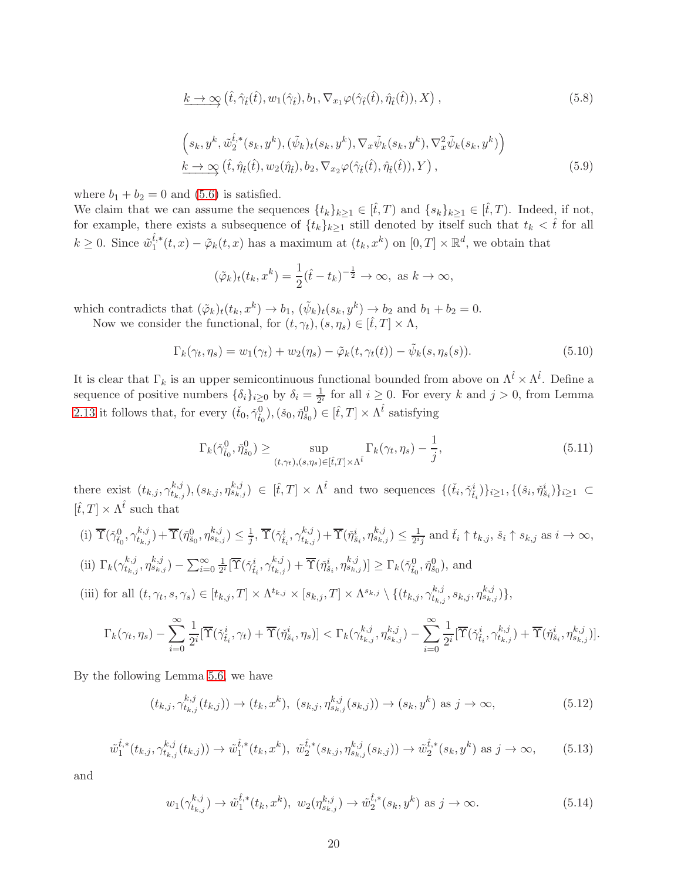$$
\underline{k} \to \infty \left( \hat{t}, \hat{\gamma}_{\hat{t}}(\hat{t}), w_1(\hat{\gamma}_{\hat{t}}), b_1, \nabla_{x_1} \varphi(\hat{\gamma}_{\hat{t}}(\hat{t}), \hat{\eta}_{\hat{t}}(\hat{t})), X \right), \tag{5.8}
$$

<span id="page-19-0"></span>
$$
(s_k, y^k, \tilde{w}_2^{\hat{t},*}(s_k, y^k), (\tilde{\psi}_k)_t(s_k, y^k), \nabla_x \tilde{\psi}_k(s_k, y^k), \nabla_x^2 \tilde{\psi}_k(s_k, y^k))
$$
  

$$
\underline{k \to \infty} (\hat{t}, \hat{\eta}_{\hat{t}}(\hat{t}), w_2(\hat{\eta}_{\hat{t}}), b_2, \nabla_{x_2} \varphi(\hat{\gamma}_{\hat{t}}(\hat{t}), \hat{\eta}_{\hat{t}}(\hat{t})), Y),
$$
 (5.9)

where  $b_1 + b_2 = 0$  and [\(5.6\)](#page-18-0) is satisfied.

We claim that we can assume the sequences  $\{t_k\}_{k\geq 1} \in [\hat{t},T)$  and  $\{s_k\}_{k\geq 1} \in [\hat{t},T)$ . Indeed, if not, for example, there exists a subsequence of  $\{t_k\}_{k\geq 1}$  still denoted by itself such that  $t_k < \hat{t}$  for all  $k \geq 0$ . Since  $\tilde{w}_1^{\hat{t},*}$  $t_1^{t,*}(t,x) - \tilde{\varphi}_k(t,x)$  has a maximum at  $(t_k, x^k)$  on  $[0,T] \times \mathbb{R}^d$ , we obtain that

$$
(\tilde{\varphi}_k)_t(t_k, x^k) = \frac{1}{2}(\hat{t} - t_k)^{-\frac{1}{2}} \to \infty, \text{ as } k \to \infty,
$$

which contradicts that  $(\tilde{\varphi}_k)_t(t_k, x^k) \to b_1$ ,  $(\tilde{\psi}_k)_t(s_k, y^k) \to b_2$  and  $b_1 + b_2 = 0$ .

Now we consider the functional, for  $(t, \gamma_t), (s, \eta_s) \in [\hat{t}, T] \times \Lambda$ ,

$$
\Gamma_k(\gamma_t, \eta_s) = w_1(\gamma_t) + w_2(\eta_s) - \tilde{\varphi}_k(t, \gamma_t(t)) - \tilde{\psi}_k(s, \eta_s(s)).
$$
\n(5.10)

It is clear that  $\Gamma_k$  is an upper semicontinuous functional bounded from above on  $\Lambda^{\hat{t}} \times \Lambda^{\hat{t}}$ . Define a sequence of positive numbers  $\{\delta_i\}_{i\geq 0}$  by  $\delta_i = \frac{1}{2^i}$  for all  $i \geq 0$ . For every k and  $j > 0$ , from Lemma [2.13](#page-7-1) it follows that, for every  $(\check{t}_0, \check{\gamma}_{\check{t}_0}^0), (\check{s}_0, \check{\eta}_{\check{s}_0}^0) \in [\hat{t}, T] \times \Lambda^{\hat{t}}$  satisfying

<span id="page-19-4"></span>
$$
\Gamma_k(\tilde{\gamma}_{t_0}^0, \tilde{\eta}_{s_0}^0) \ge \sup_{(t,\gamma_t), (s,\eta_s)\in[\hat{t},T]\times\Lambda^{\hat{t}}} \Gamma_k(\gamma_t, \eta_s) - \frac{1}{j},\tag{5.11}
$$

there exist  $(t_{k,j}, \gamma_{t_k}^{k,j})$  $(t_{i,k,j}^{k,j}), (s_{k,j}, \eta_{s_{k,j}}^{k,j}) \in [\hat{t},T] \times \Lambda^{\hat{t}}$  and two sequences  $\{(\check{t}_i, \check{\gamma}_{\check{t}_i}^i)\}_{i\geq 1}, \{(\check{s}_i, \check{\eta}_{\check{s}_i}^i)\}_{i\geq 1} \subset$  $[\hat{t}, T] \times \Lambda^{\hat{t}}$  such that

(i) 
$$
\overline{\Upsilon}(\check{\gamma}_{\check{t}_0}^0, \gamma_{t_{k,j}}^{k,j}) + \overline{\Upsilon}(\check{\eta}_{\check{s}_0}^0, \eta_{s_{k,j}}^{k,j}) \le \frac{1}{j}, \overline{\Upsilon}(\check{\gamma}_{\check{t}_i}^i, \gamma_{t_{k,j}}^{k,j}) + \overline{\Upsilon}(\check{\eta}_{\check{s}_i}^i, \eta_{s_{k,j}}^{k,j}) \le \frac{1}{2^{i_j}} \text{ and } \check{t}_i \uparrow t_{k,j}, \check{s}_i \uparrow s_{k,j} \text{ as } i \to \infty,
$$
  
\n(ii)  $\Gamma_k(\gamma_{t_{k,j}}^{k,j}, \eta_{s_{k,j}}^{k,j}) - \sum_{i=0}^{\infty} \frac{1}{2^{i}} [\overline{\Upsilon}(\check{\gamma}_{\check{t}_i}^i, \gamma_{t_{k,j}}^{k,j}) + \overline{\Upsilon}(\check{\eta}_{\check{s}_i}^i, \eta_{s_{k,j}}^{k,j})] \ge \Gamma_k(\check{\gamma}_{t_0}^0, \check{\eta}_{s_0}^0), \text{ and}$ 

(iii) for all 
$$
(t, \gamma_t, s, \gamma_s) \in [t_{k,j}, T] \times \Lambda^{t_{k,j}} \times [s_{k,j}, T] \times \Lambda^{s_{k,j}} \setminus \{(t_{k,j}, \gamma_{t_{k,j}}^{k,j}, s_{k,j}, \eta_{s_{k,j}}^{k,j})\},
$$

$$
\Gamma_k(\gamma_t, \eta_s) - \sum_{i=0}^{\infty} \frac{1}{2^i} [\overline{\Upsilon}(\check{\gamma}_{\tilde{t}_i}^i, \gamma_t) + \overline{\Upsilon}(\check{\eta}_{\tilde{s}_i}^i, \eta_s)] < \Gamma_k(\gamma_{t_{k,j}}^{k,j}, \eta_{s_{k,j}}^{k,j}) - \sum_{i=0}^{\infty} \frac{1}{2^i} [\overline{\Upsilon}(\check{\gamma}_{\tilde{t}_i}^i, \gamma_{t_{k,j}}^{k,j}) + \overline{\Upsilon}(\check{\eta}_{\tilde{s}_i}^i, \eta_{s_{k,j}}^{k,j})].
$$

By the following Lemma [5.6,](#page-22-0) we have

<span id="page-19-1"></span>
$$
(t_{k,j}, \gamma_{t_{k,j}}^{k,j}(t_{k,j})) \to (t_k, x^k), \ (s_{k,j}, \eta_{s_{k,j}}^{k,j}(s_{k,j})) \to (s_k, y^k) \text{ as } j \to \infty,
$$
 (5.12)

<span id="page-19-2"></span>
$$
\tilde{w}_{1}^{\hat{t},*}(t_{k,j},\gamma_{t_{k,j}}^{k,j}(t_{k,j})) \to \tilde{w}_{1}^{\hat{t},*}(t_{k},x^{k}), \ \tilde{w}_{2}^{\hat{t},*}(s_{k,j},\eta_{s_{k,j}}^{k,j}(s_{k,j})) \to \tilde{w}_{2}^{\hat{t},*}(s_{k},y^{k}) \text{ as } j \to \infty,
$$
 (5.13)

and

<span id="page-19-3"></span>
$$
w_1(\gamma_{t_{k,j}}^{k,j}) \to \tilde{w}_1^{\hat{t},*}(t_k, x^k), \ w_2(\eta_{s_{k,j}}^{k,j}) \to \tilde{w}_2^{\hat{t},*}(s_k, y^k) \text{ as } j \to \infty.
$$
 (5.14)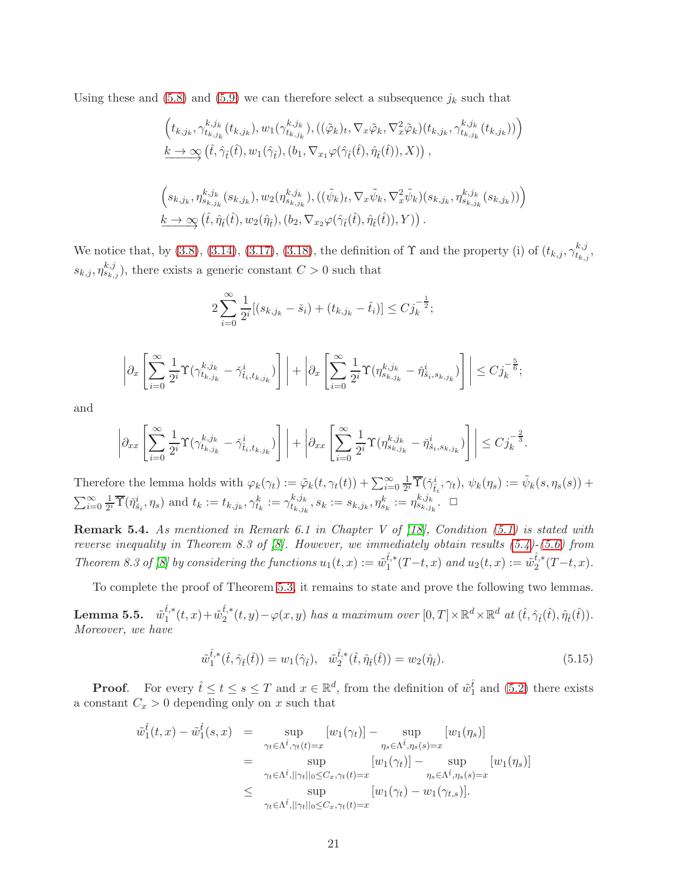Using these and  $(5.8)$  and  $(5.9)$  we can therefore select a subsequence  $j_k$  such that

$$
(t_{k,j_k}, \gamma_{t_{k,j_k}}^{k,j_k}(t_{k,j_k}), w_1(\gamma_{t_{k,j_k}}^{k,j_k}), ((\tilde{\varphi}_k)_t, \nabla_x \tilde{\varphi}_k, \nabla_x^2 \tilde{\varphi}_k)(t_{k,j_k}, \gamma_{t_{k,j_k}}^{k,j_k}(t_{k,j_k})) )
$$
  
\n
$$
\underline{k} \to \infty (\hat{t}, \hat{\gamma}_i(\hat{t}), w_1(\hat{\gamma}_i), (b_1, \nabla_{x_1} \varphi(\hat{\gamma}_i(\hat{t}), \hat{\eta}_i(\hat{t})), X)) ,
$$
  
\n
$$
(s_{k,j_k}, \eta_{s_{k,j_k}}^{k,j_k}(s_{k,j_k}), w_2(\eta_{s_{k,j_k}}^{k,j_k}), ((\tilde{\psi}_k)_t, \nabla_x \tilde{\psi}_k, \nabla_x^2 \tilde{\psi}_k)(s_{k,j_k}, \eta_{s_{k,j_k}}^{k,j_k}(s_{k,j_k})) )
$$
  
\n
$$
\underline{k} \to \infty (\hat{t}, \hat{\eta}_i(\hat{t}), w_2(\hat{\eta}_i), (b_2, \nabla_{x_2} \varphi(\hat{\gamma}_i(\hat{t}), \hat{\eta}_i(\hat{t})), Y)) .
$$

We notice that, by [\(3.8\)](#page-9-6), [\(3.14\)](#page-10-2), [\(3.17\)](#page-11-2), [\(3.18\)](#page-11-3), the definition of  $\Upsilon$  and the property (i) of  $(t_{k,j}, \gamma_{t_k}^{k,j})$  $_{t_{k,j}}^{\kappa, j},$  $(s_{k,j}, \eta_{s_{k,j}}^{k,j})$ , there exists a generic constant  $C > 0$  such that

$$
2\sum_{i=0}^{\infty} \frac{1}{2^i} [(s_{k,j_k} - \check{s}_i) + (t_{k,j_k} - \check{t}_i)] \leq C j_k^{-\frac{1}{2}};
$$

$$
\left|\partial_x \left[\sum_{i=0}^{\infty} \frac{1}{2^i} \Upsilon(\gamma^{k,j_k}_{t_{k,j_k}} - \check{\gamma}^i_{t_i,t_{k,j_k}})\right]\right| + \left|\partial_x \left[\sum_{i=0}^{\infty} \frac{1}{2^i} \Upsilon(\eta^{k,j_k}_{s_{k,j_k}} - \check{\eta}^i_{s_i,s_{k,j_k}})\right]\right| \leq C j_k^{-\frac{5}{6}};
$$

and

$$
\left|\partial_{xx}\left[\sum_{i=0}^\infty\frac{1}{2^i}\Upsilon(\gamma_{t_{k,j_k}}^{k,j_k}-\check{\gamma}_{\tilde{t}_i,t_{k,j_k}}^i)\right]\right|+\left|\partial_{xx}\left[\sum_{i=0}^\infty\frac{1}{2^i}\Upsilon(\eta_{s_{k,j_k}}^{k,j_k}-\check{\eta}_{\tilde{s}_i,s_{k,j_k}}^i)\right]\right|\leq C j_k^{-\frac{2}{3}}.
$$

Therefore the lemma holds with  $\varphi_k(\gamma_t) := \tilde{\varphi}_k(t, \gamma_t(t)) + \sum_{i=0}^{\infty} \frac{1}{2^i}$  $\frac{1}{2^i}\overline{\Upsilon}(\check{\gamma}_{\tilde{t}_i}^i, \gamma_t), \psi_k(\eta_s) := \tilde{\psi}_k(s, \eta_s(s)) +$  $\sum_{i=0}^{\infty} \frac{1}{2^n}$  $\frac{1}{2^i} \overline{\Upsilon}(\check{\eta}_{\check{s}_i}^i, \eta_s)$  and  $t_k := t_{k,j_k}, \gamma_{t_k}^k := \gamma_{t_{k,j_k}}^{k,j_k}$  $t_{k,j_k}^{k,j_k}, s_k := s_{k,j_k}, \eta_{s_k}^k := \eta_{s_{k,j_k}}^{k,j_k}. \ \ \Box$ 

<span id="page-20-1"></span>**Remark 5.4.** As mentioned in Remark 6.1 in Chapter V of  $\begin{bmatrix} 18 \end{bmatrix}$ , Condition [\(5.1\)](#page-17-0) is stated with reverse inequality in Theorem 8.3 of [\[8\]](#page-41-1). However, we immediately obtain results [\(5.4\)](#page-18-2)-[\(5.6\)](#page-18-0) from Theorem 8.3 of [\[8\]](#page-41-1) by considering the functions  $u_1(t, x) := \tilde{w}_1^{\hat{t},*}$  $\hat{t}_{1}^{i,*}(T-t,x)$  and  $u_2(t,x) := \tilde{w}_2^{\hat{t},*}$  $i_{2}^{t,*}(T-t,x).$ 

To complete the proof of Theorem [5.3,](#page-17-1) it remains to state and prove the following two lemmas.

<span id="page-20-0"></span> ${\bf L}$ emma 5.5.  $\tilde{w}_1^{\hat{t},*}$  $\hat{t}_{1}^{*}(t,x)+\tilde{w}_{2}^{\hat{t},*}$  $_{2}^{t,*}(t,y)-\varphi(x,y)$  has a maximum over  $[0,T]\times\mathbb{R}^{d}\times\mathbb{R}^{d}$  at  $(\hat{t},\hat{\gamma}_{\hat{t}}(\hat{t}),\hat{\eta}_{\hat{t}}(\hat{t})).$ Moreover, we have

<span id="page-20-2"></span>
$$
\tilde{w}_{1}^{\hat{t},*}(\hat{t},\hat{\gamma}_{\hat{t}}(\hat{t})) = w_{1}(\hat{\gamma}_{\hat{t}}), \quad \tilde{w}_{2}^{\hat{t},*}(\hat{t},\hat{\eta}_{\hat{t}}(\hat{t})) = w_{2}(\hat{\eta}_{\hat{t}}).
$$
\n(5.15)

**Proof.** For every  $\hat{t} \le t \le s \le T$  and  $x \in \mathbb{R}^d$ , from the definition of  $\tilde{w}_1^{\hat{t}}$  and  $(5.2)$  there exists a constant  $C_x > 0$  depending only on x such that

$$
\tilde{w}_1^{\hat{t}}(t,x) - \tilde{w}_1^{\hat{t}}(s,x) = \sup_{\gamma_t \in \Lambda^{\hat{t}}, \gamma_t(t)=x} [w_1(\gamma_t)] - \sup_{\eta_s \in \Lambda^{\hat{t}}, \eta_s(s)=x} [w_1(\eta_s)]
$$
  
\n
$$
= \sup_{\gamma_t \in \Lambda^{\hat{t}}, ||\gamma_t||_0 \leq C_x, \gamma_t(t)=x} [w_1(\gamma_t)] - \sup_{\eta_s \in \Lambda^{\hat{t}}, \eta_s(s)=x} [w_1(\eta_s)]
$$
  
\n
$$
\leq \sup_{\gamma_t \in \Lambda^{\hat{t}}, ||\gamma_t||_0 \leq C_x, \gamma_t(t)=x} [w_1(\gamma_t) - w_1(\gamma_{t,s})].
$$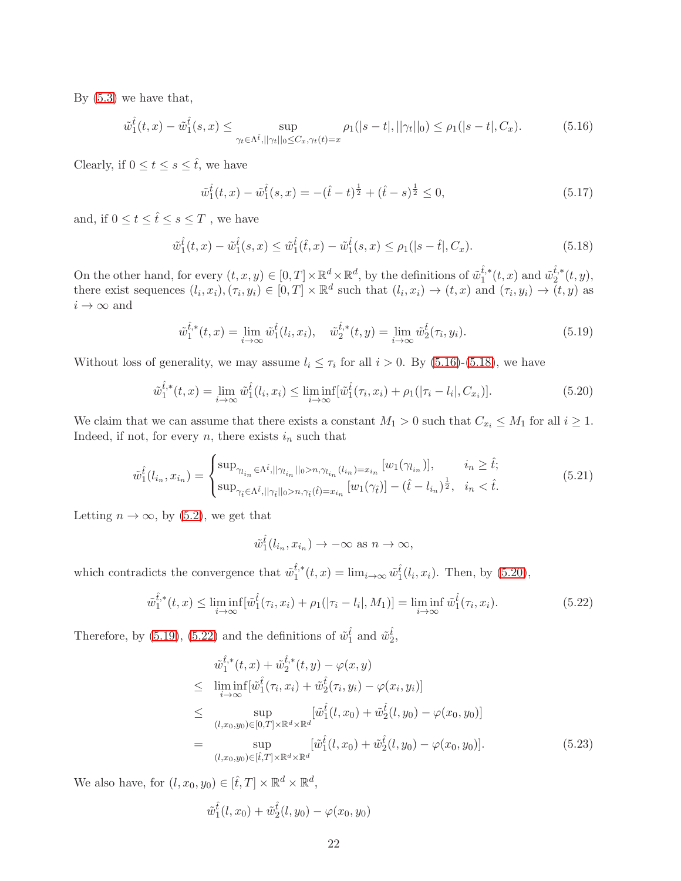By [\(5.3\)](#page-18-3) we have that,

<span id="page-21-0"></span>
$$
\tilde{w}_1^{\hat{t}}(t,x) - \tilde{w}_1^{\hat{t}}(s,x) \le \sup_{\gamma_t \in \Lambda^{\hat{t}}, ||\gamma_t||_0 \le C_x, \gamma_t(t)=x} \rho_1(|s-t|, ||\gamma_t||_0) \le \rho_1(|s-t|, C_x). \tag{5.16}
$$

Clearly, if  $0 \le t \le s \le \hat{t}$ , we have

$$
\tilde{w}_1^{\hat{t}}(t,x) - \tilde{w}_1^{\hat{t}}(s,x) = -(\hat{t} - t)^{\frac{1}{2}} + (\hat{t} - s)^{\frac{1}{2}} \le 0,
$$
\n(5.17)

and, if  $0\leq t\leq \hat t\leq s\leq T$  , we have

<span id="page-21-1"></span>
$$
\tilde{w}_1^{\hat{t}}(t,x) - \tilde{w}_1^{\hat{t}}(s,x) \le \tilde{w}_1^{\hat{t}}(\hat{t},x) - \tilde{w}_1^{\hat{t}}(s,x) \le \rho_1(|s-\hat{t}|,C_x). \tag{5.18}
$$

On the other hand, for every  $(t, x, y) \in [0, T] \times \mathbb{R}^d \times \mathbb{R}^d$ , by the definitions of  $\tilde{w}_1^{\hat{t},*}$  $\hat{t}_{1}^{*}(t,x)$  and  $\tilde{w}_{2}^{\hat{t},*}$  $t^{\prime,\ast}_{2}(t,y),$ there exist sequences  $(l_i, x_i), (\tau_i, y_i) \in [0, T] \times \mathbb{R}^d$  such that  $(l_i, x_i) \to (t, x)$  and  $(\tau_i, y_i) \to (t, y)$  as  $i \to \infty$  and

<span id="page-21-3"></span>
$$
\tilde{w}_1^{\hat{t},*}(t,x) = \lim_{i \to \infty} \tilde{w}_1^{\hat{t}}(l_i, x_i), \quad \tilde{w}_2^{\hat{t},*}(t,y) = \lim_{i \to \infty} \tilde{w}_2^{\hat{t}}(\tau_i, y_i). \tag{5.19}
$$

Without loss of generality, we may assume  $l_i \leq \tau_i$  for all  $i > 0$ . By [\(5.16\)](#page-21-0)-[\(5.18\)](#page-21-1), we have

<span id="page-21-2"></span>
$$
\tilde{w}_1^{\hat{t},*}(t,x) = \lim_{i \to \infty} \tilde{w}_1^{\hat{t}}(l_i, x_i) \le \liminf_{i \to \infty} [\tilde{w}_1^{\hat{t}}(\tau_i, x_i) + \rho_1(|\tau_i - l_i|, C_{x_i})]. \tag{5.20}
$$

We claim that we can assume that there exists a constant  $M_1 > 0$  such that  $C_{x_i} \leq M_1$  for all  $i \geq 1$ . Indeed, if not, for every  $n$ , there exists  $i_n$  such that

$$
\tilde{w}_1^{\hat{t}}(l_{i_n}, x_{i_n}) = \begin{cases}\n\sup_{\gamma_{l_{i_n}} \in \Lambda^{\hat{t}}, ||\gamma_{l_{i_n}}||_0 > n, \gamma_{l_{i_n}}(l_{i_n}) = x_{i_n}} [w_1(\gamma_{l_{i_n}})], & i_n \geq \hat{t}; \\
\sup_{\gamma_{\hat{t}} \in \Lambda^{\hat{t}}, ||\gamma_{\hat{t}}||_0 > n, \gamma_{\hat{t}}(\hat{t}) = x_{i_n}} [w_1(\gamma_{\hat{t}})] - (\hat{t} - l_{i_n})^{\frac{1}{2}}, & i_n < \hat{t}.\n\end{cases}
$$
\n(5.21)

Letting  $n \to \infty$ , by [\(5.2\)](#page-17-2), we get that

$$
\tilde{w}_1^{\hat{t}}(l_{i_n}, x_{i_n}) \to -\infty \text{ as } n \to \infty,
$$

which contradicts the convergence that  $\tilde{w}_{1}^{\hat{t},*}$  $t_i^{(t)}(t, x) = \lim_{i \to \infty} \tilde{w}_1^{\hat{t}}(l_i, x_i)$ . Then, by [\(5.20\)](#page-21-2),

<span id="page-21-4"></span>
$$
\tilde{w}_{1}^{\hat{t},*}(t,x) \le \liminf_{i \to \infty} [\tilde{w}_{1}^{\hat{t}}(\tau_{i},x_{i}) + \rho_{1}(|\tau_{i} - l_{i}|,M_{1})] = \liminf_{i \to \infty} \tilde{w}_{1}^{\hat{t}}(\tau_{i},x_{i}). \tag{5.22}
$$

Therefore, by [\(5.19\)](#page-21-3), [\(5.22\)](#page-21-4) and the definitions of  $\tilde{w}_1^{\hat{t}}$  and  $\tilde{w}_2^{\hat{t}}$ ,

<span id="page-21-5"></span>
$$
\tilde{w}_{1}^{\hat{t},*}(t,x) + \tilde{w}_{2}^{\hat{t},*}(t,y) - \varphi(x,y) \n\leq \liminf_{i \to \infty} [\tilde{w}_{1}^{\hat{t}}(\tau_{i},x_{i}) + \tilde{w}_{2}^{\hat{t}}(\tau_{i},y_{i}) - \varphi(x_{i},y_{i})] \n\leq \sup_{(l,x_{0},y_{0}) \in [0,T] \times \mathbb{R}^{d} \times \mathbb{R}^{d}} [\tilde{w}_{1}^{\hat{t}}(l,x_{0}) + \tilde{w}_{2}^{\hat{t}}(l,y_{0}) - \varphi(x_{0},y_{0})] \n= \sup_{(l,x_{0},y_{0}) \in [\hat{t},T] \times \mathbb{R}^{d} \times \mathbb{R}^{d}} [\tilde{w}_{1}^{\hat{t}}(l,x_{0}) + \tilde{w}_{2}^{\hat{t}}(l,y_{0}) - \varphi(x_{0},y_{0})].
$$
\n(5.23)

We also have, for  $(l, x_0, y_0) \in [\hat{t}, T] \times \mathbb{R}^d \times \mathbb{R}^d$ ,

<span id="page-21-6"></span>
$$
\tilde{w}_1^{\hat{t}}(l,x_0) + \tilde{w}_2^{\hat{t}}(l,y_0) - \varphi(x_0,y_0)
$$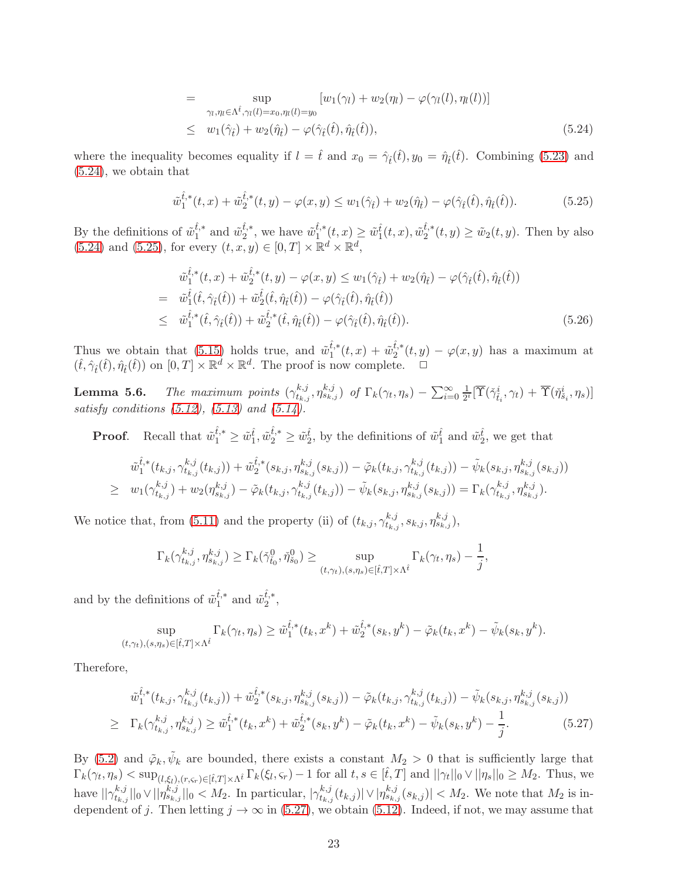$$
= \sup_{\gamma_l, \eta_l \in \Lambda^{\hat{t}}, \gamma_l(l) = x_0, \eta_l(l) = y_0} [w_1(\gamma_l) + w_2(\eta_l) - \varphi(\gamma_l(l), \eta_l(l))]
$$
  

$$
\leq w_1(\hat{\gamma}_t) + w_2(\hat{\eta}_t) - \varphi(\hat{\gamma}_t(\hat{t}), \hat{\eta}_t(\hat{t})), \tag{5.24}
$$

where the inequality becomes equality if  $l = \hat{t}$  and  $x_0 = \hat{\gamma}_t(\hat{t}), y_0 = \hat{\eta}_t(\hat{t})$ . Combining [\(5.23\)](#page-21-5) and [\(5.24\)](#page-21-6), we obtain that

<span id="page-22-1"></span>
$$
\tilde{w}_1^{\hat{t},*}(t,x) + \tilde{w}_2^{\hat{t},*}(t,y) - \varphi(x,y) \le w_1(\hat{\gamma}_t) + w_2(\hat{\eta}_t) - \varphi(\hat{\gamma}_t(\hat{t}), \hat{\eta}_t(\hat{t})).\tag{5.25}
$$

By the definitions of  $\tilde{w}_{1}^{\hat{t},*}$  $\hat{t}^*_{1}$  and  $\tilde{w}_2^{\hat{t},*}$  $\hat{t}^*_{2}$ , we have  $\tilde{w}_1^{\hat{t},*}$  $\hat{t}_{1}^{i,*}(t,x) \geq \tilde{w}_{1}^{\hat{t}}(t,x), \tilde{w}_{2}^{\hat{t},*}$  $\tilde{u}_2^{t,*}(t,y) \ge \tilde{w}_2(t,y)$ . Then by also  $(5.24)$  and  $(5.25)$ , for every  $(t, x, y) \in [0, T] \times \mathbb{R}^d \times \mathbb{R}^d$ ,

$$
\tilde{w}_{1}^{\hat{t},*}(t,x) + \tilde{w}_{2}^{\hat{t},*}(t,y) - \varphi(x,y) \leq w_{1}(\hat{\gamma}_{\hat{t}}) + w_{2}(\hat{\eta}_{\hat{t}}) - \varphi(\hat{\gamma}_{\hat{t}}(\hat{t}), \hat{\eta}_{\hat{t}}(\hat{t})) \n= \tilde{w}_{1}^{\hat{t}}(\hat{t}, \hat{\gamma}_{\hat{t}}(\hat{t})) + \tilde{w}_{2}^{\hat{t}}(\hat{t}, \hat{\eta}_{\hat{t}}(\hat{t})) - \varphi(\hat{\gamma}_{\hat{t}}(\hat{t}), \hat{\eta}_{\hat{t}}(\hat{t})) \n\leq \tilde{w}_{1}^{\hat{t},*}(\hat{t}, \hat{\gamma}_{\hat{t}}(\hat{t})) + \tilde{w}_{2}^{\hat{t},*}(\hat{t}, \hat{\eta}_{\hat{t}}(\hat{t})) - \varphi(\hat{\gamma}_{\hat{t}}(\hat{t}), \hat{\eta}_{\hat{t}}(\hat{t})).
$$
\n(5.26)

Thus we obtain that [\(5.15\)](#page-20-2) holds true, and  $\tilde{w}_{1}^{\hat{t},*}$  $\frac{\hat{t},\ast}{1}(t,x) + \tilde{w}_2^{\hat{t},\ast}$  $u_2^{t,*}(t,y) - \varphi(x,y)$  has a maximum at  $(\hat{t}, \hat{\gamma}_{\hat{t}}(\hat{t}), \hat{\eta}_{\hat{t}}(\hat{t}))$  on  $[0, T] \times \mathbb{R}^d \times \mathbb{R}^d$ . The proof is now complete.  $\Box$ 

<span id="page-22-0"></span>**Lemma 5.6.** The maximum points  $(\gamma_{t_k}^{k,j})$  $t_{k,j}^{k,j}, \eta_{s_{k,j}}^{k,j})$  of  $\Gamma_k(\gamma_t, \eta_s) - \sum_{i=0}^{\infty} \frac{1}{2^i}$  $\frac{1}{2^i}[\overline{\Upsilon}(\check{\gamma}^i_{\check{t}_i},\gamma_t)+\overline{\Upsilon}(\check{\eta}^i_{\check{s}_i},\eta_s)]$ satisfy conditions  $(5.12)$ ,  $(5.13)$  and  $(5.14)$ .

**Proof.** Recall that  $\tilde{w}_1^{\hat{t},*} \geq \tilde{w}_1^{\hat{t}}, \tilde{w}_2^{\hat{t},*} \geq \tilde{w}_2^{\hat{t}}$ , by the definitions of  $\tilde{w}_1^{\hat{t}}$  and  $\tilde{w}_2^{\hat{t}}$ , we get that

$$
\tilde{w}_{1}^{\hat{t},*}(t_{k,j},\gamma_{t_{k,j}}^{k,j}(t_{k,j})) + \tilde{w}_{2}^{\hat{t},*}(s_{k,j},\eta_{s_{k,j}}^{k,j}(s_{k,j})) - \tilde{\varphi}_{k}(t_{k,j},\gamma_{t_{k,j}}^{k,j}(t_{k,j})) - \tilde{\psi}_{k}(s_{k,j},\eta_{s_{k,j}}^{k,j}(s_{k,j}))
$$
\n
$$
\geq w_{1}(\gamma_{t_{k,j}}^{k,j}) + w_{2}(\eta_{s_{k,j}}^{k,j}) - \tilde{\varphi}_{k}(t_{k,j},\gamma_{t_{k,j}}^{k,j}(t_{k,j})) - \tilde{\psi}_{k}(s_{k,j},\eta_{s_{k,j}}^{k,j}(s_{k,j})) = \Gamma_{k}(\gamma_{t_{k,j}}^{k,j},\eta_{s_{k,j}}^{k,j}).
$$

We notice that, from [\(5.11\)](#page-19-4) and the property (ii) of  $(t_{k,j}, \gamma_{t_k}^{k,j})$  ${}_{t_{k,j}}^{k,j},s_{k,j},\eta_{s_{k,j}}^{k,j}),$ 

$$
\Gamma_k(\gamma_{t_{k,j}}^{k,j},\eta_{s_{k,j}}^{k,j}) \geq \Gamma_k(\check{\gamma}_{t_0}^0,\check{\eta}_{s_0}^0) \geq \sup_{(t,\gamma_t),(s,\eta_s)\in[\hat{t},T]\times\Lambda^{\hat{t}}} \Gamma_k(\gamma_t,\eta_s) - \frac{1}{j},
$$

and by the definitions of  $\tilde{w}_{1}^{\hat{t},*}$  $\hat{t}^*_{1}$  and  $\tilde{w}_2^{\hat{t},*}$  $\frac{\iota, *}{2}$ ,

$$
\sup_{(t,\gamma_t),(s,\eta_s)\in[\hat{t},T]\times\Lambda^{\hat{t}}} \Gamma_k(\gamma_t,\eta_s) \ge \tilde{w}_1^{\hat{t},*}(t_k,x^k) + \tilde{w}_2^{\hat{t},*}(s_k,y^k) - \tilde{\varphi}_k(t_k,x^k) - \tilde{\psi}_k(s_k,y^k).
$$

Therefore,

<span id="page-22-2"></span>
$$
\tilde{w}_{1}^{\hat{t},*}(t_{k,j}, \gamma_{t_{k,j}}^{k,j}(t_{k,j})) + \tilde{w}_{2}^{\hat{t},*}(s_{k,j}, \eta_{s_{k,j}}^{k,j}(s_{k,j})) - \tilde{\varphi}_{k}(t_{k,j}, \gamma_{t_{k,j}}^{k,j}(t_{k,j})) - \tilde{\psi}_{k}(s_{k,j}, \eta_{s_{k,j}}^{k,j}(s_{k,j}))
$$
\n
$$
\geq \Gamma_{k}(\gamma_{t_{k,j}}^{k,j}, \eta_{s_{k,j}}^{k,j}) \geq \tilde{w}_{1}^{\hat{t},*}(t_{k}, x^{k}) + \tilde{w}_{2}^{\hat{t},*}(s_{k}, y^{k}) - \tilde{\varphi}_{k}(t_{k}, x^{k}) - \tilde{\psi}_{k}(s_{k}, y^{k}) - \frac{1}{j}.
$$
\n
$$
(5.27)
$$

By [\(5.2\)](#page-17-2) and  $\tilde{\varphi}_k, \tilde{\psi}_k$  are bounded, there exists a constant  $M_2 > 0$  that is sufficiently large that  $\Gamma_k(\gamma_t, \eta_s) < \sup_{(l,\xi_l),(r,s_r)\in[\hat{t},T]\times\Lambda^{\hat{t}}} \Gamma_k(\xi_l,s_r) - 1$  for all  $t,s\in[\hat{t},T]$  and  $||\gamma_t||_0 \vee ||\eta_s||_0 \geq M_2$ . Thus, we have  $||\gamma_{t_k}^{k,j}$  $\sum_{t_{k,j}}^{k,j} ||_{0} \vee ||\eta_{s_{k,j}}^{k,j}||_{0} < M_{2}$ . In particular,  $|\gamma_{t_{k,j}}^{k,j}|$  $\sum_{k=1}^{k,j} (t_{k,j}) |\vee| \eta_{s_{k,j}}^{k,j}(s_{k,j})| < M_2$ . We note that  $M_2$  is independent of j. Then letting  $j \to \infty$  in [\(5.27\)](#page-22-2), we obtain [\(5.12\)](#page-19-1). Indeed, if not, we may assume that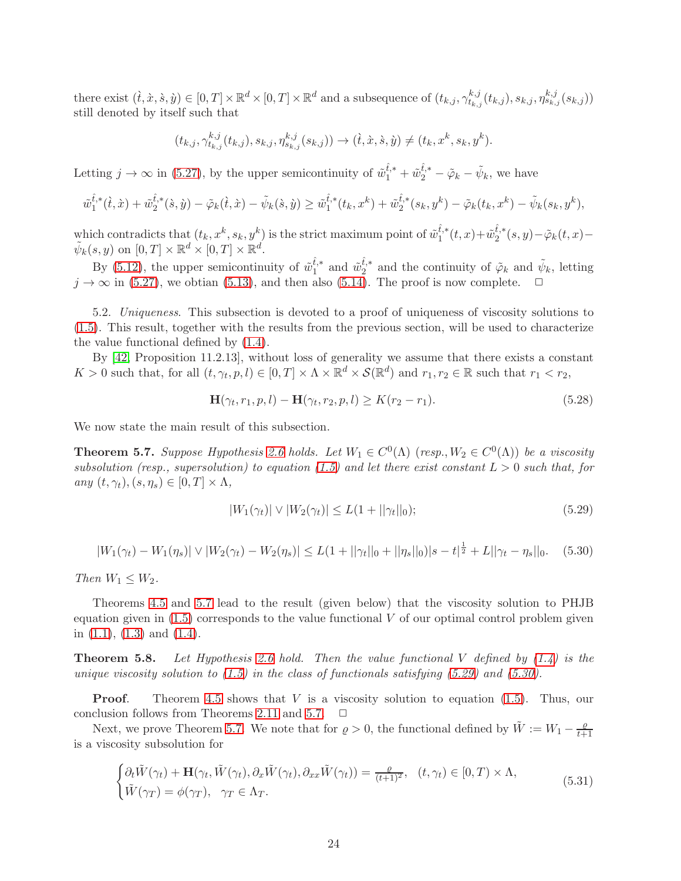there exist  $(\hat{t}, \hat{x}, \hat{s}, \hat{y}) \in [0, T] \times \mathbb{R}^d \times [0, T] \times \mathbb{R}^d$  and a subsequence of  $(t_{k,j}, \gamma^{k,j}_{t_k})$  $t_{k,j}^{k,j}(t_{k,j}), s_{k,j}, \eta_{s_{k,j}}^{k,j}(s_{k,j}))$ still denoted by itself such that

$$
(t_{k,j}, \gamma^{k,j}_{t_{k,j}}(t_{k,j}), s_{k,j}, \eta^{k,j}_{s_{k,j}}(s_{k,j})) \to (\dot{t}, \dot{x}, \dot{s}, \dot{y}) \neq (t_k, x^k, s_k, y^k).
$$

Letting  $j \to \infty$  in [\(5.27\)](#page-22-2), by the upper semicontinuity of  $\tilde{w}_1^{\hat{t},*} + \tilde{w}_2^{\hat{t},*} - \tilde{\varphi}_k - \tilde{\psi}_k$ , we have

$$
\tilde{w}_1^{\hat{t},*}(\dot{t},\dot{x}) + \tilde{w}_2^{\hat{t},*}(\dot{s},\dot{y}) - \tilde{\varphi}_k(\dot{t},\dot{x}) - \tilde{\psi}_k(\dot{s},\dot{y}) \ge \tilde{w}_1^{\hat{t},*}(t_k,x^k) + \tilde{w}_2^{\hat{t},*}(s_k,y^k) - \tilde{\varphi}_k(t_k,x^k) - \tilde{\psi}_k(s_k,y^k),
$$

which contradicts that  $(t_k, x^k, s_k, y^k)$  is the strict maximum point of  $\tilde{w}_1^{\hat{t},*}$  $\hat{t}_{1}^{*}(t,x)+\tilde{w}_{2}^{\hat{t},*}$  $2^{l,*}(s,y)-\tilde{\varphi}_k(t,x) \tilde{\psi}_k(s, y)$  on  $[0, T] \times \mathbb{R}^d \times [0, T] \times \mathbb{R}^d$ .

By [\(5.12\)](#page-19-1), the upper semicontinuity of  $\tilde{w}_{1}^{\hat{t},*}$  $\hat{t}^*_{1}$  and  $\tilde{w}_2^{\hat{t},*}$  $\tilde{t}_{2}^{k,*}$  and the continuity of  $\tilde{\varphi}_k$  and  $\tilde{\psi}_k$ , letting  $j \to \infty$  in [\(5.27\)](#page-22-2), we obtian [\(5.13\)](#page-19-2), and then also [\(5.14\)](#page-19-3). The proof is now complete.  $\Box$ 

5.2. Uniqueness. This subsection is devoted to a proof of uniqueness of viscosity solutions to [\(1.5\)](#page-36-1). This result, together with the results from the previous section, will be used to characterize the value functional defined by [\(1.4\)](#page-36-0).

By [\[42,](#page-43-1) Proposition 11.2.13], without loss of generality we assume that there exists a constant  $K > 0$  such that, for all  $(t, \gamma_t, p, l) \in [0, T] \times \Lambda \times \mathbb{R}^d \times \mathcal{S}(\mathbb{R}^d)$  and  $r_1, r_2 \in \mathbb{R}$  such that  $r_1 < r_2$ ,

<span id="page-23-4"></span>
$$
\mathbf{H}(\gamma_t, r_1, p, l) - \mathbf{H}(\gamma_t, r_2, p, l) \ge K(r_2 - r_1).
$$
\n(5.28)

We now state the main result of this subsection.

<span id="page-23-0"></span>**Theorem 5.7.** Suppose Hypothesis [2.6](#page-5-0) holds. Let  $W_1 \in C^0(\Lambda)$  (resp.,  $W_2 \in C^0(\Lambda)$ ) be a viscosity subsolution (resp., supersolution) to equation [\(1.5\)](#page-36-1) and let there exist constant  $L > 0$  such that, for any  $(t, \gamma_t), (s, \eta_s) \in [0, T] \times \Lambda$ ,

<span id="page-23-1"></span>
$$
|W_1(\gamma_t)| \vee |W_2(\gamma_t)| \le L(1 + ||\gamma_t||_0); \tag{5.29}
$$

<span id="page-23-2"></span>
$$
|W_1(\gamma_t) - W_1(\eta_s)| \vee |W_2(\gamma_t) - W_2(\eta_s)| \le L(1 + ||\gamma_t||_0 + ||\eta_s||_0)|s - t|^{\frac{1}{2}} + L||\gamma_t - \eta_s||_0.
$$
 (5.30)

Then  $W_1 \leq W_2$ .

Theorems [4.5](#page-14-0) and [5.7](#page-23-0) lead to the result (given below) that the viscosity solution to PHJB equation given in  $(1.5)$  corresponds to the value functional  $V$  of our optimal control problem given in  $(1.1)$ ,  $(1.3)$  and  $(1.4)$ .

<span id="page-23-5"></span>**Theorem 5.8.** Let Hypothesis [2.6](#page-5-0) hold. Then the value functional V defined by  $(1.4)$  is the unique viscosity solution to  $(1.5)$  in the class of functionals satisfying  $(5.29)$  and  $(5.30)$ .

**Proof.** Theorem [4.5](#page-14-0) shows that  $V$  is a viscosity solution to equation  $(1.5)$ . Thus, our conclusion follows from Theorems [2.11](#page-7-2) and [5.7.](#page-23-0)  $\Box$ 

Next, we prove Theorem [5.7.](#page-23-0) We note that for  $\varrho > 0$ , the functional defined by  $\tilde{W} := W_1 - \frac{\varrho}{t+1}$  $_{t+1}$ is a viscosity subsolution for

<span id="page-23-3"></span>
$$
\begin{cases} \partial_t \tilde{W}(\gamma_t) + \mathbf{H}(\gamma_t, \tilde{W}(\gamma_t), \partial_x \tilde{W}(\gamma_t), \partial_{xx} \tilde{W}(\gamma_t)) = \frac{\varrho}{(t+1)^2}, & (t, \gamma_t) \in [0, T) \times \Lambda, \\ \tilde{W}(\gamma_T) = \phi(\gamma_T), & \gamma_T \in \Lambda_T. \end{cases}
$$
(5.31)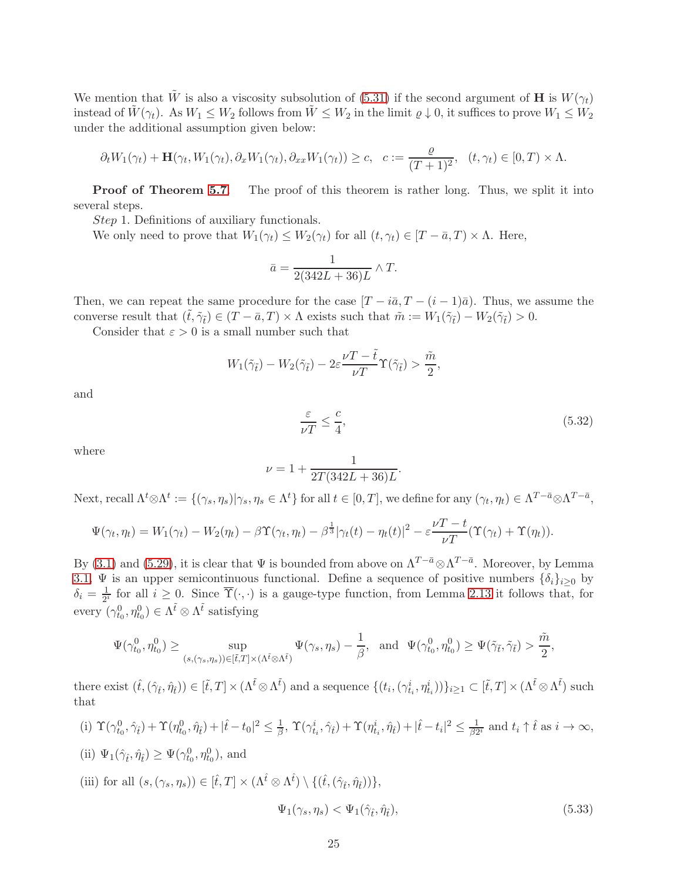We mention that  $\tilde{W}$  is also a viscosity subsolution of [\(5.31\)](#page-23-3) if the second argument of H is  $W(\gamma_t)$ instead of  $\tilde{W}(\gamma_t)$ . As  $W_1 \leq W_2$  follows from  $\tilde{W} \leq W_2$  in the limit  $\varrho \downarrow 0$ , it suffices to prove  $W_1 \leq W_2$ under the additional assumption given below:

$$
\partial_t W_1(\gamma_t) + \mathbf{H}(\gamma_t, W_1(\gamma_t), \partial_x W_1(\gamma_t), \partial_{xx} W_1(\gamma_t)) \ge c, \quad c := \frac{\varrho}{(T+1)^2}, \quad (t, \gamma_t) \in [0, T) \times \Lambda.
$$

**Proof of Theorem [5.7](#page-23-0).** The proof of this theorem is rather long. Thus, we split it into several steps.

Step 1. Definitions of auxiliary functionals.

We only need to prove that  $W_1(\gamma_t) \leq W_2(\gamma_t)$  for all  $(t, \gamma_t) \in [T - \bar{a}, T] \times \Lambda$ . Here,

$$
\bar{a} = \frac{1}{2(342L + 36)L} \wedge T.
$$

Then, we can repeat the same procedure for the case  $[T - i\bar{a}, T - (i - 1)\bar{a}]$ . Thus, we assume the converse result that  $(\tilde{t}, \tilde{\gamma}_{\tilde{t}}) \in (T - \bar{a}, T) \times \Lambda$  exists such that  $\tilde{m} := W_1(\tilde{\gamma}_{\tilde{t}}) - W_2(\tilde{\gamma}_{\tilde{t}}) > 0$ .

Consider that  $\varepsilon > 0$  is a small number such that

$$
W_1(\tilde{\gamma}_{\tilde{t}}) - W_2(\tilde{\gamma}_{\tilde{t}}) - 2\varepsilon \frac{\nu T - \tilde{t}}{\nu T} \Upsilon(\tilde{\gamma}_{\tilde{t}}) > \frac{\tilde{m}}{2},
$$

and

<span id="page-24-1"></span>
$$
\frac{\varepsilon}{\nu T} \le \frac{c}{4},\tag{5.32}
$$

where

$$
\nu = 1 + \frac{1}{2T(342L + 36)L}.
$$

Next, recall  $\Lambda^t \otimes \Lambda^t := \{(\gamma_s, \eta_s) | \gamma_s, \eta_s \in \Lambda^t\}$  for all  $t \in [0, T]$ , we define for any  $(\gamma_t, \eta_t) \in \Lambda^{T - \bar{a}} \otimes \Lambda^{T - \bar{a}}$ ,

$$
\Psi(\gamma_t, \eta_t) = W_1(\gamma_t) - W_2(\eta_t) - \beta \Upsilon(\gamma_t, \eta_t) - \beta^{\frac{1}{3}} |\gamma_t(t) - \eta_t(t)|^2 - \varepsilon \frac{\nu T - t}{\nu T} (\Upsilon(\gamma_t) + \Upsilon(\eta_t)).
$$

By [\(3.1\)](#page-8-4) and [\(5.29\)](#page-23-1), it is clear that  $\Psi$  is bounded from above on  $\Lambda^{T-\bar{a}} \otimes \Lambda^{T-\bar{a}}$ . Moreover, by Lemma [3.1,](#page-8-0)  $\Psi$  is an upper semicontinuous functional. Define a sequence of positive numbers  $\{\delta_i\}_{i>0}$  by  $\delta_i = \frac{1}{2^n}$  $\frac{1}{2^i}$  for all  $i \geq 0$ . Since  $\Upsilon(\cdot, \cdot)$  is a gauge-type function, from Lemma [2.13](#page-7-1) it follows that, for every  $(\gamma_{t_0}^0, \eta_{t_0}^0) \in \Lambda^{\tilde{t}} \otimes \Lambda^{\tilde{t}}$  satisfying

$$
\Psi(\gamma_{t_0}^0,\eta_{t_0}^0)\geq \sup_{(s,(\gamma_s,\eta_s))\in [\tilde t,T]\times(\Lambda^{\tilde t}\otimes \Lambda^{\tilde t})}\Psi(\gamma_s,\eta_s)-\frac{1}{\beta}, \ \ \text{and} \ \ \Psi(\gamma_{t_0}^0,\eta_{t_0}^0)\geq \Psi(\tilde \gamma_{\tilde t},\tilde \gamma_{\tilde t})>\frac{\tilde m}{2},
$$

there exist  $(\hat{t},(\hat{\gamma}_{\hat{t}},\hat{\eta}_{\hat{t}})) \in [\tilde{t},T] \times (\Lambda^{\tilde{t}} \otimes \Lambda^{\tilde{t}})$  and a sequence  $\{(t_i,(\gamma^i_{t_i},\eta^i_{t_i}))\}_{i \geq 1} \subset [\tilde{t},T] \times (\Lambda^{\tilde{t}} \otimes \Lambda^{\tilde{t}})$  such that

(i)  $\Upsilon(\gamma_{t_0}^0, \hat{\gamma}_{\hat{t}}) + \Upsilon(\eta_{t_0}^0, \hat{\eta}_{\hat{t}}) + |\hat{t} - t_0|^2 \leq \frac{1}{\beta}$  $\frac{1}{\beta}, \ \Upsilon(\gamma_{t_i}^i, \hat{\gamma}_{\hat{t}}) + \Upsilon(\eta_{t_i}^i, \hat{\eta}_{\hat{t}}) + |\hat{t} - t_i|^2 \leq \frac{1}{\beta 2}$  $\frac{1}{\beta 2^i}$  and  $t_i \uparrow \hat{t}$  as  $i \to \infty$ , (ii)  $\Psi_1(\hat{\gamma}_t, \hat{\eta}_t) \geq \Psi(\gamma_{t_0}^0, \eta_{t_0}^0)$ , and

<span id="page-24-0"></span>(iii) for all 
$$
(s, (\gamma_s, \eta_s)) \in [\hat{t}, T] \times (\Lambda^{\hat{t}} \otimes \Lambda^{\hat{t}}) \setminus \{(\hat{t}, (\hat{\gamma}_{\hat{t}}, \hat{\eta}_{\hat{t}}))\},
$$
  

$$
\Psi_1(\gamma_s, \eta_s) < \Psi_1(\hat{\gamma}_{\hat{t}}, \hat{\eta}_{\hat{t}}), \tag{5.33}
$$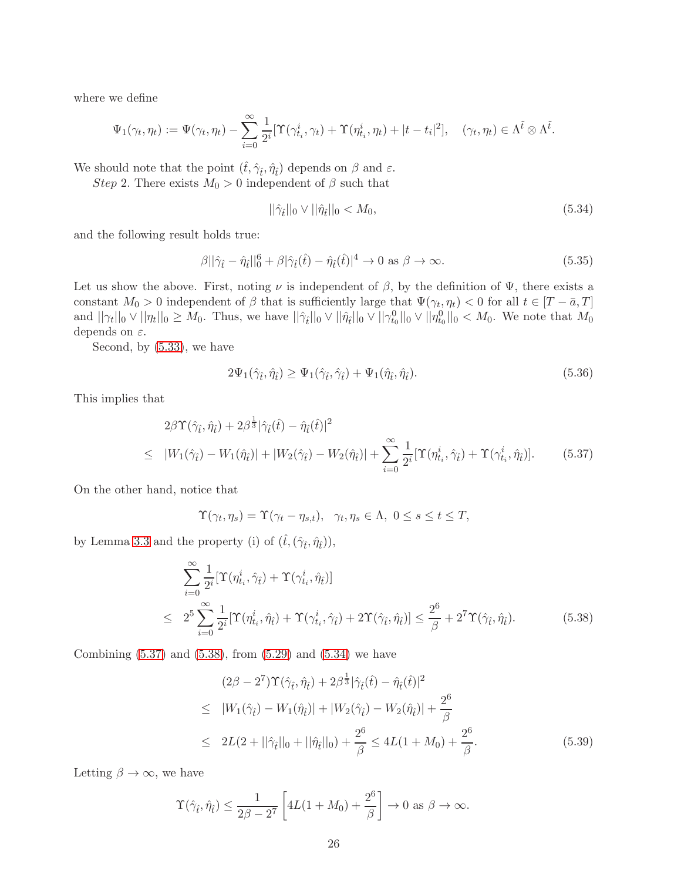where we define

$$
\Psi_1(\gamma_t, \eta_t) := \Psi(\gamma_t, \eta_t) - \sum_{i=0}^{\infty} \frac{1}{2^i} [\Upsilon(\gamma_{t_i}^i, \gamma_t) + \Upsilon(\eta_{t_i}^i, \eta_t) + |t - t_i|^2], \quad (\gamma_t, \eta_t) \in \Lambda^{\tilde{t}} \otimes \Lambda^{\tilde{t}}.
$$

We should note that the point  $(\hat{t}, \hat{\gamma}_{\hat{t}}, \hat{\eta}_{\hat{t}})$  depends on  $\beta$  and  $\varepsilon$ .

Step 2. There exists  $M_0 > 0$  independent of  $\beta$  such that

<span id="page-25-2"></span>
$$
||\hat{\gamma}_{\hat{t}}||_0 \vee ||\hat{\eta}_{\hat{t}}||_0 < M_0, \tag{5.34}
$$

and the following result holds true:

<span id="page-25-3"></span>
$$
\beta ||\hat{\gamma}_{\hat{t}} - \hat{\eta}_{\hat{t}}||_0^6 + \beta |\hat{\gamma}_{\hat{t}}(\hat{t}) - \hat{\eta}_{\hat{t}}(\hat{t})|^4 \to 0 \text{ as } \beta \to \infty.
$$
 (5.35)

Let us show the above. First, noting  $\nu$  is independent of  $\beta$ , by the definition of  $\Psi$ , there exists a constant  $M_0 > 0$  independent of  $\beta$  that is sufficiently large that  $\Psi(\gamma_t, \eta_t) < 0$  for all  $t \in [T - \bar{a}, T]$ and  $||\gamma_t||_0 \vee ||\eta_t||_0 \geq M_0$ . Thus, we have  $||\hat{\gamma}_t||_0 \vee ||\hat{\eta}_t||_0 \vee ||\gamma_{t_0}^0||_0 \vee ||\eta_{t_0}^0||_0 < M_0$ . We note that  $M_0$ depends on  $\varepsilon$ .

Second, by [\(5.33\)](#page-24-0), we have

$$
2\Psi_1(\hat{\gamma}_{\hat{t}}, \hat{\eta}_{\hat{t}}) \ge \Psi_1(\hat{\gamma}_{\hat{t}}, \hat{\gamma}_{\hat{t}}) + \Psi_1(\hat{\eta}_{\hat{t}}, \hat{\eta}_{\hat{t}}).
$$
\n(5.36)

This implies that

<span id="page-25-0"></span>
$$
2\beta \Upsilon(\hat{\gamma}_{\hat{t}}, \hat{\eta}_{\hat{t}}) + 2\beta^{\frac{1}{3}} |\hat{\gamma}_{\hat{t}}(\hat{t}) - \hat{\eta}_{\hat{t}}(\hat{t})|^2
$$
  
\n
$$
\leq |W_1(\hat{\gamma}_{\hat{t}}) - W_1(\hat{\eta}_{\hat{t}})| + |W_2(\hat{\gamma}_{\hat{t}}) - W_2(\hat{\eta}_{\hat{t}})| + \sum_{i=0}^{\infty} \frac{1}{2^i} [\Upsilon(\eta_{t_i}^i, \hat{\gamma}_{\hat{t}}) + \Upsilon(\gamma_{t_i}^i, \hat{\eta}_{\hat{t}})]. \tag{5.37}
$$

On the other hand, notice that

$$
\Upsilon(\gamma_t, \eta_s) = \Upsilon(\gamma_t - \eta_{s,t}), \ \ \gamma_t, \eta_s \in \Lambda, \ 0 \le s \le t \le T,
$$

by Lemma [3.3](#page-11-4) and the property (i) of  $(\widehat{t},(\widehat{\gamma}_{\widehat{t}},\widehat{\eta}_{\widehat{t}})),$ 

<span id="page-25-1"></span>
$$
\sum_{i=0}^{\infty} \frac{1}{2^i} [\Upsilon(\eta_{t_i}^i, \hat{\gamma}_{\hat{t}}) + \Upsilon(\gamma_{t_i}^i, \hat{\eta}_{\hat{t}})]
$$
\n
$$
\leq 2^5 \sum_{i=0}^{\infty} \frac{1}{2^i} [\Upsilon(\eta_{t_i}^i, \hat{\eta}_{\hat{t}}) + \Upsilon(\gamma_{t_i}^i, \hat{\gamma}_{\hat{t}}) + 2\Upsilon(\hat{\gamma}_{\hat{t}}, \hat{\eta}_{\hat{t}})] \leq \frac{2^6}{\beta} + 2^7 \Upsilon(\hat{\gamma}_{\hat{t}}, \hat{\eta}_{\hat{t}}).
$$
\n(5.38)

Combining  $(5.37)$  and  $(5.38)$ , from  $(5.29)$  and  $(5.34)$  we have

$$
(2\beta - 2^7)\Upsilon(\hat{\gamma}_{\hat{t}}, \hat{\eta}_{\hat{t}}) + 2\beta^{\frac{1}{3}}|\hat{\gamma}_{\hat{t}}(\hat{t}) - \hat{\eta}_{\hat{t}}(\hat{t})|^2
$$
  
\n
$$
\leq |W_1(\hat{\gamma}_{\hat{t}}) - W_1(\hat{\eta}_{\hat{t}})| + |W_2(\hat{\gamma}_{\hat{t}}) - W_2(\hat{\eta}_{\hat{t}})| + \frac{2^6}{\beta}
$$
  
\n
$$
\leq 2L(2 + ||\hat{\gamma}_{\hat{t}}||_0 + ||\hat{\eta}_{\hat{t}}||_0) + \frac{2^6}{\beta} \leq 4L(1 + M_0) + \frac{2^6}{\beta}.
$$
 (5.39)

Letting  $\beta \to \infty$ , we have

$$
\Upsilon(\hat{\gamma}_{\hat{t}}, \hat{\eta}_{\hat{t}}) \le \frac{1}{2\beta - 2^7} \left[ 4L(1 + M_0) + \frac{2^6}{\beta} \right] \to 0 \text{ as } \beta \to \infty.
$$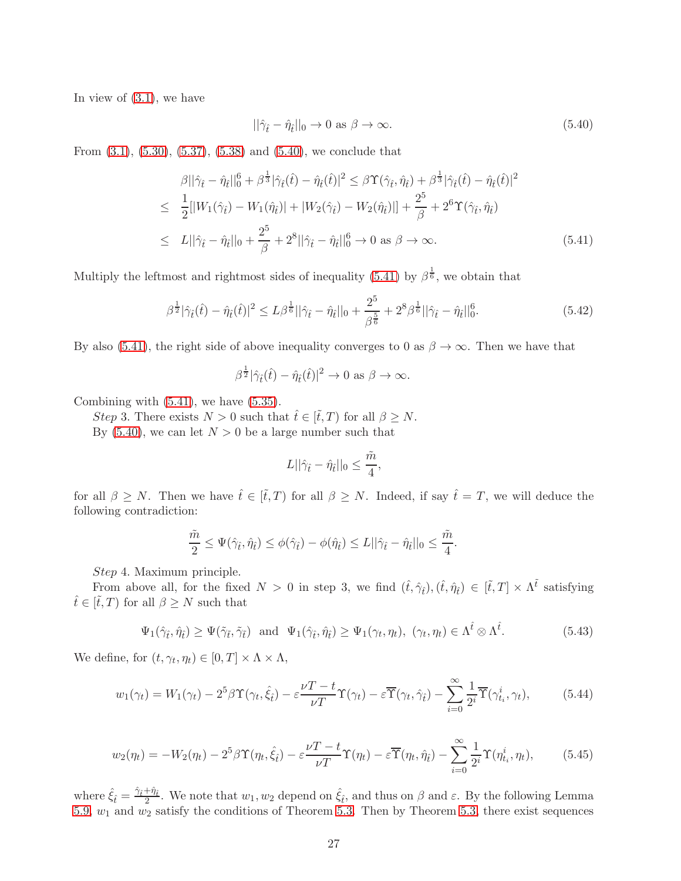In view of  $(3.1)$ , we have

<span id="page-26-0"></span>
$$
||\hat{\gamma}_{\hat{t}} - \hat{\eta}_{\hat{t}}||_0 \to 0 \text{ as } \beta \to \infty. \tag{5.40}
$$

From [\(3.1\)](#page-8-4), [\(5.30\)](#page-23-2), [\(5.37\)](#page-25-0), [\(5.38\)](#page-25-1) and [\(5.40\)](#page-26-0), we conclude that

<span id="page-26-1"></span>
$$
\beta ||\hat{\gamma}_{\hat{t}} - \hat{\eta}_{\hat{t}}||_0^6 + \beta^{\frac{1}{3}} |\hat{\gamma}_{\hat{t}}(\hat{t}) - \hat{\eta}_{\hat{t}}(\hat{t})|^2 \leq \beta \Upsilon(\hat{\gamma}_{\hat{t}}, \hat{\eta}_{\hat{t}}) + \beta^{\frac{1}{3}} |\hat{\gamma}_{\hat{t}}(\hat{t}) - \hat{\eta}_{\hat{t}}(\hat{t})|^2 \n\leq \frac{1}{2} [|W_1(\hat{\gamma}_{\hat{t}}) - W_1(\hat{\eta}_{\hat{t}})| + |W_2(\hat{\gamma}_{\hat{t}}) - W_2(\hat{\eta}_{\hat{t}})|] + \frac{2^5}{\beta} + 2^6 \Upsilon(\hat{\gamma}_{\hat{t}}, \hat{\eta}_{\hat{t}}) \n\leq L ||\hat{\gamma}_{\hat{t}} - \hat{\eta}_{\hat{t}}||_0 + \frac{2^5}{\beta} + 2^8 ||\hat{\gamma}_{\hat{t}} - \hat{\eta}_{\hat{t}}||_0^6 \to 0 \text{ as } \beta \to \infty.
$$
\n(5.41)

Multiply the leftmost and rightmost sides of inequality [\(5.41\)](#page-26-1) by  $\beta^{\frac{1}{6}}$ , we obtain that

$$
\beta^{\frac{1}{2}}|\hat{\gamma}_{\hat{t}}(\hat{t}) - \hat{\eta}_{\hat{t}}(\hat{t})|^2 \le L\beta^{\frac{1}{6}}||\hat{\gamma}_{\hat{t}} - \hat{\eta}_{\hat{t}}||_0 + \frac{2^5}{\beta^{\frac{5}{6}}} + 2^8\beta^{\frac{1}{6}}||\hat{\gamma}_{\hat{t}} - \hat{\eta}_{\hat{t}}||_0^6. \tag{5.42}
$$

By also [\(5.41\)](#page-26-1), the right side of above inequality converges to 0 as  $\beta \to \infty$ . Then we have that

$$
\beta^{\frac{1}{2}}|\hat{\gamma}_{\hat{t}}(\hat{t}) - \hat{\eta}_{\hat{t}}(\hat{t})|^2 \to 0 \text{ as } \beta \to \infty.
$$

Combining with  $(5.41)$ , we have  $(5.35)$ .

Step 3. There exists  $N > 0$  such that  $\hat{t} \in [\tilde{t}, T]$  for all  $\beta \geq N$ .

By [\(5.40\)](#page-26-0), we can let  $N > 0$  be a large number such that

$$
L||\hat{\gamma}_{\hat{t}} - \hat{\eta}_{\hat{t}}||_0 \le \frac{\tilde{m}}{4},
$$

for all  $\beta \geq N$ . Then we have  $\hat{t} \in [\tilde{t}, T)$  for all  $\beta \geq N$ . Indeed, if say  $\hat{t} = T$ , we will deduce the following contradiction:

$$
\frac{\tilde{m}}{2} \leq \Psi(\hat{\gamma}_{\hat{t}}, \hat{\eta}_{\hat{t}}) \leq \phi(\hat{\gamma}_{\hat{t}}) - \phi(\hat{\eta}_{\hat{t}}) \leq L||\hat{\gamma}_{\hat{t}} - \hat{\eta}_{\hat{t}}||_0 \leq \frac{\tilde{m}}{4}.
$$

Step 4. Maximum principle.

From above all, for the fixed  $N > 0$  in step 3, we find  $(\hat{t}, \hat{\gamma}_t), (\hat{t}, \hat{\eta}_t) \in [\tilde{t}, T] \times \Lambda^{\tilde{t}}$  satisfying  $\hat{t} \in [\tilde{t}, T]$  for all  $\beta \geq N$  such that

$$
\Psi_1(\hat{\gamma}_{\hat{t}}, \hat{\eta}_{\hat{t}}) \ge \Psi(\tilde{\gamma}_{\tilde{t}}, \tilde{\gamma}_{\tilde{t}}) \text{ and } \Psi_1(\hat{\gamma}_{\hat{t}}, \hat{\eta}_{\hat{t}}) \ge \Psi_1(\gamma_t, \eta_t), \ (\gamma_t, \eta_t) \in \Lambda^{\hat{t}} \otimes \Lambda^{\hat{t}}. \tag{5.43}
$$

We define, for  $(t, \gamma_t, \eta_t) \in [0, T] \times \Lambda \times \Lambda$ ,

<span id="page-26-2"></span>
$$
w_1(\gamma_t) = W_1(\gamma_t) - 2^5 \beta \Upsilon(\gamma_t, \hat{\xi}_t) - \varepsilon \frac{\nu T - t}{\nu T} \Upsilon(\gamma_t) - \varepsilon \overline{\Upsilon}(\gamma_t, \hat{\gamma}_t) - \sum_{i=0}^{\infty} \frac{1}{2^i} \overline{\Upsilon}(\gamma_{t_i}^i, \gamma_t), \tag{5.44}
$$

<span id="page-26-3"></span>
$$
w_2(\eta_t) = -W_2(\eta_t) - 2^5 \beta \Upsilon(\eta_t, \hat{\xi}_t) - \varepsilon \frac{\nu T - t}{\nu T} \Upsilon(\eta_t) - \varepsilon \overline{\Upsilon}(\eta_t, \hat{\eta}_t) - \sum_{i=0}^{\infty} \frac{1}{2^i} \Upsilon(\eta_{t_i}^i, \eta_t), \tag{5.45}
$$

where  $\hat{\xi}_{\hat{t}} = \frac{\hat{\gamma}_{\hat{t}} + \hat{\eta}_{\hat{t}}}{2}$ . We note that  $w_1, w_2$  depend on  $\hat{\xi}_{\hat{t}}$ , and thus on  $\beta$  and  $\varepsilon$ . By the following Lemma [5.9,](#page-31-0)  $w_1$  and  $w_2$  satisfy the conditions of Theorem [5.3.](#page-17-1) Then by Theorem [5.3,](#page-17-1) there exist sequences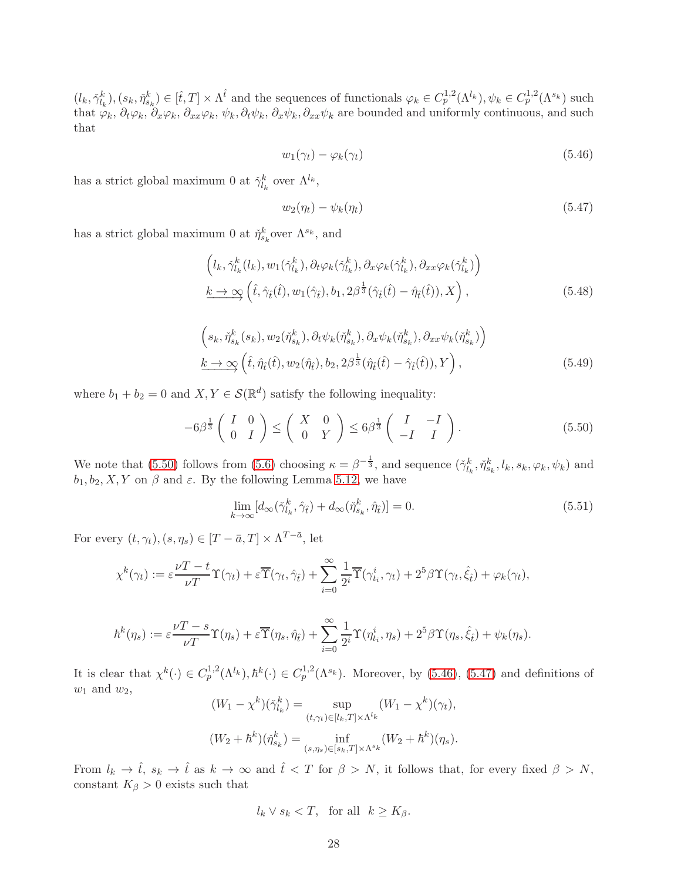$(l_k, \check{\gamma}_{l_k}^k), (s_k, \check{\eta}_{s_k}^k) \in [\hat{t}, T] \times \Lambda^{\hat{t}}$  and the sequences of functionals  $\varphi_k \in C_p^{1,2}(\Lambda^{l_k}), \psi_k \in C_p^{1,2}(\Lambda^{s_k})$  such that  $\varphi_k$ ,  $\partial_t\varphi_k$ ,  $\partial_x\varphi_k$ ,  $\partial_{xx}\varphi_k$ ,  $\partial_t\psi_k$ ,  $\partial_x\psi_k$ ,  $\partial_{xx}\psi_k$  are bounded and uniformly continuous, and such that

<span id="page-27-1"></span>
$$
w_1(\gamma_t) - \varphi_k(\gamma_t) \tag{5.46}
$$

has a strict global maximum 0 at  $\check{\gamma}_{l_k}^k$  over  $\Lambda^{l_k}$ ,

<span id="page-27-2"></span>
$$
w_2(\eta_t) - \psi_k(\eta_t) \tag{5.47}
$$

has a strict global maximum 0 at  $\tilde{\eta}_{s_k}^k$  over  $\Lambda^{s_k}$ , and

<span id="page-27-3"></span>
$$
\left(l_k, \check{\gamma}_{l_k}^k(l_k), w_1(\check{\gamma}_{l_k}^k), \partial_t \varphi_k(\check{\gamma}_{l_k}^k), \partial_x \varphi_k(\check{\gamma}_{l_k}^k), \partial_{xx} \varphi_k(\check{\gamma}_{l_k}^k)\right) \n\underline{k \to \infty} \left(\hat{t}, \hat{\gamma}_{\hat{t}}(\hat{t}), w_1(\hat{\gamma}_{\hat{t}}), b_1, 2\beta^{\frac{1}{3}}(\hat{\gamma}_{\hat{t}}(\hat{t}) - \hat{\eta}_{\hat{t}}(\hat{t})), X\right),
$$
\n(5.48)

<span id="page-27-4"></span>
$$
\left(s_k, \check{\eta}_{s_k}^k(s_k), w_2(\check{\eta}_{s_k}^k), \partial_t \psi_k(\check{\eta}_{s_k}^k), \partial_x \psi_k(\check{\eta}_{s_k}^k), \partial_{xx} \psi_k(\check{\eta}_{s_k}^k)\right) \nk \to \infty \left(\hat{t}, \hat{\eta}_{\hat{t}}(\hat{t}), w_2(\hat{\eta}_{\hat{t}}), b_2, 2\beta^{\frac{1}{3}}(\hat{\eta}_{\hat{t}}(\hat{t}) - \hat{\gamma}_{\hat{t}}(\hat{t})), Y\right),
$$
\n(5.49)

where  $b_1 + b_2 = 0$  and  $X, Y \in \mathcal{S}(\mathbb{R}^d)$  satisfy the following inequality:

<span id="page-27-0"></span>
$$
-6\beta^{\frac{1}{3}} \begin{pmatrix} I & 0 \\ 0 & I \end{pmatrix} \leq \begin{pmatrix} X & 0 \\ 0 & Y \end{pmatrix} \leq 6\beta^{\frac{1}{3}} \begin{pmatrix} I & -I \\ -I & I \end{pmatrix}.
$$
 (5.50)

We note that [\(5.50\)](#page-27-0) follows from [\(5.6\)](#page-18-0) choosing  $\kappa = \beta^{-\frac{1}{3}}$ , and sequence  $(\check{\gamma}_{l_k}^k, \check{\eta}_{s_k}^k, l_k, s_k, \varphi_k, \psi_k)$  and  $b_1, b_2, X, Y$  on  $\beta$  and  $\varepsilon$ . By the following Lemma [5.12,](#page-33-0) we have

<span id="page-27-5"></span>
$$
\lim_{k \to \infty} [d_{\infty}(\check{\gamma}_{l_k}^k, \hat{\gamma}_{\hat{t}}) + d_{\infty}(\check{\eta}_{s_k}^k, \hat{\eta}_{\hat{t}})] = 0.
$$
\n(5.51)

For every  $(t, \gamma_t), (s, \eta_s) \in [T - \bar{a}, T] \times \Lambda^{T - \bar{a}},$  let

$$
\chi^{k}(\gamma_{t}) := \varepsilon \frac{\nu T - t}{\nu T} \Upsilon(\gamma_{t}) + \varepsilon \overline{\Upsilon}(\gamma_{t}, \hat{\gamma}_{\hat{t}}) + \sum_{i=0}^{\infty} \frac{1}{2^{i}} \overline{\Upsilon}(\gamma_{t_i}^{i}, \gamma_{t}) + 2^{5} \beta \Upsilon(\gamma_{t}, \hat{\xi}_{\hat{t}}) + \varphi_{k}(\gamma_{t}),
$$

$$
\hbar^k(\eta_s) := \varepsilon \frac{\nu T - s}{\nu T} \Upsilon(\eta_s) + \varepsilon \overline{\Upsilon}(\eta_s, \hat{\eta}_t) + \sum_{i=0}^{\infty} \frac{1}{2^i} \Upsilon(\eta_{t_i}^i, \eta_s) + 2^5 \beta \Upsilon(\eta_s, \hat{\xi}_t) + \psi_k(\eta_s).
$$

It is clear that  $\chi^k(\cdot) \in C_p^{1,2}(\Lambda^{l_k}), \hbar^k(\cdot) \in C_p^{1,2}(\Lambda^{s_k})$ . Moreover, by [\(5.46\)](#page-27-1), [\(5.47\)](#page-27-2) and definitions of  $w_1$  and  $w_2$ ,

$$
(W_1 - \chi^k)(\check{\gamma}_{l_k}^k) = \sup_{(t,\gamma_t)\in[l_k,T]\times\Lambda^{l_k}} (W_1 - \chi^k)(\gamma_t),
$$
  

$$
(W_2 + \hbar^k)(\check{\eta}_{s_k}^k) = \inf_{(s,\eta_s)\in[s_k,T]\times\Lambda^{s_k}} (W_2 + \hbar^k)(\eta_s).
$$

From  $l_k \to \hat{t}$ ,  $s_k \to \hat{t}$  as  $k \to \infty$  and  $\hat{t} < T$  for  $\beta > N$ , it follows that, for every fixed  $\beta > N$ , constant  $K_{\beta} > 0$  exists such that

$$
l_k \vee s_k < T, \quad \text{for all} \quad k \ge K_\beta.
$$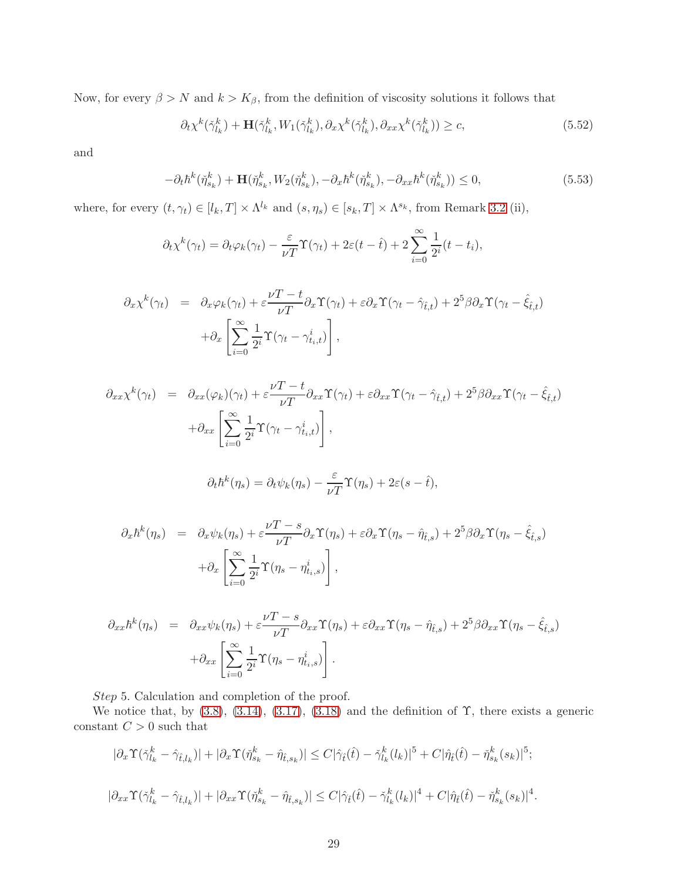Now, for every  $\beta > N$  and  $k > K_{\beta}$ , from the definition of viscosity solutions it follows that

<span id="page-28-0"></span>
$$
\partial_t \chi^k(\check{\gamma}_{l_k}^k) + \mathbf{H}(\check{\gamma}_{l_k}^k, W_1(\check{\gamma}_{l_k}^k), \partial_x \chi^k(\check{\gamma}_{l_k}^k), \partial_{xx} \chi^k(\check{\gamma}_{l_k}^k)) \ge c,\tag{5.52}
$$

and

<span id="page-28-1"></span>
$$
-\partial_t \hbar^k(\check{\eta}_{s_k}^k) + \mathbf{H}(\check{\eta}_{s_k}^k, W_2(\check{\eta}_{s_k}^k), -\partial_x \hbar^k(\check{\eta}_{s_k}^k), -\partial_{xx} \hbar^k(\check{\eta}_{s_k}^k)) \le 0,
$$
\n(5.53)

where, for every  $(t, \gamma_t) \in [l_k, T] \times \Lambda^{l_k}$  and  $(s, \eta_s) \in [s_k, T] \times \Lambda^{s_k}$ , from Remark 3.2 (ii),

$$
\partial_t \chi^k(\gamma_t) = \partial_t \varphi_k(\gamma_t) - \frac{\varepsilon}{\nu T} \Upsilon(\gamma_t) + 2\varepsilon(t - \hat{t}) + 2 \sum_{i=0}^{\infty} \frac{1}{2^i} (t - t_i),
$$

$$
\partial_x \chi^k(\gamma_t) = \partial_x \varphi_k(\gamma_t) + \varepsilon \frac{\nu T - t}{\nu T} \partial_x \Upsilon(\gamma_t) + \varepsilon \partial_x \Upsilon(\gamma_t - \hat{\gamma}_{\hat{t},t}) + 2^5 \beta \partial_x \Upsilon(\gamma_t - \hat{\xi}_{\hat{t},t}) \n+ \partial_x \left[ \sum_{i=0}^{\infty} \frac{1}{2^i} \Upsilon(\gamma_t - \gamma_{t_i,t}^i) \right],
$$

$$
\partial_{xx} \chi^k(\gamma_t) = \partial_{xx} (\varphi_k)(\gamma_t) + \varepsilon \frac{\nu T - t}{\nu T} \partial_{xx} \Upsilon(\gamma_t) + \varepsilon \partial_{xx} \Upsilon(\gamma_t - \hat{\gamma}_{\hat{t},t}) + 2^5 \beta \partial_{xx} \Upsilon(\gamma_t - \hat{\xi}_{\hat{t},t}) \n+ \partial_{xx} \left[ \sum_{i=0}^{\infty} \frac{1}{2^i} \Upsilon(\gamma_t - \gamma_{t,i}^i) \right],
$$

$$
\partial_t \hbar^k(\eta_s) = \partial_t \psi_k(\eta_s) - \frac{\varepsilon}{\nu T} \Upsilon(\eta_s) + 2\varepsilon (s - \hat{t}),
$$

$$
\partial_x \hbar^k(\eta_s) = \partial_x \psi_k(\eta_s) + \varepsilon \frac{\nu T - s}{\nu T} \partial_x \Upsilon(\eta_s) + \varepsilon \partial_x \Upsilon(\eta_s - \hat{\eta}_{\hat{t},s}) + 2^5 \beta \partial_x \Upsilon(\eta_s - \hat{\xi}_{\hat{t},s})
$$

$$
+ \partial_x \left[ \sum_{i=0}^{\infty} \frac{1}{2^i} \Upsilon(\eta_s - \eta_{\hat{t},s}^i) \right],
$$

$$
\partial_{xx}\hbar^{k}(\eta_{s}) = \partial_{xx}\psi_{k}(\eta_{s}) + \varepsilon \frac{\nu T - s}{\nu T} \partial_{xx} \Upsilon(\eta_{s}) + \varepsilon \partial_{xx} \Upsilon(\eta_{s} - \hat{\eta}_{\hat{t},s}) + 2^{5} \beta \partial_{xx} \Upsilon(\eta_{s} - \hat{\xi}_{\hat{t},s}) + \partial_{xx} \left[ \sum_{i=0}^{\infty} \frac{1}{2^{i}} \Upsilon(\eta_{s} - \eta_{t_{i},s}^{i}) \right].
$$

Step 5. Calculation and completion of the proof.

We notice that, by  $(3.8)$ ,  $(3.14)$ ,  $(3.17)$ ,  $(3.18)$  and the definition of  $\Upsilon$ , there exists a generic constant  $C > 0$  such that

$$
|\partial_x \Upsilon(\check{\gamma}_{l_k}^k - \hat{\gamma}_{\hat{t},l_k})| + |\partial_x \Upsilon(\check{\eta}_{s_k}^k - \hat{\eta}_{\hat{t},s_k})| \le C|\hat{\gamma}_{\hat{t}}(\hat{t}) - \check{\gamma}_{l_k}^k(l_k)|^5 + C|\hat{\eta}_{\hat{t}}(\hat{t}) - \check{\eta}_{s_k}^k(s_k)|^5;
$$
  

$$
|\partial_{xx} \Upsilon(\check{\gamma}_{l_k}^k - \hat{\gamma}_{\hat{t},l_k})| + |\partial_{xx} \Upsilon(\check{\eta}_{s_k}^k - \hat{\eta}_{\hat{t},s_k})| \le C|\hat{\gamma}_{\hat{t}}(\hat{t}) - \check{\gamma}_{l_k}^k(l_k)|^4 + C|\hat{\eta}_{\hat{t}}(\hat{t}) - \check{\eta}_{s_k}^k(s_k)|^4.
$$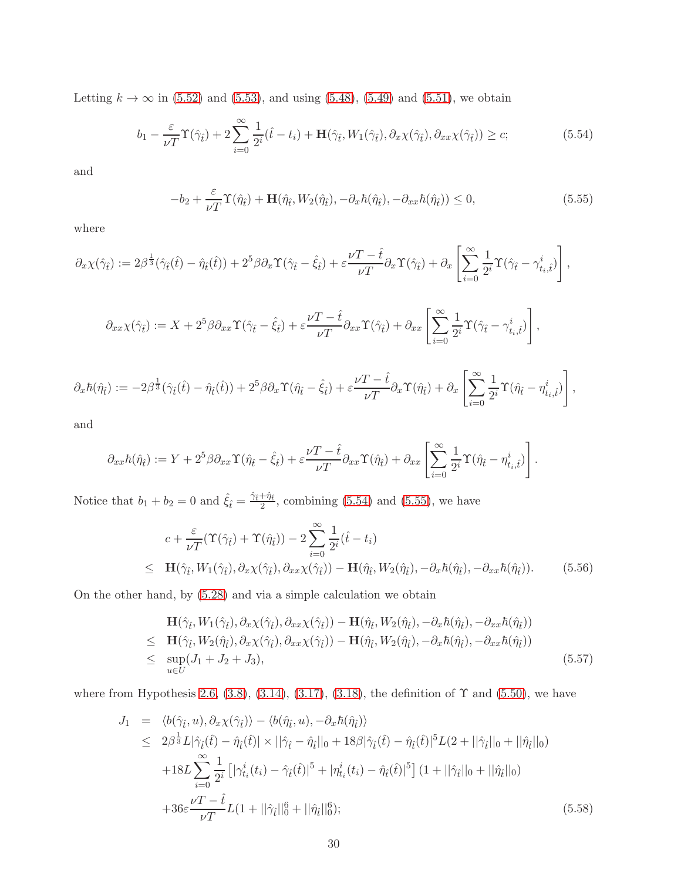Letting  $k \to \infty$  in [\(5.52\)](#page-28-0) and [\(5.53\)](#page-28-1), and using [\(5.48\)](#page-27-3), [\(5.49\)](#page-27-4) and [\(5.51\)](#page-27-5), we obtain

<span id="page-29-0"></span>
$$
b_1 - \frac{\varepsilon}{\nu T} \Upsilon(\hat{\gamma}_t) + 2 \sum_{i=0}^{\infty} \frac{1}{2^i} (\hat{t} - t_i) + \mathbf{H}(\hat{\gamma}_t, W_1(\hat{\gamma}_t), \partial_x \chi(\hat{\gamma}_t), \partial_{xx} \chi(\hat{\gamma}_t)) \ge c; \tag{5.54}
$$

and

<span id="page-29-1"></span>
$$
-b_2 + \frac{\varepsilon}{\nu T} \Upsilon(\hat{\eta}_t) + \mathbf{H}(\hat{\eta}_t, W_2(\hat{\eta}_t), -\partial_x \hbar(\hat{\eta}_t), -\partial_{xx} \hbar(\hat{\eta}_t)) \le 0, \tag{5.55}
$$

where

$$
\partial_x \chi(\hat{\gamma}_{\hat{t}}) := 2\beta^{\frac{1}{3}}(\hat{\gamma}_{\hat{t}}(\hat{t}) - \hat{\eta}_{\hat{t}}(\hat{t})) + 2^5 \beta \partial_x \Upsilon(\hat{\gamma}_{\hat{t}} - \hat{\xi}_{\hat{t}}) + \varepsilon \frac{\nu T - \hat{t}}{\nu T} \partial_x \Upsilon(\hat{\gamma}_{\hat{t}}) + \partial_x \left[ \sum_{i=0}^{\infty} \frac{1}{2^i} \Upsilon(\hat{\gamma}_{\hat{t}} - \gamma^i_{t_i, \hat{t}}) \right],
$$

$$
\partial_{xx}\chi(\hat{\gamma}_{\hat{t}}) := X + 2^5 \beta \partial_{xx} \Upsilon(\hat{\gamma}_{\hat{t}} - \hat{\xi}_{\hat{t}}) + \varepsilon \frac{\nu T - \hat{t}}{\nu T} \partial_{xx} \Upsilon(\hat{\gamma}_{\hat{t}}) + \partial_{xx} \left[ \sum_{i=0}^{\infty} \frac{1}{2^i} \Upsilon(\hat{\gamma}_{\hat{t}} - \gamma^i_{t_i, \hat{t}}) \right],
$$

$$
\partial_x \hbar(\hat{\eta}_{\hat{t}}) := -2\beta^{\frac{1}{3}}(\hat{\gamma}_{\hat{t}}(\hat{t}) - \hat{\eta}_{\hat{t}}(\hat{t})) + 2^5 \beta \partial_x \Upsilon(\hat{\eta}_{\hat{t}} - \hat{\xi}_{\hat{t}}) + \varepsilon \frac{\nu T - \hat{t}}{\nu T} \partial_x \Upsilon(\hat{\eta}_{\hat{t}}) + \partial_x \left[ \sum_{i=0}^{\infty} \frac{1}{2^i} \Upsilon(\hat{\eta}_{\hat{t}} - \eta_{t_i, \hat{t}}^i) \right],
$$

and

$$
\partial_{xx}\hbar(\hat{\eta}_{\hat{t}}) := Y + 2^5 \beta \partial_{xx} \Upsilon(\hat{\eta}_{\hat{t}} - \hat{\xi}_{\hat{t}}) + \varepsilon \frac{\nu T - \hat{t}}{\nu T} \partial_{xx} \Upsilon(\hat{\eta}_{\hat{t}}) + \partial_{xx} \left[ \sum_{i=0}^{\infty} \frac{1}{2^i} \Upsilon(\hat{\eta}_{\hat{t}} - \eta_{t_i,\hat{t}}^i) \right].
$$

Notice that  $b_1 + b_2 = 0$  and  $\hat{\xi}_t = \frac{\hat{\gamma}_t + \hat{\eta}_t}{2}$ , combining [\(5.54\)](#page-29-0) and [\(5.55\)](#page-29-1), we have

<span id="page-29-2"></span>
$$
c + \frac{\varepsilon}{\nu T} (\Upsilon(\hat{\gamma}_t) + \Upsilon(\hat{\eta}_t)) - 2 \sum_{i=0}^{\infty} \frac{1}{2^i} (\hat{t} - t_i)
$$
  
\n
$$
\leq \mathbf{H}(\hat{\gamma}_t, W_1(\hat{\gamma}_t), \partial_x \chi(\hat{\gamma}_t), \partial_{xx} \chi(\hat{\gamma}_t)) - \mathbf{H}(\hat{\eta}_t, W_2(\hat{\eta}_t), -\partial_x \hbar(\hat{\eta}_t), -\partial_{xx} \hbar(\hat{\eta}_t)).
$$
 (5.56)

On the other hand, by [\(5.28\)](#page-23-4) and via a simple calculation we obtain

$$
\mathbf{H}(\hat{\gamma}_{\hat{t}}, W_1(\hat{\gamma}_{\hat{t}}), \partial_x \chi(\hat{\gamma}_{\hat{t}}), \partial_{xx} \chi(\hat{\gamma}_{\hat{t}})) - \mathbf{H}(\hat{\eta}_{\hat{t}}, W_2(\hat{\eta}_{\hat{t}}), -\partial_x \hbar(\hat{\eta}_{\hat{t}}), -\partial_{xx} \hbar(\hat{\eta}_{\hat{t}})) \leq \mathbf{H}(\hat{\gamma}_{\hat{t}}, W_2(\hat{\eta}_{\hat{t}}), \partial_x \chi(\hat{\gamma}_{\hat{t}}), \partial_{xx} \chi(\hat{\gamma}_{\hat{t}})) - \mathbf{H}(\hat{\eta}_{\hat{t}}, W_2(\hat{\eta}_{\hat{t}}), -\partial_x \hbar(\hat{\eta}_{\hat{t}}), -\partial_{xx} \hbar(\hat{\eta}_{\hat{t}})) \leq \sup_{u \in U} (J_1 + J_2 + J_3),
$$
\n(5.57)

where from Hypothesis [2.6,](#page-5-0) [\(3.8\)](#page-9-6), [\(3.14\)](#page-10-2), [\(3.17\)](#page-11-2), [\(3.18\)](#page-11-3), the definition of  $\Upsilon$  and [\(5.50\)](#page-27-0), we have

$$
J_{1} = \langle b(\hat{\gamma}_{\hat{t}}, u), \partial_{x} \chi(\hat{\gamma}_{\hat{t}}) \rangle - \langle b(\hat{\eta}_{\hat{t}}, u), -\partial_{x} \hbar(\hat{\eta}_{\hat{t}}) \rangle
$$
  
\n
$$
\leq 2\beta^{\frac{1}{3}} L |\hat{\gamma}_{\hat{t}}(\hat{t}) - \hat{\eta}_{\hat{t}}(\hat{t})| \times ||\hat{\gamma}_{\hat{t}} - \hat{\eta}_{\hat{t}}||_{0} + 18\beta |\hat{\gamma}_{\hat{t}}(\hat{t}) - \hat{\eta}_{\hat{t}}(\hat{t})|^{5} L(2 + ||\hat{\gamma}_{\hat{t}}||_{0} + ||\hat{\eta}_{\hat{t}}||_{0})
$$
  
\n
$$
+ 18L \sum_{i=0}^{\infty} \frac{1}{2^{i}} \left[ |\gamma_{t_{i}}^{i}(t_{i}) - \hat{\gamma}_{\hat{t}}(\hat{t})|^{5} + |\eta_{t_{i}}^{i}(t_{i}) - \hat{\eta}_{\hat{t}}(\hat{t})|^{5} \right] (1 + ||\hat{\gamma}_{\hat{t}}||_{0} + ||\hat{\eta}_{\hat{t}}||_{0})
$$
  
\n
$$
+ 36\varepsilon \frac{\nu T - \hat{t}}{\nu T} L(1 + ||\hat{\gamma}_{\hat{t}}||_{0}^{6} + ||\hat{\eta}_{\hat{t}}||_{0}^{6}); \qquad (5.58)
$$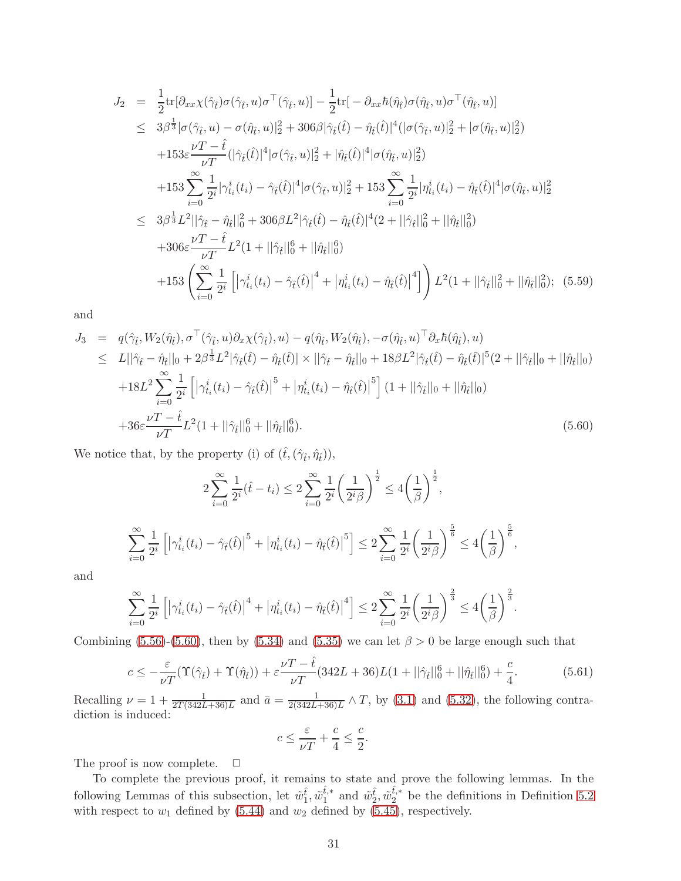$$
J_2 = \frac{1}{2} \text{tr}[\partial_{xx} \chi(\hat{\gamma}_{\hat{t}}) \sigma(\hat{\gamma}_{\hat{t}}, u) \sigma^{\top}(\hat{\gamma}_{\hat{t}}, u)] - \frac{1}{2} \text{tr}[-\partial_{xx} \hbar(\hat{\eta}_{\hat{t}}) \sigma(\hat{\eta}_{\hat{t}}, u) \sigma^{\top}(\hat{\eta}_{\hat{t}}, u)]
$$
  
\n
$$
\leq 3\beta^{\frac{1}{3}} |\sigma(\hat{\gamma}_{\hat{t}}, u) - \sigma(\hat{\eta}_{\hat{t}}, u)|_{2}^{2} + 306\beta |\hat{\gamma}_{\hat{t}}(\hat{t}) - \hat{\eta}_{\hat{t}}(\hat{t})|^{4} |(\sigma(\hat{\gamma}_{\hat{t}}, u)|_{2}^{2} + |\sigma(\hat{\eta}_{\hat{t}}, u)|_{2}^{2})
$$
  
\n
$$
+ 153\varepsilon \frac{\nu T - \hat{t}}{\nu T} (|\hat{\gamma}_{\hat{t}}(\hat{t})|^{4} |\sigma(\hat{\gamma}_{\hat{t}}, u)|_{2}^{2} + |\hat{\eta}_{\hat{t}}(\hat{t})|^{4} |\sigma(\hat{\eta}_{\hat{t}}, u)|_{2}^{2})
$$
  
\n
$$
+ 153 \sum_{i=0}^{\infty} \frac{1}{2^{i}} |\gamma_{t_{i}}^{i}(t_{i}) - \hat{\gamma}_{\hat{t}}(\hat{t})|^{4} |\sigma(\hat{\gamma}_{\hat{t}}, u)|_{2}^{2} + 153 \sum_{i=0}^{\infty} \frac{1}{2^{i}} |\eta_{t_{i}}^{i}(t_{i}) - \hat{\eta}_{\hat{t}}(\hat{t})|^{4} |\sigma(\hat{\eta}_{\hat{t}}, u)|_{2}^{2}
$$
  
\n
$$
\leq 3\beta^{\frac{1}{3}} L^{2} ||\hat{\gamma}_{\hat{t}} - \hat{\eta}_{\hat{t}}||_{0}^{2} + 306\beta L^{2} |\hat{\gamma}_{\hat{t}}(\hat{t}) - \hat{\eta}_{\hat{t}}(\hat{t})|^{4} (2 + ||\hat{\gamma}_{\hat{t}}||_{0}^{2} + ||\hat{\eta}_{\hat{t}}||_{0}^{2})
$$
  
\n
$$
+ 306\varepsilon \frac{\nu T - \hat{t}}{\nu T} L^{2} (1 + ||\hat{\gamma}_{\hat{t
$$

and

<span id="page-30-0"></span>
$$
J_{3} = q(\hat{\gamma}_{\hat{t}}, W_{2}(\hat{\eta}_{\hat{t}}), \sigma^{\top}(\hat{\gamma}_{\hat{t}}, u)\partial_{x}\chi(\hat{\gamma}_{\hat{t}}), u) - q(\hat{\eta}_{\hat{t}}, W_{2}(\hat{\eta}_{\hat{t}}), -\sigma(\hat{\eta}_{\hat{t}}, u)^{\top}\partial_{x}\hbar(\hat{\eta}_{\hat{t}}), u) \leq L||\hat{\gamma}_{\hat{t}} - \hat{\eta}_{\hat{t}}||_{0} + 2\beta^{\frac{1}{3}}L^{2}|\hat{\gamma}_{\hat{t}}(\hat{t}) - \hat{\eta}_{\hat{t}}(\hat{t})| \times ||\hat{\gamma}_{\hat{t}} - \hat{\eta}_{\hat{t}}||_{0} + 18\beta L^{2}|\hat{\gamma}_{\hat{t}}(\hat{t}) - \hat{\eta}_{\hat{t}}(\hat{t})|^{5}(2 + ||\hat{\gamma}_{\hat{t}}||_{0} + ||\hat{\eta}_{\hat{t}}||_{0}) + 18L^{2} \sum_{i=0}^{\infty} \frac{1}{2^{i}} \left[ |\gamma_{t_{i}}^{i}(t_{i}) - \hat{\gamma}_{\hat{t}}(\hat{t})|^{5} + |\eta_{t_{i}}^{i}(t_{i}) - \hat{\eta}_{\hat{t}}(\hat{t})|^{5} \right] (1 + ||\hat{\gamma}_{\hat{t}}||_{0} + ||\hat{\eta}_{\hat{t}}||_{0}) + 36\varepsilon \frac{\nu T - \hat{t}}{\nu T} L^{2}(1 + ||\hat{\gamma}_{\hat{t}}||_{0}^{6} + ||\hat{\eta}_{\hat{t}}||_{0}^{6}). \tag{5.60}
$$

We notice that, by the property (i) of  $(\hat{t},(\hat{\gamma}_{\hat{t}},\hat{\eta}_{\hat{t}})),$ 

$$
2\sum_{i=0}^{\infty} \frac{1}{2^i} (\hat{t} - t_i) \le 2\sum_{i=0}^{\infty} \frac{1}{2^i} \left(\frac{1}{2^i \beta}\right)^{\frac{1}{2}} \le 4\left(\frac{1}{\beta}\right)^{\frac{1}{2}},
$$
  

$$
\sum_{i=0}^{\infty} \frac{1}{2^i} \left[ \left|\gamma_{t_i}^i(t_i) - \hat{\gamma}_t(\hat{t})\right|^5 + \left|\eta_{t_i}^i(t_i) - \hat{\eta}_t(\hat{t})\right|^5 \right] \le 2\sum_{i=0}^{\infty} \frac{1}{2^i} \left(\frac{1}{2^i \beta}\right)^{\frac{5}{6}} \le 4\left(\frac{1}{\beta}\right)^{\frac{5}{6}},
$$

and

$$
\sum_{i=0}^{\infty} \frac{1}{2^i} \left[ \left| \gamma_{t_i}^i(t_i) - \hat{\gamma}_{\hat{t}}(\hat{t}) \right|^4 + \left| \eta_{t_i}^i(t_i) - \hat{\eta}_{\hat{t}}(\hat{t}) \right|^4 \right] \leq 2 \sum_{i=0}^{\infty} \frac{1}{2^i} \left( \frac{1}{2^i \beta} \right)^{\frac{2}{3}} \leq 4 \left( \frac{1}{\beta} \right)^{\frac{2}{3}}.
$$

Combining [\(5.56\)](#page-29-2)-[\(5.60\)](#page-30-0), then by [\(5.34\)](#page-25-2) and [\(5.35\)](#page-25-3) we can let  $\beta > 0$  be large enough such that

$$
c \le -\frac{\varepsilon}{\nu T} (\Upsilon(\hat{\gamma}_{\hat{t}}) + \Upsilon(\hat{\eta}_{\hat{t}})) + \varepsilon \frac{\nu T - \hat{t}}{\nu T} (342L + 36)L(1 + ||\hat{\gamma}_{\hat{t}}||_0^6 + ||\hat{\eta}_{\hat{t}}||_0^6) + \frac{c}{4}.
$$
 (5.61)

Recalling  $\nu = 1 + \frac{1}{2T(342L+36)L}$  and  $\bar{a} = \frac{1}{2(342L+64)}$  $\frac{1}{2(342L+36)L} \wedge T$ , by [\(3.1\)](#page-8-4) and [\(5.32\)](#page-24-1), the following contradiction is induced:

$$
c \le \frac{\varepsilon}{\nu T} + \frac{c}{4} \le \frac{c}{2}.
$$

The proof is now complete.  $\Box$ 

To complete the previous proof, it remains to state and prove the following lemmas. In the following Lemmas of this subsection, let  $\tilde{w}_1^{\hat{t}}, \tilde{w}_1^{\hat{t},*}$  $\hat{u}_1^{\hat{t},*}$  and  $\tilde{w}_2^{\hat{t}}, \tilde{w}_2^{\hat{t},*}$  $\frac{b}{2}$  be the definitions in Definition [5.2](#page-17-3) with respect to  $w_1$  defined by [\(5.44\)](#page-26-2) and  $w_2$  defined by [\(5.45\)](#page-26-3), respectively.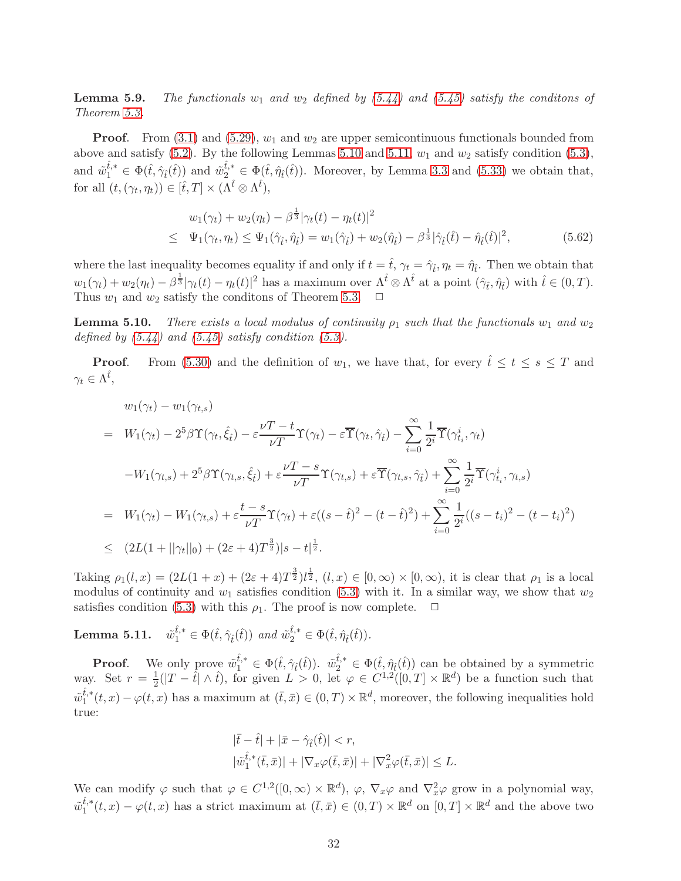<span id="page-31-0"></span>**Lemma 5.9.** The functionals  $w_1$  and  $w_2$  defined by [\(5.44\)](#page-26-2) and [\(5.45\)](#page-26-3) satisfy the conditions of Theorem [5.3.](#page-17-1)

**Proof.** From [\(3.1\)](#page-8-4) and [\(5.29\)](#page-23-1),  $w_1$  and  $w_2$  are upper semicontinuous functionals bounded from above and satisfy [\(5.2\)](#page-17-2). By the following Lemmas [5.10](#page-31-1) and [5.11,](#page-31-2)  $w_1$  and  $w_2$  satisfy condition [\(5.3\)](#page-18-3), and  $\tilde{w}_1^{\hat{t},*} \in \Phi(\hat{t}, \hat{\gamma}_{\hat{t}}(\hat{t}))$  and  $\tilde{w}_2^{\hat{t},*} \in \Phi(\hat{t}, \hat{\eta}_{\hat{t}}(\hat{t}))$ . Moreover, by Lemma [3.3](#page-11-4) and [\(5.33\)](#page-24-0) we obtain that, for all  $(t, (\gamma_t, \eta_t)) \in [\hat{t}, T] \times (\Lambda^{\hat{t}} \otimes \Lambda^{\hat{t}}),$ 

$$
w_1(\gamma_t) + w_2(\eta_t) - \beta^{\frac{1}{3}} |\gamma_t(t) - \eta_t(t)|^2
$$
  
\n
$$
\leq \Psi_1(\gamma_t, \eta_t) \leq \Psi_1(\hat{\gamma}_{\hat{t}}, \hat{\eta}_{\hat{t}}) = w_1(\hat{\gamma}_{\hat{t}}) + w_2(\hat{\eta}_{\hat{t}}) - \beta^{\frac{1}{3}} |\hat{\gamma}_{\hat{t}}(\hat{t}) - \hat{\eta}_{\hat{t}}(\hat{t})|^2,
$$
\n(5.62)

where the last inequality becomes equality if and only if  $t = \hat{t}$ ,  $\gamma_t = \hat{\gamma}_t$ ,  $\eta_t = \hat{\eta}_t$ . Then we obtain that  $w_1(\gamma_t) + w_2(\eta_t) - \beta^{\frac{1}{3}} |\gamma_t(t) - \eta_t(t)|^2$  has a maximum over  $\Lambda^{\hat{t}} \otimes \Lambda^{\hat{t}}$  at a point  $(\hat{\gamma}_{\hat{t}}, \hat{\eta}_{\hat{t}})$  with  $\hat{t} \in (0, T)$ . Thus  $w_1$  and  $w_2$  satisfy the conditions of Theorem [5.3.](#page-17-1)  $\Box$ 

<span id="page-31-1"></span>**Lemma 5.10.** There exists a local modulus of continuity  $\rho_1$  such that the functionals  $w_1$  and  $w_2$ defined by  $(5.44)$  and  $(5.45)$  satisfy condition  $(5.3)$ .

**Proof.** From [\(5.30\)](#page-23-2) and the definition of  $w_1$ , we have that, for every  $\hat{t} \leq t \leq s \leq T$  and  $\gamma_t \in \Lambda^{\hat{t}},$ 

$$
w_1(\gamma_t) - w_1(\gamma_{t,s})
$$
  
\n
$$
= W_1(\gamma_t) - 2^5 \beta \Upsilon(\gamma_t, \hat{\xi}_t) - \varepsilon \frac{\nu T - t}{\nu T} \Upsilon(\gamma_t) - \varepsilon \overline{\Upsilon}(\gamma_t, \hat{\gamma}_t) - \sum_{i=0}^{\infty} \frac{1}{2^i} \overline{\Upsilon}(\gamma_{t_i}^i, \gamma_t)
$$
  
\n
$$
-W_1(\gamma_{t,s}) + 2^5 \beta \Upsilon(\gamma_{t,s}, \hat{\xi}_t) + \varepsilon \frac{\nu T - s}{\nu T} \Upsilon(\gamma_{t,s}) + \varepsilon \overline{\Upsilon}(\gamma_{t,s}, \hat{\gamma}_t) + \sum_{i=0}^{\infty} \frac{1}{2^i} \overline{\Upsilon}(\gamma_{t_i}^i, \gamma_{t,s})
$$
  
\n
$$
= W_1(\gamma_t) - W_1(\gamma_{t,s}) + \varepsilon \frac{t - s}{\nu T} \Upsilon(\gamma_t) + \varepsilon ((s - \hat{t})^2 - (t - \hat{t})^2) + \sum_{i=0}^{\infty} \frac{1}{2^i} ((s - t_i)^2 - (t - t_i)^2)
$$
  
\n
$$
\leq (2L(1 + ||\gamma_t||_0) + (2\varepsilon + 4)T^{\frac{3}{2}})|s - t|^{\frac{1}{2}}.
$$

Taking  $\rho_1(l,x) = (2L(1+x) + (2\varepsilon+4)T^{\frac{3}{2}})l^{\frac{1}{2}}$ ,  $(l,x) \in [0,\infty) \times [0,\infty)$ , it is clear that  $\rho_1$  is a local modulus of continuity and  $w_1$  satisfies condition [\(5.3\)](#page-18-3) with it. In a similar way, we show that  $w_2$ satisfies condition [\(5.3\)](#page-18-3) with this  $\rho_1$ . The proof is now complete.  $\Box$ 

<span id="page-31-2"></span>**Lemma 5.11.**  $\tilde{w}_1^{\hat{t},*} \in \Phi(\hat{t}, \hat{\gamma}_{\hat{t}}(\hat{t}))$  and  $\tilde{w}_2^{\hat{t},*} \in \Phi(\hat{t}, \hat{\eta}_{\hat{t}}(\hat{t})).$ 

**Proof.** We only prove  $\tilde{w}_1^{\hat{t},*} \in \Phi(\hat{t}, \hat{\gamma}_i(\hat{t}))$ .  $\tilde{w}_2^{\hat{t},*} \in \Phi(\hat{t}, \hat{\eta}_i(\hat{t}))$  can be obtained by a symmetric way. Set  $r = \frac{1}{2}$  $\frac{1}{2}(|T - \hat{t}| \wedge \hat{t}),$  for given  $L > 0$ , let  $\varphi \in C^{1,2}([0,T] \times \mathbb{R}^d)$  be a function such that  $\tilde{w}_1^{\hat{t},*}$  $_{1}^{t,*}(t,x)-\varphi(t,x)$  has a maximum at  $(\bar{t},\bar{x})\in(0,T)\times\mathbb{R}^{d}$ , moreover, the following inequalities hold true:

$$
\begin{aligned} |\bar{t} - \hat{t}| + |\bar{x} - \hat{\gamma}_{\hat{t}}(\hat{t})| &< r, \\ |\tilde{w}_1^{\hat{t},*}(\bar{t}, \bar{x})| + |\nabla_x \varphi(\bar{t}, \bar{x})| + |\nabla_x^2 \varphi(\bar{t}, \bar{x})| &< L. \end{aligned}
$$

We can modify  $\varphi$  such that  $\varphi \in C^{1,2}([0,\infty) \times \mathbb{R}^d)$ ,  $\varphi$ ,  $\nabla_x \varphi$  and  $\nabla_x^2 \varphi$  grow in a polynomial way,  $\tilde{w}_1^{\hat{t},*}$  $t_1^{t,*}(t,x) - \varphi(t,x)$  has a strict maximum at  $(\bar{t},\bar{x}) \in (0,T) \times \mathbb{R}^d$  on  $[0,T] \times \mathbb{R}^d$  and the above two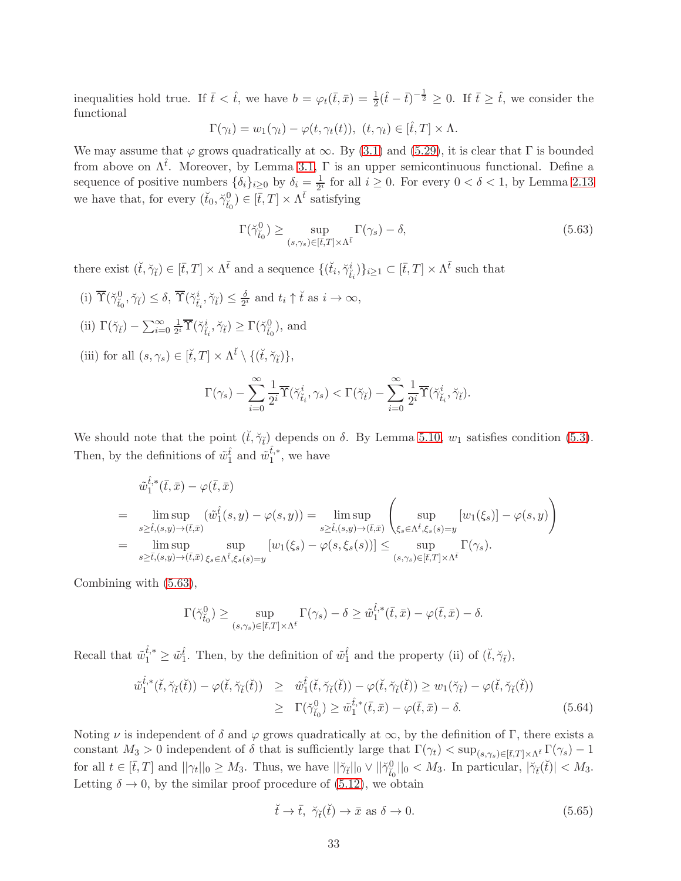inequalities hold true. If  $\bar{t} < \hat{t}$ , we have  $b = \varphi_t(\bar{t}, \bar{x}) = \frac{1}{2}(\hat{t} - \bar{t})^{-\frac{1}{2}} \geq 0$ . If  $\bar{t} \geq \hat{t}$ , we consider the functional

$$
\Gamma(\gamma_t) = w_1(\gamma_t) - \varphi(t, \gamma_t(t)), \ (t, \gamma_t) \in [\hat{t}, T] \times \Lambda.
$$

We may assume that  $\varphi$  grows quadratically at  $\infty$ . By [\(3.1\)](#page-8-4) and [\(5.29\)](#page-23-1), it is clear that Γ is bounded from above on  $\Lambda^{\hat{t}}$ . Moreover, by Lemma [3.1,](#page-8-0)  $\Gamma$  is an upper semicontinuous functional. Define a sequence of positive numbers  $\{\delta_i\}_{i\geq 0}$  by  $\delta_i = \frac{1}{2^i}$  for all  $i \geq 0$ . For every  $0 < \delta < 1$ , by Lemma [2.13](#page-7-1) we have that, for every  $(\check{t}_0, \check{\gamma}^0_{\check{t}_0}) \in [\bar{t}, T] \times \Lambda^{\bar{t}}$  satisfying

<span id="page-32-0"></span>
$$
\Gamma(\check{\gamma}_{\check{t}_0}^0) \ge \sup_{(s,\gamma_s)\in[\bar{t},T]\times\Lambda^{\bar{t}}} \Gamma(\gamma_s) - \delta,\tag{5.63}
$$

there exist  $(\check{t}, \check{\gamma}_{\check{t}}) \in [\bar{t}, T] \times \Lambda^{\bar{t}}$  and a sequence  $\{(\check{t}_i, \check{\gamma}_{\check{t}_i}^i)\}_{i \geq 1} \subset [\bar{t}, T] \times \Lambda^{\bar{t}}$  such that

(i)  $\overline{\Upsilon}(\breve{\gamma}_{\breve{t}_0}^0, \breve{\gamma}_{\breve{t}}) \leq \delta, \overline{\Upsilon}(\breve{\gamma}_{\breve{t}_i}^i, \breve{\gamma}_{\breve{t}}) \leq \frac{\delta}{2^3}$  $\frac{\delta}{2^i}$  and  $t_i \uparrow \check{t}$  as  $i \to \infty$ , (ii)  $\Gamma(\check{\gamma}_{\check{t}}) - \sum_{i=0}^{\infty} \frac{1}{2^i}$  $\frac{1}{2^i} \overline{\Upsilon}(\breve{\gamma}_{\breve{t}_i}^i, \breve{\gamma}_{\breve{t}}) \ge \Gamma(\breve{\gamma}_{\breve{t}_0}^0)$ , and (iii) for all  $(s, \gamma_s) \in [\check{t}, T] \times \Lambda^{\check{t}} \setminus \{(\check{t}, \check{\gamma}_{\check{t}})\},\$  $\Gamma(\gamma_s) - \sum^\infty$  $i=0$ 1  $\frac{1}{2^i}\overline{\Upsilon}(\breve{\gamma}_{\breve{t}_i}^i,\gamma_s)<\Gamma(\breve{\gamma}_{\breve{t}})-\sum_{i=0}^{\infty}$  $i=0$ 1  $\frac{1}{2^i}\overline{\Upsilon}(\breve{\gamma}_{\breve{t}_i}^i,\breve{\gamma}_{\breve{t}}).$ 

We should note that the point  $(\check{t}, \check{\gamma}_{\check{t}})$  depends on  $\delta$ . By Lemma [5.10,](#page-31-1)  $w_1$  satisfies condition [\(5.3\)](#page-18-3). Then, by the definitions of  $\tilde{w}_1^{\hat{t}}$  and  $\tilde{w}_1^{\hat{t},*}$  $i^{t,*}_1$ , we have

$$
\tilde{w}_{1}^{\hat{t},*}(\bar{t},\bar{x}) - \varphi(\bar{t},\bar{x})
$$
\n
$$
= \limsup_{s \geq \hat{t},(s,y) \to (\bar{t},\bar{x})} (\tilde{w}_{1}^{\hat{t}}(s,y) - \varphi(s,y)) = \limsup_{s \geq \hat{t},(s,y) \to (\bar{t},\bar{x})} \left( \sup_{\xi_{s} \in \Lambda^{\hat{t}},\xi_{s}(s)=y} [w_{1}(\xi_{s})] - \varphi(s,y) \right)
$$
\n
$$
= \limsup_{s \geq \bar{t},(s,y) \to (\bar{t},\bar{x})} \sup_{\xi_{s} \in \Lambda^{\hat{t}},\xi_{s}(s)=y} [w_{1}(\xi_{s}) - \varphi(s,\xi_{s}(s))] \leq \sup_{(s,\gamma_{s}) \in [\bar{t},T] \times \Lambda^{\bar{t}}} \Gamma(\gamma_{s}).
$$

Combining with [\(5.63\)](#page-32-0),

$$
\Gamma(\check{\gamma}_{\check{t}_0}^0) \geq \sup_{(s,\gamma_s)\in[\bar{t},T]\times\Lambda^{\bar{t}}} \Gamma(\gamma_s) - \delta \geq \tilde{w}_1^{\hat{t},*}(\bar{t},\bar{x}) - \varphi(\bar{t},\bar{x}) - \delta.
$$

Recall that  $\tilde{w}_1^{\hat{t},*} \geq \tilde{w}_1^{\hat{t}}$ . Then, by the definition of  $\tilde{w}_1^{\hat{t}}$  and the property (ii) of  $(\check{t}, \check{\gamma}_{\check{t}})$ ,

$$
\tilde{w}_{1}^{\hat{t},*}(\check{t},\check{\gamma}_{\check{t}}(\check{t})) - \varphi(\check{t},\check{\gamma}_{\check{t}}(\check{t})) \geq \tilde{w}_{1}^{\hat{t}}(\check{t},\check{\gamma}_{\check{t}}(\check{t})) - \varphi(\check{t},\check{\gamma}_{\check{t}}(\check{t})) \geq w_{1}(\check{\gamma}_{\check{t}}) - \varphi(\check{t},\check{\gamma}_{\check{t}}(\check{t})) \geq \Gamma(\check{\gamma}_{\check{t}_{0}}^{0}) \geq \tilde{w}_{1}^{\hat{t},*}(\check{t},\bar{x}) - \varphi(\check{t},\bar{x}) - \delta.
$$
\n(5.64)

Noting  $\nu$  is independent of  $\delta$  and  $\varphi$  grows quadratically at  $\infty$ , by the definition of Γ, there exists a constant  $M_3 > 0$  independent of δ that is sufficiently large that  $\Gamma(\gamma_t) < \sup_{(s,\gamma_s) \in [\bar{t},T] \times \Lambda^{\bar{t}}} \Gamma(\gamma_s) - 1$ for all  $t \in [\bar{t}, T]$  and  $||\gamma_t||_0 \geq M_3$ . Thus, we have  $||\breve{\gamma}_t||_0 \vee ||\breve{\gamma}_{t_0}^0||_0 < M_3$ . In particular,  $|\breve{\gamma}_t(\breve{t})| < M_3$ . Letting  $\delta \to 0$ , by the similar proof procedure of [\(5.12\)](#page-19-1), we obtain

<span id="page-32-1"></span> $\check{t} \to \bar{t}, \ \check{\gamma}_{\check{t}}(\check{t}) \to \bar{x} \text{ as } \delta \to 0.$  (5.65)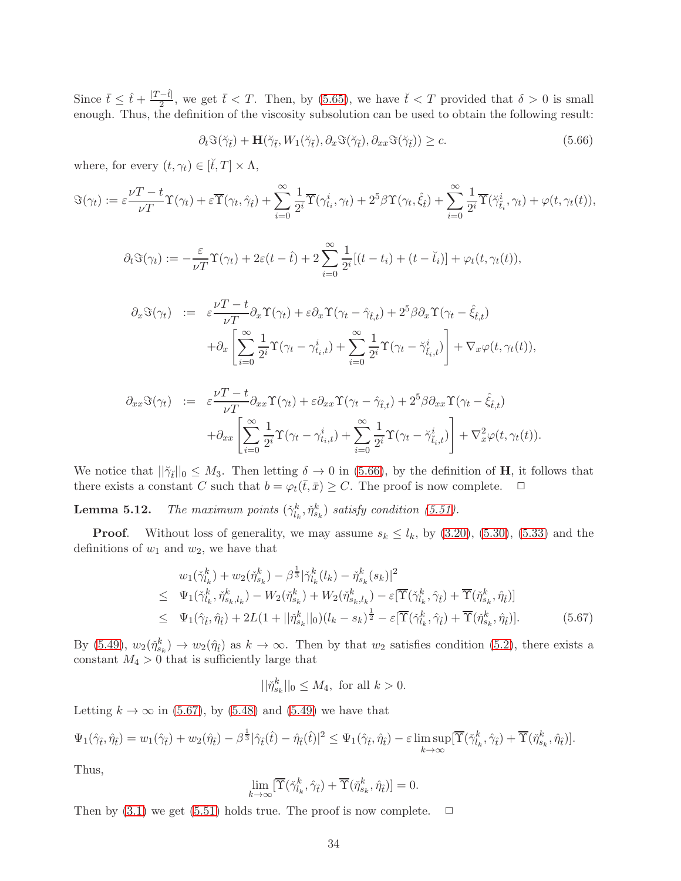Since  $\bar{t} \leq \hat{t} + \frac{|T - \hat{t}|}{2}$  $\frac{2-t}{2}$ , we get  $\bar{t} < T$ . Then, by [\(5.65\)](#page-32-1), we have  $\check{t} < T$  provided that  $\delta > 0$  is small enough. Thus, the definition of the viscosity subsolution can be used to obtain the following result:

<span id="page-33-1"></span>
$$
\partial_t \Im(\breve{\gamma}_{\breve{t}}) + \mathbf{H}(\breve{\gamma}_{\breve{t}}, W_1(\breve{\gamma}_{\breve{t}}), \partial_x \Im(\breve{\gamma}_{\breve{t}}), \partial_{xx} \Im(\breve{\gamma}_{\breve{t}})) \ge c. \tag{5.66}
$$

where, for every  $(t, \gamma_t) \in [\check{t}, T] \times \Lambda$ ,

$$
\Im(\gamma_t) := \varepsilon \frac{\nu T - t}{\nu T} \Upsilon(\gamma_t) + \varepsilon \overline{\Upsilon}(\gamma_t, \hat{\gamma}_t) + \sum_{i=0}^{\infty} \frac{1}{2^i} \overline{\Upsilon}(\gamma_{t_i}^i, \gamma_t) + 2^5 \beta \Upsilon(\gamma_t, \hat{\xi}_t) + \sum_{i=0}^{\infty} \frac{1}{2^i} \overline{\Upsilon}(\check{\gamma}_{t_i}^i, \gamma_t) + \varphi(t, \gamma_t(t)),
$$

$$
\partial_t \Im(\gamma_t) := -\frac{\varepsilon}{\nu T} \Upsilon(\gamma_t) + 2\varepsilon(t - \hat{t}) + 2\sum_{i=0}^{\infty} \frac{1}{2^i} [(t - t_i) + (t - \check{t}_i)] + \varphi_t(t, \gamma_t(t)),
$$

$$
\partial_x \Im(\gamma_t) := \varepsilon \frac{\nu T - t}{\nu T} \partial_x \Upsilon(\gamma_t) + \varepsilon \partial_x \Upsilon(\gamma_t - \hat{\gamma}_{\hat{t},t}) + 2^5 \beta \partial_x \Upsilon(\gamma_t - \hat{\xi}_{\hat{t},t}) \n+ \partial_x \left[ \sum_{i=0}^{\infty} \frac{1}{2^i} \Upsilon(\gamma_t - \gamma_{t_i,t}^i) + \sum_{i=0}^{\infty} \frac{1}{2^i} \Upsilon(\gamma_t - \check{\gamma}_{\hat{t}_i,t}^i) \right] + \nabla_x \varphi(t, \gamma_t(t)),
$$

$$
\partial_{xx}\Im(\gamma_t) \quad := \quad \varepsilon \frac{\nu T - t}{\nu T} \partial_{xx} \Upsilon(\gamma_t) + \varepsilon \partial_{xx} \Upsilon(\gamma_t - \hat{\gamma}_{\hat{t},t}) + 2^5 \beta \partial_{xx} \Upsilon(\gamma_t - \hat{\xi}_{\hat{t},t}) \n+ \partial_{xx} \left[ \sum_{i=0}^{\infty} \frac{1}{2^i} \Upsilon(\gamma_t - \gamma_{t_i,t}^i) + \sum_{i=0}^{\infty} \frac{1}{2^i} \Upsilon(\gamma_t - \check{\gamma}_{\hat{t},t}^i) \right] + \nabla_x^2 \varphi(t, \gamma_t(t)).
$$

We notice that  $||\tilde{\gamma}_{\tilde{t}}||_0 \leq M_3$ . Then letting  $\delta \to 0$  in [\(5.66\)](#page-33-1), by the definition of **H**, it follows that there exists a constant C such that  $b = \varphi_t(\bar{t}, \bar{x}) \geq C$ . The proof is now complete.  $\Box$ 

<span id="page-33-0"></span>**Lemma 5.12.** The maximum points  $(\check{\gamma}_{l_k}^k, \check{\eta}_{s_k}^k)$  satisfy condition [\(5.51\)](#page-27-5).

**Proof.** Without loss of generality, we may assume  $s_k \leq l_k$ , by  $(3.20)$ ,  $(5.30)$ ,  $(5.33)$  and the definitions of  $w_1$  and  $w_2$ , we have that

<span id="page-33-2"></span>
$$
w_{1}(\check{\gamma}_{l_{k}}^{k}) + w_{2}(\check{\eta}_{s_{k}}^{k}) - \beta^{\frac{1}{3}}|\check{\gamma}_{l_{k}}^{k}(l_{k}) - \check{\eta}_{s_{k}}^{k}(s_{k})|^{2}
$$
  
\n
$$
\leq \Psi_{1}(\check{\gamma}_{l_{k}}^{k}, \check{\eta}_{s_{k},l_{k}}^{k}) - W_{2}(\check{\eta}_{s_{k}}^{k}) + W_{2}(\check{\eta}_{s_{k},l_{k}}^{k}) - \varepsilon[\overline{\Upsilon}(\check{\gamma}_{l_{k}}^{k}, \hat{\gamma}_{\hat{t}}) + \overline{\Upsilon}(\check{\eta}_{s_{k}}^{k}, \hat{\eta}_{\hat{t}})]
$$
  
\n
$$
\leq \Psi_{1}(\hat{\gamma}_{\hat{t}}, \hat{\eta}_{\hat{t}}) + 2L(1 + ||\check{\eta}_{s_{k}}^{k}||_{0})(l_{k} - s_{k})^{\frac{1}{2}} - \varepsilon[\overline{\Upsilon}(\check{\gamma}_{l_{k}}^{k}, \hat{\gamma}_{\hat{t}}) + \overline{\Upsilon}(\check{\eta}_{s_{k}}^{k}, \hat{\eta}_{\hat{t}})]. \tag{5.67}
$$

By [\(5.49\)](#page-27-4),  $w_2(\tilde{\eta}_{s_k}^k) \to w_2(\hat{\eta}_t)$  as  $k \to \infty$ . Then by that  $w_2$  satisfies condition [\(5.2\)](#page-17-2), there exists a constant  $M_4 > 0$  that is sufficiently large that

$$
||\check{\eta}_{s_k}^k||_0 \le M_4, \text{ for all } k > 0.
$$

Letting  $k \to \infty$  in [\(5.67\)](#page-33-2), by [\(5.48\)](#page-27-3) and [\(5.49\)](#page-27-4) we have that

$$
\Psi_1(\hat{\gamma}_{\hat{t}},\hat{\eta}_{\hat{t}}) = w_1(\hat{\gamma}_{\hat{t}}) + w_2(\hat{\eta}_{\hat{t}}) - \beta^{\frac{1}{3}}|\hat{\gamma}_{\hat{t}}(\hat{t}) - \hat{\eta}_{\hat{t}}(\hat{t})|^2 \leq \Psi_1(\hat{\gamma}_{\hat{t}},\hat{\eta}_{\hat{t}}) - \varepsilon \limsup_{k \to \infty} [\overline{\Upsilon}(\check{\gamma}_{l_k}^k, \hat{\gamma}_{\hat{t}}) + \overline{\Upsilon}(\check{\eta}_{s_k}^k, \hat{\eta}_{\hat{t}})].
$$

Thus,

$$
\lim_{k \to \infty} [\overline{\Upsilon}(\check{\gamma}_{l_k}^k, \hat{\gamma}_{\hat{t}}) + \overline{\Upsilon}(\check{\eta}_{s_k}^k, \hat{\eta}_{\hat{t}})] = 0.
$$

Then by  $(3.1)$  we get  $(5.51)$  holds true. The proof is now complete.  $\Box$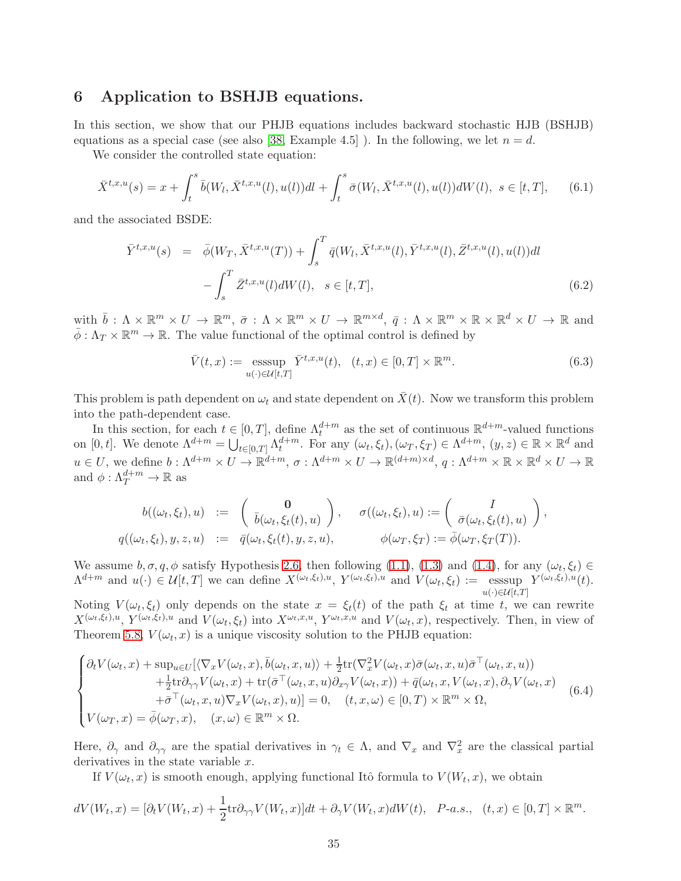#### 6 Application to BSHJB equations.

In this section, we show that our PHJB equations includes backward stochastic HJB (BSHJB) equations as a special case (see also [\[38,](#page-42-4) Example 4.5]). In the following, we let  $n = d$ .

We consider the controlled state equation:

$$
\bar{X}^{t,x,u}(s) = x + \int_t^s \bar{b}(W_l, \bar{X}^{t,x,u}(l), u(l))dl + \int_t^s \bar{\sigma}(W_l, \bar{X}^{t,x,u}(l), u(l))dW(l), \ s \in [t, T], \qquad (6.1)
$$

and the associated BSDE:

$$
\bar{Y}^{t,x,u}(s) = \bar{\phi}(W_T, \bar{X}^{t,x,u}(T)) + \int_s^T \bar{q}(W_l, \bar{X}^{t,x,u}(l), \bar{Y}^{t,x,u}(l), \bar{Z}^{t,x,u}(l), u(l))dl \n- \int_s^T \bar{Z}^{t,x,u}(l)dW(l), \quad s \in [t,T],
$$
\n(6.2)

with  $\overline{b} : \Lambda \times \mathbb{R}^m \times U \to \mathbb{R}^m$ ,  $\overline{\sigma} : \Lambda \times \mathbb{R}^m \times U \to \mathbb{R}^{m \times d}$ ,  $\overline{q} : \Lambda \times \mathbb{R}^m \times \mathbb{R} \times \mathbb{R}^d \times U \to \mathbb{R}$  and  $\bar{\phi}: \Lambda_T \times \mathbb{R}^m \to \mathbb{R}$ . The value functional of the optimal control is defined by

$$
\bar{V}(t,x) := \underset{u(\cdot) \in \mathcal{U}[t,T]}{\operatorname{esssup}} \bar{Y}^{t,x,u}(t), \quad (t,x) \in [0,T] \times \mathbb{R}^m. \tag{6.3}
$$

This problem is path dependent on  $\omega_t$  and state dependent on  $\bar{X}(t)$ . Now we transform this problem into the path-dependent case.

In this section, for each  $t \in [0, T]$ , define  $\Lambda_t^{d+m}$  as the set of continuous  $\mathbb{R}^{d+m}$ -valued functions on  $[0, t]$ . We denote  $\Lambda^{d+m} = \bigcup_{t \in [0, T]} \Lambda_t^{d+m}$ . For any  $(\omega_t, \xi_t), (\omega_T, \xi_T) \in \Lambda^{d+m}$ ,  $(y, z) \in \mathbb{R} \times \mathbb{R}^d$  and  $u \in U$ , we define  $b: \Lambda^{d+m} \times U \to \mathbb{R}^{d+m}$ ,  $\sigma: \Lambda^{d+m} \times U \to \mathbb{R}^{(d+m)\times d}$ ,  $q: \Lambda^{d+m} \times \mathbb{R} \times \mathbb{R}^d \times U \to \mathbb{R}$ and  $\phi: \Lambda_T^{d+m} \to \mathbb{R}$  as

$$
\begin{array}{rcl} b((\omega_t,\xi_t),u) &:=& \left(\begin{array}{c} \mathbf{0} \\ \bar{b}(\omega_t,\xi_t(t),u) \end{array}\right), \quad \ \sigma((\omega_t,\xi_t),u) := \left(\begin{array}{c} I \\ \bar{\sigma}(\omega_t,\xi_t(t),u) \end{array}\right), \\ q((\omega_t,\xi_t),y,z,u) &:=& \bar{q}(\omega_t,\xi_t(t),y,z,u), \qquad \qquad \phi(\omega_T,\xi_T) := \bar{\phi}(\omega_T,\xi_T(T)). \end{array}
$$

We assume  $b, \sigma, q, \phi$  satisfy Hypothesis [2.6,](#page-5-0) then following [\(1.1\)](#page-36-2), [\(1.3\)](#page-36-3) and [\(1.4\)](#page-36-0), for any  $(\omega_t, \xi_t) \in$  $\Lambda^{d+m}$  and  $u(\cdot) \in \mathcal{U}[t,T]$  we can define  $X^{(\omega_t,\xi_t),u}, Y^{(\omega_t,\xi_t),u}$  and  $V(\omega_t,\xi_t) := \text{esssup } Y^{(\omega_t,\xi_t),u}(t)$ .  $u(\cdot) \in \mathcal{U}[t,T]$ 

Noting  $V(\omega_t, \xi_t)$  only depends on the state  $x = \xi_t(t)$  of the path  $\xi_t$  at time t, we can rewrite  $X^{(\omega_t,\xi_t),u}, Y^{(\omega_t,\xi_t),u}$  and  $V(\omega_t,\xi_t)$  into  $X^{\omega_t,x,u}, Y^{\omega_t,x,u}$  and  $V(\omega_t,x)$ , respectively. Then, in view of Theorem [5.8,](#page-23-5)  $V(\omega_t, x)$  is a unique viscosity solution to the PHJB equation:

<span id="page-34-0"></span>
$$
\begin{cases}\n\partial_t V(\omega_t, x) + \sup_{u \in U} [\langle \nabla_x V(\omega_t, x), \bar{b}(\omega_t, x, u) \rangle + \frac{1}{2} \text{tr}(\nabla_x^2 V(\omega_t, x) \bar{\sigma}(\omega_t, x, u) \bar{\sigma}^\top(\omega_t, x, u)) \\
+ \frac{1}{2} \text{tr} \partial_{\gamma \gamma} V(\omega_t, x) + \text{tr}(\bar{\sigma}^\top(\omega_t, x, u) \partial_{x \gamma} V(\omega_t, x)) + \bar{q}(\omega_t, x, V(\omega_t, x), \partial_{\gamma} V(\omega_t, x) \\
+ \bar{\sigma}^\top(\omega_t, x, u) \nabla_x V(\omega_t, x), u)] = 0, \quad (t, x, \omega) \in [0, T) \times \mathbb{R}^m \times \Omega, \\
V(\omega_T, x) = \bar{\phi}(\omega_T, x), \quad (x, \omega) \in \mathbb{R}^m \times \Omega.\n\end{cases} \tag{6.4}
$$

Here,  $\partial_{\gamma}$  and  $\partial_{\gamma\gamma}$  are the spatial derivatives in  $\gamma_t \in \Lambda$ , and  $\nabla_x$  and  $\nabla_x^2$  are the classical partial derivatives in the state variable x.

If  $V(\omega_t, x)$  is smooth enough, applying functional Itô formula to  $V(W_t, x)$ , we obtain

$$
dV(W_t, x) = [\partial_t V(W_t, x) + \frac{1}{2} \text{tr} \partial_{\gamma \gamma} V(W_t, x)] dt + \partial_{\gamma} V(W_t, x) dW(t), \quad P\text{-}a.s., \quad (t, x) \in [0, T] \times \mathbb{R}^m.
$$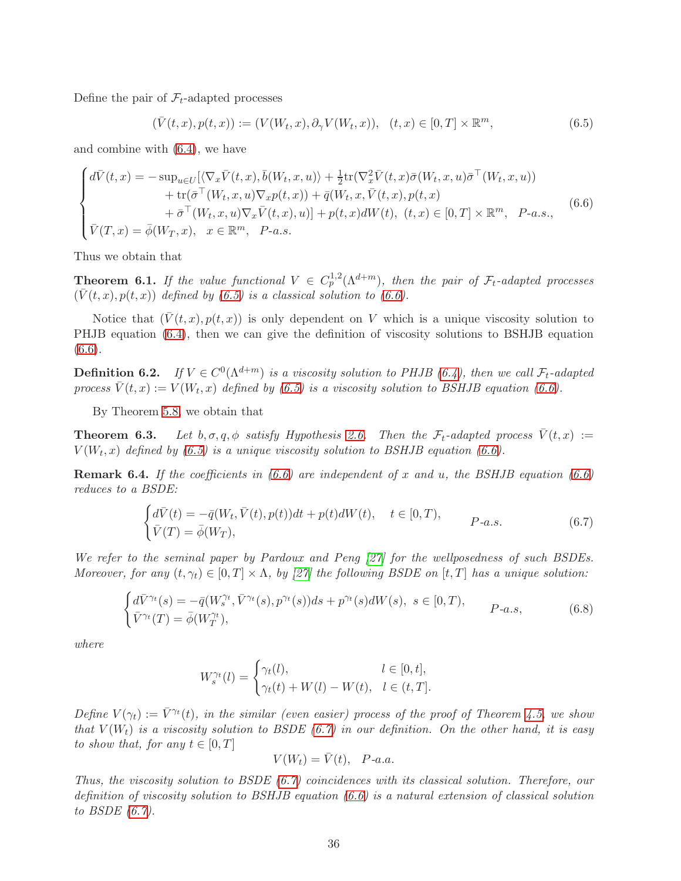Define the pair of  $\mathcal{F}_t$ -adapted processes

<span id="page-35-0"></span>
$$
(\overline{V}(t,x),p(t,x)) := (V(W_t,x),\partial_\gamma V(W_t,x)), \quad (t,x) \in [0,T] \times \mathbb{R}^m,
$$
\n(6.5)

and combine with [\(6.4\)](#page-34-0), we have

<span id="page-35-1"></span>
$$
\begin{cases}\n d\bar{V}(t,x) = -\sup_{u\in U} [\langle \nabla_x \bar{V}(t,x), \bar{b}(W_t,x,u) \rangle + \frac{1}{2} \text{tr}(\nabla_x^2 \bar{V}(t,x) \bar{\sigma}(W_t,x,u) \bar{\sigma}^\top(W_t,x,u)) \\
 \quad + \text{tr}(\bar{\sigma}^\top(W_t,x,u) \nabla_x p(t,x)) + \bar{q}(W_t,x,\bar{V}(t,x),p(t,x)) \\
 \quad + \bar{\sigma}^\top(W_t,x,u) \nabla_x \bar{V}(t,x),u)] + p(t,x) dW(t), \ (t,x) \in [0,T] \times \mathbb{R}^m, \ \ P\text{-}a.s.,\n\end{cases}\n\tag{6.6}
$$

Thus we obtain that

**Theorem 6.1.** If the value functional  $V \text{ }\in C_p^{1,2}(\Lambda^{d+m})$ , then the pair of  $\mathcal{F}_t$ -adapted processes  $(\bar{V}(t, x), p(t, x))$  defined by [\(6.5\)](#page-35-0) is a classical solution to [\(6.6\)](#page-35-1).

Notice that  $(\bar{V}(t, x), p(t, x))$  is only dependent on V which is a unique viscosity solution to PHJB equation [\(6.4\)](#page-34-0), then we can give the definition of viscosity solutions to BSHJB equation [\(6.6\)](#page-35-1).

**Definition 6.2.** If  $V \in C^{0}(\Lambda^{d+m})$  is a viscosity solution to PHJB [\(6.4\)](#page-34-0), then we call  $\mathcal{F}_{t}$ -adapted process  $\bar{V}(t, x) := V(W_t, x)$  defined by [\(6.5\)](#page-35-0) is a viscosity solution to BSHJB equation [\(6.6\)](#page-35-1).

By Theorem [5.8,](#page-23-5) we obtain that

**Theorem 6.3.** Let  $b, \sigma, q, \phi$  satisfy Hypothesis [2.6.](#page-5-0) Then the  $\mathcal{F}_t$ -adapted process  $\bar{V}(t, x) :=$  $V(W_t, x)$  defined by [\(6.5\)](#page-35-0) is a unique viscosity solution to BSHJB equation [\(6.6\)](#page-35-1).

**Remark 6.4.** If the coefficients in  $(6.6)$  are independent of x and u, the BSHJB equation  $(6.6)$ reduces to a BSDE:

<span id="page-35-2"></span>
$$
\begin{cases}\n d\bar{V}(t) = -\bar{q}(W_t, \bar{V}(t), p(t))dt + p(t)dW(t), & t \in [0, T), \\
 \bar{V}(T) = \bar{\phi}(W_T), & P-a.s.\n\end{cases}
$$
\n(6.7)

We refer to the seminal paper by Pardoux and Peng [\[27\]](#page-42-17) for the wellposedness of such BSDEs. Moreover, for any  $(t, \gamma_t) \in [0, T] \times \Lambda$ , by [\[27\]](#page-42-17) the following BSDE on [t, T] has a unique solution:

$$
\begin{cases} d\bar{V}^{\gamma_t}(s) = -\bar{q}(W_s^{\gamma_t}, \bar{V}^{\gamma_t}(s), p^{\gamma_t}(s))ds + p^{\gamma_t}(s)dW(s), \ s \in [0, T), \\ \bar{V}^{\gamma_t}(T) = \bar{\phi}(W_T^{\gamma_t}), \end{cases}
$$
 (6.8)

where

$$
W^{\gamma_t}_s(l)=\begin{cases} \gamma_t(l), & l\in [0,t],\\ \gamma_t(t)+W(l)-W(t), & l\in (t,T].\end{cases}
$$

Define  $V(\gamma_t) := \overline{V}^{\gamma_t}(t)$ , in the similar (even easier) process of the proof of Theorem [4.5,](#page-14-0) we show that  $V(W_t)$  is a viscosity solution to BSDE [\(6.7\)](#page-35-2) in our definition. On the other hand, it is easy to show that, for any  $t \in [0, T]$ 

$$
V(W_t)=\bar{V}(t),\ \ P\text{-}a.a.
$$

Thus, the viscosity solution to BSDE  $(6.7)$  coincidences with its classical solution. Therefore, our definition of viscosity solution to BSHJB equation [\(6.6\)](#page-35-1) is a natural extension of classical solution to BSDE [\(6.7\)](#page-35-2).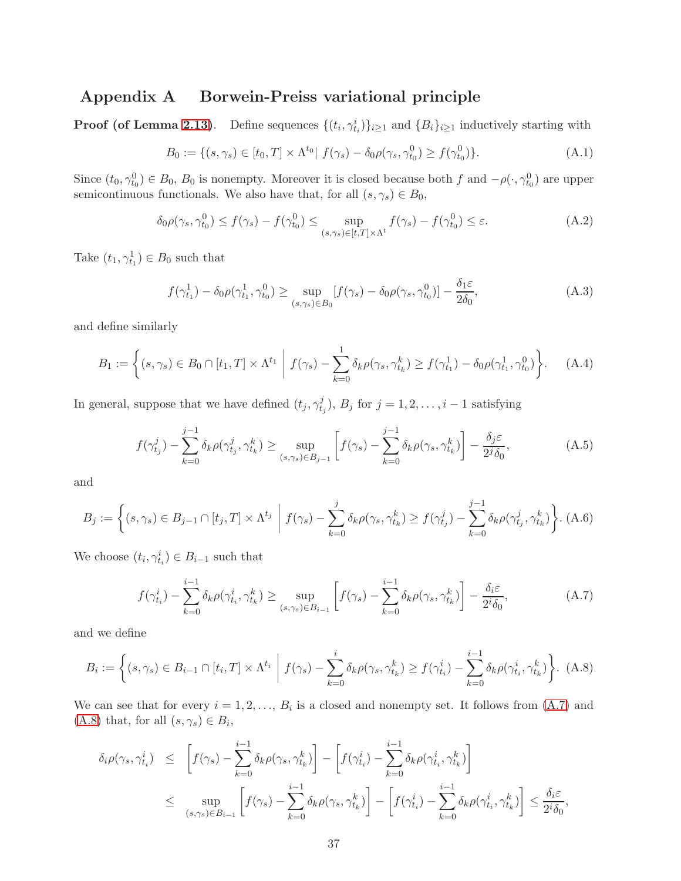# Appendix A Borwein-Preiss variational principle

**Proof (of Lemma [2.13\)](#page-7-1)**. Define sequences  $\{(t_i, \gamma_{t_i}^i)\}_{i \geq 1}$  and  $\{B_i\}_{i \geq 1}$  inductively starting with

<span id="page-36-2"></span>
$$
B_0 := \{ (s, \gamma_s) \in [t_0, T] \times \Lambda^{t_0} | f(\gamma_s) - \delta_0 \rho(\gamma_s, \gamma_{t_0}^0) \ge f(\gamma_{t_0}^0) \}. \tag{A.1}
$$

Since  $(t_0, \gamma_{t_0}^0) \in B_0$ ,  $B_0$  is nonempty. Moreover it is closed because both f and  $-\rho(\cdot, \gamma_{t_0}^0)$  are upper semicontinuous functionals. We also have that, for all  $(s, \gamma_s) \in B_0$ ,

<span id="page-36-6"></span>
$$
\delta_0 \rho(\gamma_s, \gamma_{t_0}^0) \le f(\gamma_s) - f(\gamma_{t_0}^0) \le \sup_{(s,\gamma_s) \in [t,T] \times \Lambda^t} f(\gamma_s) - f(\gamma_{t_0}^0) \le \varepsilon. \tag{A.2}
$$

Take  $(t_1, \gamma_{t_1}^1) \in B_0$  such that

<span id="page-36-3"></span>
$$
f(\gamma_{t_1}^1) - \delta_0 \rho(\gamma_{t_1}^1, \gamma_{t_0}^0) \ge \sup_{(s,\gamma_s)\in B_0} [f(\gamma_s) - \delta_0 \rho(\gamma_s, \gamma_{t_0}^0)] - \frac{\delta_1 \varepsilon}{2\delta_0},\tag{A.3}
$$

and define similarly

<span id="page-36-0"></span>
$$
B_1 := \left\{ (s, \gamma_s) \in B_0 \cap [t_1, T] \times \Lambda^{t_1} \middle| f(\gamma_s) - \sum_{k=0}^1 \delta_k \rho(\gamma_s, \gamma_{t_k}^k) \ge f(\gamma_{t_1}^1) - \delta_0 \rho(\gamma_{t_1}^1, \gamma_{t_0}^0) \right\}.
$$
 (A.4)

In general, suppose that we have defined  $(t_j, \gamma_t^j)$  $(t_j, t_j)$ ,  $B_j$  for  $j = 1, 2, \ldots, i - 1$  satisfying

<span id="page-36-1"></span>
$$
f(\gamma_{t_j}^j) - \sum_{k=0}^{j-1} \delta_k \rho(\gamma_{t_j}^j, \gamma_{t_k}^k) \ge \sup_{(s,\gamma_s)\in B_{j-1}} \left[ f(\gamma_s) - \sum_{k=0}^{j-1} \delta_k \rho(\gamma_s, \gamma_{t_k}^k) \right] - \frac{\delta_j \varepsilon}{2^j \delta_0},\tag{A.5}
$$

and

$$
B_j := \left\{ (s, \gamma_s) \in B_{j-1} \cap [t_j, T] \times \Lambda^{t_j} \middle| f(\gamma_s) - \sum_{k=0}^j \delta_k \rho(\gamma_s, \gamma_{t_k}^k) \ge f(\gamma_{t_j}^j) - \sum_{k=0}^{j-1} \delta_k \rho(\gamma_{t_j}^j, \gamma_{t_k}^k) \right\}.
$$
 (A.6)

We choose  $(t_i, \gamma_{t_i}^i) \in B_{i-1}$  such that

<span id="page-36-4"></span>
$$
f(\gamma_{t_i}^i) - \sum_{k=0}^{i-1} \delta_k \rho(\gamma_{t_i}^i, \gamma_{t_k}^k) \ge \sup_{(s,\gamma_s)\in B_{i-1}} \left[ f(\gamma_s) - \sum_{k=0}^{i-1} \delta_k \rho(\gamma_s, \gamma_{t_k}^k) \right] - \frac{\delta_i \varepsilon}{2^i \delta_0},\tag{A.7}
$$

and we define

<span id="page-36-5"></span>
$$
B_i := \left\{ (s, \gamma_s) \in B_{i-1} \cap [t_i, T] \times \Lambda^{t_i} \middle| f(\gamma_s) - \sum_{k=0}^i \delta_k \rho(\gamma_s, \gamma_{t_k}^k) \ge f(\gamma_{t_i}^i) - \sum_{k=0}^{i-1} \delta_k \rho(\gamma_{t_i}^i, \gamma_{t_k}^k) \right\}.
$$
 (A.8)

We can see that for every  $i = 1, 2, ..., B_i$  is a closed and nonempty set. It follows from  $(A.7)$  and  $(A.8)$  that, for all  $(s, \gamma_s) \in B_i$ ,

$$
\delta_i \rho(\gamma_s, \gamma_{t_i}^i) \leq \left[ f(\gamma_s) - \sum_{k=0}^{i-1} \delta_k \rho(\gamma_s, \gamma_{t_k}^k) \right] - \left[ f(\gamma_{t_i}^i) - \sum_{k=0}^{i-1} \delta_k \rho(\gamma_{t_i}^i, \gamma_{t_k}^k) \right]
$$
\n
$$
\leq \sup_{(s,\gamma_s)\in B_{i-1}} \left[ f(\gamma_s) - \sum_{k=0}^{i-1} \delta_k \rho(\gamma_s, \gamma_{t_k}^k) \right] - \left[ f(\gamma_{t_i}^i) - \sum_{k=0}^{i-1} \delta_k \rho(\gamma_{t_i}^i, \gamma_{t_k}^k) \right] \leq \frac{\delta_i \varepsilon}{2^i \delta_0},
$$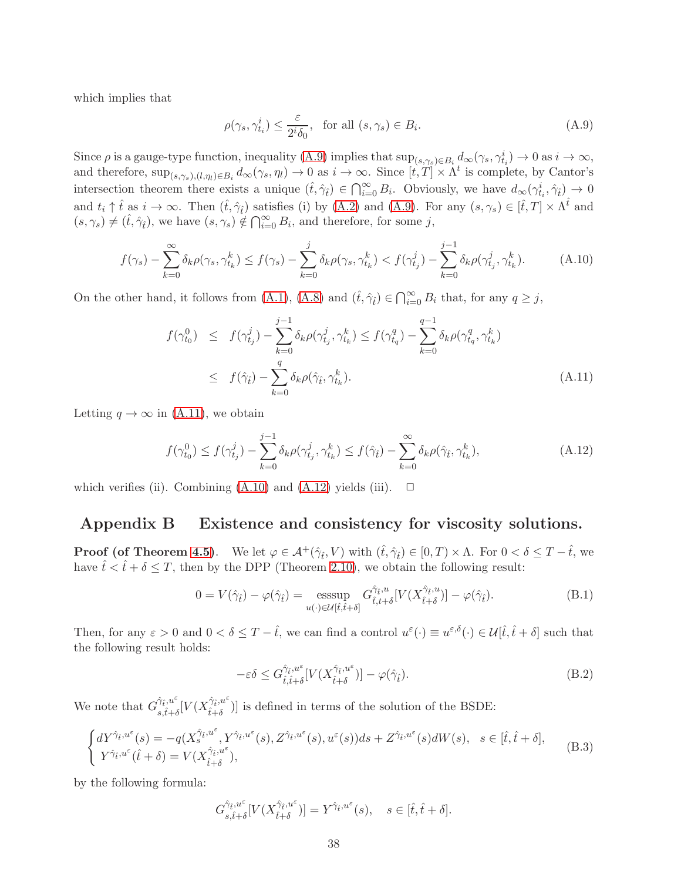which implies that

<span id="page-37-0"></span>
$$
\rho(\gamma_s, \gamma_{t_i}^i) \le \frac{\varepsilon}{2^i \delta_0}, \text{ for all } (s, \gamma_s) \in B_i.
$$
\n(A.9)

Since  $\rho$  is a gauge-type function, inequality [\(A.9\)](#page-37-0) implies that  $\sup_{(s,\gamma_s)\in B_i} d_{\infty}(\gamma_s, \gamma_{t_i}^i) \to 0$  as  $i \to \infty$ , and therefore,  $\sup_{(s,\gamma_s),(l,\eta_l)\in B_i} d_{\infty}(\gamma_s,\eta_l) \to 0$  as  $i\to\infty$ . Since  $[t,T] \times \Lambda^t$  is complete, by Cantor's intersection theorem there exists a unique  $(\hat{t}, \hat{\gamma}_i) \in \bigcap_{i=0}^{\infty} B_i$ . Obviously, we have  $d_{\infty}(\gamma_{t_i}^i, \hat{\gamma}_t) \to 0$ and  $t_i \uparrow \hat{t}$  as  $i \to \infty$ . Then  $(\hat{t}, \hat{\gamma}_{\hat{t}})$  satisfies (i) by [\(A.2\)](#page-36-6) and [\(A.9\)](#page-37-0). For any  $(s, \gamma_s) \in [\hat{t}, T] \times \Lambda^{\hat{t}}$  and  $(s, \gamma_s) \neq (\hat{t}, \hat{\gamma}_{\hat{t}})$ , we have  $(s, \gamma_s) \notin \bigcap_{i=0}^{\infty} B_i$ , and therefore, for some j,

<span id="page-37-2"></span>
$$
f(\gamma_s) - \sum_{k=0}^{\infty} \delta_k \rho(\gamma_s, \gamma_{t_k}^k) \le f(\gamma_s) - \sum_{k=0}^j \delta_k \rho(\gamma_s, \gamma_{t_k}^k) < f(\gamma_{t_j}^j) - \sum_{k=0}^{j-1} \delta_k \rho(\gamma_{t_j}^j, \gamma_{t_k}^k). \tag{A.10}
$$

On the other hand, it follows from [\(A.1\)](#page-36-2), [\(A.8\)](#page-36-5) and  $(\hat{t}, \hat{\gamma}_i) \in \bigcap_{i=0}^{\infty} B_i$  that, for any  $q \geq j$ ,

<span id="page-37-1"></span>
$$
f(\gamma_{t_0}^0) \leq f(\gamma_{t_j}^j) - \sum_{k=0}^{j-1} \delta_k \rho(\gamma_{t_j}^j, \gamma_{t_k}^k) \leq f(\gamma_{t_q}^q) - \sum_{k=0}^{q-1} \delta_k \rho(\gamma_{t_q}^q, \gamma_{t_k}^k)
$$
  

$$
\leq f(\hat{\gamma}_t) - \sum_{k=0}^{q} \delta_k \rho(\hat{\gamma}_t, \gamma_{t_k}^k).
$$
 (A.11)

Letting  $q \to \infty$  in [\(A.11\)](#page-37-1), we obtain

<span id="page-37-3"></span>
$$
f(\gamma_{t_0}^0) \le f(\gamma_{t_j}^j) - \sum_{k=0}^{j-1} \delta_k \rho(\gamma_{t_j}^j, \gamma_{t_k}^k) \le f(\hat{\gamma}_t) - \sum_{k=0}^{\infty} \delta_k \rho(\hat{\gamma}_t, \gamma_{t_k}^k),
$$
 (A.12)

which verifies (ii). Combining  $(A.10)$  and  $(A.12)$  yields (iii).  $\Box$ 

# Appendix B Existence and consistency for viscosity solutions.

**Proof (of Theorem [4.5\)](#page-14-0).** We let  $\varphi \in \mathcal{A}^+(\hat{\gamma}_t, V)$  with  $(\hat{t}, \hat{\gamma}_t) \in [0, T) \times \Lambda$ . For  $0 < \delta \leq T - \hat{t}$ , we have  $\hat{t} < \hat{t} + \delta \leq T$ , then by the DPP (Theorem [2.10\)](#page-7-0), we obtain the following result:

$$
0 = V(\hat{\gamma}_{\hat{t}}) - \varphi(\hat{\gamma}_{\hat{t}}) = \operatorname*{ess\,sup}_{u(\cdot) \in \mathcal{U}[\hat{t}, \hat{t} + \delta]} G^{\hat{\gamma}_{\hat{t}}, u}_{\hat{t}, t + \delta}[V(X^{\hat{\gamma}_{\hat{t}}, u}_{\hat{t} + \delta})] - \varphi(\hat{\gamma}_{\hat{t}}).
$$
\n(B.1)

Then, for any  $\varepsilon > 0$  and  $0 < \delta \leq T - \hat{t}$ , we can find a control  $u^{\varepsilon}(\cdot) \equiv u^{\varepsilon,\delta}(\cdot) \in \mathcal{U}[\hat{t}, \hat{t} + \delta]$  such that the following result holds:

<span id="page-37-5"></span>
$$
-\varepsilon \delta \le G_{\hat{t},\hat{t}+\delta}^{\hat{\gamma}_{\hat{t}},u^{\varepsilon}}[V(X_{\hat{t}+\delta}^{\hat{\gamma}_{\hat{t}},u^{\varepsilon}})] - \varphi(\hat{\gamma}_{\hat{t}}).
$$
\n(B.2)

We note that  $G_{\hat{i}}^{\hat{\gamma}_{\hat{t}},u^{\varepsilon}}$  $\frac{\hat{\gamma}_{\hat{t}}, u^{\varepsilon}}{s, \hat{t}+\delta} [V(X_{\hat{t}+\delta}^{\hat{\gamma}_{\hat{t}}, u^{\varepsilon}})]$  $\left(\begin{array}{c} \n\dot{\tau}+\delta\n\end{array}\right)$  is defined in terms of the solution of the BSDE:

<span id="page-37-4"></span>
$$
\begin{cases} dY^{\hat{\gamma}_{\hat{t}},u^{\varepsilon}}(s) = -q(X^{\hat{\gamma}_{\hat{t}},u^{\varepsilon}},Y^{\hat{\gamma}_{\hat{t}},u^{\varepsilon}}(s),Z^{\hat{\gamma}_{\hat{t}},u^{\varepsilon}}(s),u^{\varepsilon}(s))ds + Z^{\hat{\gamma}_{\hat{t}},u^{\varepsilon}}(s)dW(s), & s \in [\hat{t},\hat{t}+\delta],\\ Y^{\hat{\gamma}_{\hat{t}},u^{\varepsilon}}(\hat{t}+\delta) = V(X^{\hat{\gamma}_{\hat{t}},u^{\varepsilon}}_{\hat{t}+\delta}), \end{cases}
$$
(B.3)

by the following formula:

$$
G_{s,\hat{t}+\delta}^{\hat{\gamma}_{\hat{t}},u^{\varepsilon}}[V(X_{\hat{t}+\delta}^{\hat{\gamma}_{\hat{t}},u^{\varepsilon}})]=Y^{\hat{\gamma}_{\hat{t}},u^{\varepsilon}}(s),\quad s\in[\hat{t},\hat{t}+\delta].
$$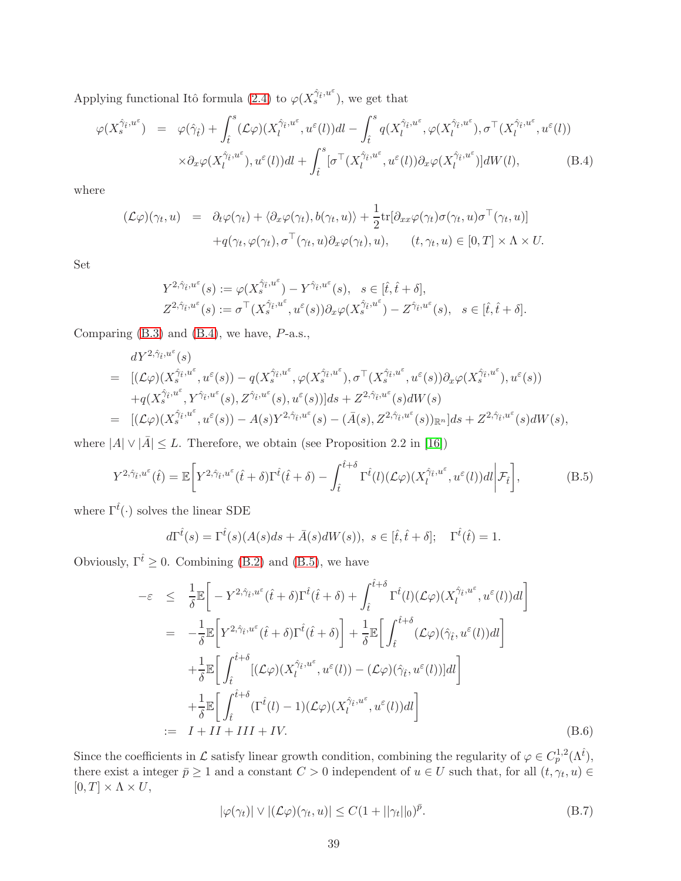Applying functional Itô formula [\(2.4\)](#page-38-0) to  $\varphi(X_s^{\hat{\gamma}_{\hat{t}},u^{\varepsilon}})$ , we get that

<span id="page-38-0"></span>
$$
\varphi(X_s^{\hat{\gamma}_t, u^{\varepsilon}}) = \varphi(\hat{\gamma}_t) + \int_t^s (\mathcal{L}\varphi)(X_l^{\hat{\gamma}_t, u^{\varepsilon}}, u^{\varepsilon}(l))dl - \int_t^s q(X_l^{\hat{\gamma}_t, u^{\varepsilon}}, \varphi(X_l^{\hat{\gamma}_t, u^{\varepsilon}}), \sigma^{\top}(X_l^{\hat{\gamma}_t, u^{\varepsilon}}, u^{\varepsilon}(l))
$$

$$
\times \partial_x \varphi(X_l^{\hat{\gamma}_t, u^{\varepsilon}}), u^{\varepsilon}(l))dl + \int_t^s [\sigma^{\top}(X_l^{\hat{\gamma}_t, u^{\varepsilon}}, u^{\varepsilon}(l))\partial_x \varphi(X_l^{\hat{\gamma}_t, u^{\varepsilon}})]dW(l), \tag{B.4}
$$

where

$$
(\mathcal{L}\varphi)(\gamma_t, u) = \partial_t \varphi(\gamma_t) + \langle \partial_x \varphi(\gamma_t), b(\gamma_t, u) \rangle + \frac{1}{2} \text{tr}[\partial_{xx} \varphi(\gamma_t) \sigma(\gamma_t, u) \sigma^\top(\gamma_t, u)] + q(\gamma_t, \varphi(\gamma_t), \sigma^\top(\gamma_t, u) \partial_x \varphi(\gamma_t), u), \qquad (t, \gamma_t, u) \in [0, T] \times \Lambda \times U.
$$

Set

$$
\begin{split} Y^{2,\hat{\gamma}_{\hat{t}},u^{\varepsilon}}(s) &:= \varphi(X^{\hat{\gamma}_{\hat{t}},u^{\varepsilon}}) - Y^{\hat{\gamma}_{\hat{t}},u^{\varepsilon}}(s), \quad s \in [\hat{t},\hat{t}+\delta],\\ Z^{2,\hat{\gamma}_{\hat{t}},u^{\varepsilon}}(s) &:= \sigma^{\top}(X^{\hat{\gamma}_{\hat{t}},u^{\varepsilon}}_{s},u^{\varepsilon}(s)) \partial_x \varphi(X^{\hat{\gamma}_{\hat{t}},u^{\varepsilon}}_{s}) - Z^{\hat{\gamma}_{\hat{t}},u^{\varepsilon}}(s), \quad s \in [\hat{t},\hat{t}+\delta]. \end{split}
$$

Comparing  $(B.3)$  and  $(B.4)$ , we have,  $P$ -a.s.,

$$
dY^{2,\hat{\gamma}_{\hat{t}},u^{\varepsilon}}(s)
$$
\n
$$
= [(\mathcal{L}\varphi)(X^{\hat{\gamma}_{\hat{t}},u^{\varepsilon}}_s, u^{\varepsilon}(s)) - q(X^{\hat{\gamma}_{\hat{t}},u^{\varepsilon}}_s, \varphi(X^{\hat{\gamma}_{\hat{t}},u^{\varepsilon}}_s), \sigma^{\top}(X^{\hat{\gamma}_{\hat{t}},u^{\varepsilon}}_s, u^{\varepsilon}(s))\partial_x\varphi(X^{\hat{\gamma}_{\hat{t}},u^{\varepsilon}}_s), u^{\varepsilon}(s))
$$
\n
$$
+ q(X^{\hat{\gamma}_{\hat{t}},u^{\varepsilon}}_s, Y^{\hat{\gamma}_{\hat{t}},u^{\varepsilon}}(s), Z^{\hat{\gamma}_{\hat{t}},u^{\varepsilon}}(s), u^{\varepsilon}(s))]ds + Z^{2,\hat{\gamma}_{\hat{t}},u^{\varepsilon}}(s)dW(s)
$$
\n
$$
= [(\mathcal{L}\varphi)(X^{\hat{\gamma}_{\hat{t}},u^{\varepsilon}}_s, u^{\varepsilon}(s)) - A(s)Y^{2,\hat{\gamma}_{\hat{t}},u^{\varepsilon}}(s) - (\bar{A}(s), Z^{2,\hat{\gamma}_{\hat{t}},u^{\varepsilon}}(s))_{\mathbb{R}^n}]ds + Z^{2,\hat{\gamma}_{\hat{t}},u^{\varepsilon}}(s)dW(s),
$$

where  $|A| \vee |\bar{A}| \leq L$ . Therefore, we obtain (see Proposition 2.2 in [\[16\]](#page-41-16))

<span id="page-38-1"></span>
$$
Y^{2,\hat{\gamma}_{\hat{t}},u^{\varepsilon}}(\hat{t}) = \mathbb{E}\bigg[Y^{2,\hat{\gamma}_{\hat{t}},u^{\varepsilon}}(\hat{t}+\delta)\Gamma^{\hat{t}}(\hat{t}+\delta) - \int_{\hat{t}}^{\hat{t}+\delta}\Gamma^{\hat{t}}(l)(\mathcal{L}\varphi)(X_l^{\hat{\gamma}_{\hat{t}},u^{\varepsilon}},u^{\varepsilon}(l))dl\bigg|\mathcal{F}_{\hat{t}}\bigg],\tag{B.5}
$$

where  $\Gamma^{\hat{t}}(\cdot)$  solves the linear SDE

$$
d\Gamma^{\hat{t}}(s) = \Gamma^{\hat{t}}(s)(A(s)ds + \bar{A}(s)dW(s)), \ s \in [\hat{t}, \hat{t} + \delta]; \quad \Gamma^{\hat{t}}(\hat{t}) = 1.
$$

Obviously,  $\Gamma^{\hat{t}} \geq 0$ . Combining [\(B.2\)](#page-37-5) and [\(B.5\)](#page-38-1), we have

<span id="page-38-3"></span>
$$
-\varepsilon \leq \frac{1}{\delta} \mathbb{E} \Bigg[ -Y^{2,\hat{\gamma}_{\hat{t}},u^{\varepsilon}}(\hat{t}+\delta) \Gamma^{\hat{t}}(\hat{t}+\delta) + \int_{\hat{t}}^{\hat{t}+\delta} \Gamma^{\hat{t}}(l) (\mathcal{L}\varphi) (X^{\hat{\gamma}_{\hat{t}},u^{\varepsilon}}_{l},u^{\varepsilon}(l))dl \Bigg]
$$
  
\n
$$
= -\frac{1}{\delta} \mathbb{E} \Bigg[ Y^{2,\hat{\gamma}_{\hat{t}},u^{\varepsilon}}(\hat{t}+\delta) \Gamma^{\hat{t}}(\hat{t}+\delta) \Bigg] + \frac{1}{\delta} \mathbb{E} \Bigg[ \int_{\hat{t}}^{\hat{t}+\delta} (\mathcal{L}\varphi)(\hat{\gamma}_{\hat{t}},u^{\varepsilon}(l))dl \Bigg]
$$
  
\n
$$
+ \frac{1}{\delta} \mathbb{E} \Bigg[ \int_{\hat{t}}^{\hat{t}+\delta} [(\mathcal{L}\varphi)(X^{\hat{\gamma}_{\hat{t}},u^{\varepsilon}}_{l},u^{\varepsilon}(l)) - (\mathcal{L}\varphi)(\hat{\gamma}_{\hat{t}},u^{\varepsilon}(l))]dl \Bigg]
$$
  
\n
$$
+ \frac{1}{\delta} \mathbb{E} \Bigg[ \int_{\hat{t}}^{\hat{t}+\delta} (\Gamma^{\hat{t}}(l)-1) (\mathcal{L}\varphi)(X^{\hat{\gamma}_{\hat{t}},u^{\varepsilon}}_{l},u^{\varepsilon}(l))dl \Bigg]
$$
  
\n
$$
:= I + II + III + IV. \tag{B.6}
$$

Since the coefficients in L satisfy linear growth condition, combining the regularity of  $\varphi \in C_p^{1,2}(\Lambda^{\hat{t}})$ , there exist a integer  $\bar{p} \geq 1$  and a constant  $C > 0$  independent of  $u \in U$  such that, for all  $(t, \gamma_t, u) \in$  $[0, T] \times \Lambda \times U$ ,

<span id="page-38-2"></span>
$$
|\varphi(\gamma_t)| \vee |(\mathcal{L}\varphi)(\gamma_t, u)| \le C(1 + ||\gamma_t||_0)^{\bar{p}}.
$$
 (B.7)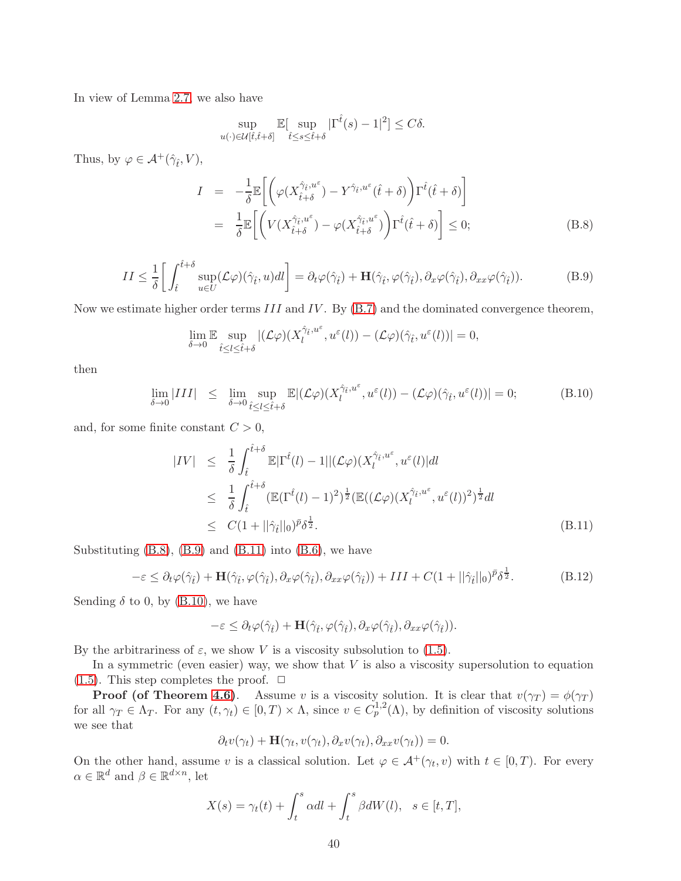In view of Lemma [2.7,](#page-6-0) we also have

$$
\sup_{u(\cdot)\in\mathcal{U}[\hat{t},\hat{t}+\delta]} \mathbb{E}[\sup_{\hat{t}\leq s\leq \hat{t}+\delta}|\Gamma^{\hat{t}}(s)-1|^2] \leq C\delta.
$$

Thus, by  $\varphi \in \mathcal{A}^+(\hat{\gamma}_i, V)$ ,

<span id="page-39-0"></span>
$$
I = -\frac{1}{\delta} \mathbb{E} \left[ \left( \varphi(X_{\hat{t}+\delta}^{\hat{\gamma}_{\hat{t}},u^{\varepsilon}}) - Y^{\hat{\gamma}_{\hat{t}},u^{\varepsilon}}(\hat{t}+\delta) \right) \Gamma^{\hat{t}}(\hat{t}+\delta) \right]
$$
  

$$
= \frac{1}{\delta} \mathbb{E} \left[ \left( V(X_{\hat{t}+\delta}^{\hat{\gamma}_{\hat{t}},u^{\varepsilon}}) - \varphi(X_{\hat{t}+\delta}^{\hat{\gamma}_{\hat{t}},u^{\varepsilon}}) \right) \Gamma^{\hat{t}}(\hat{t}+\delta) \right] \leq 0; \tag{B.8}
$$

<span id="page-39-1"></span>
$$
II \leq \frac{1}{\delta} \left[ \int_{\hat{t}}^{\hat{t}+\delta} \sup_{u \in U} (\mathcal{L}\varphi)(\hat{\gamma}_{\hat{t}}, u)dl \right] = \partial_t \varphi(\hat{\gamma}_{\hat{t}}) + \mathbf{H}(\hat{\gamma}_{\hat{t}}, \varphi(\hat{\gamma}_{\hat{t}}), \partial_x \varphi(\hat{\gamma}_{\hat{t}}), \partial_{xx} \varphi(\hat{\gamma}_{\hat{t}})).
$$
 (B.9)

Now we estimate higher order terms III and IV. By [\(B.7\)](#page-38-2) and the dominated convergence theorem,

$$
\lim_{\delta \to 0} \mathbb{E} \sup_{\hat{t} \le l \le \hat{t} + \delta} |(\mathcal{L}\varphi)(X_l^{\hat{\gamma}_{\hat{t}}, u^{\varepsilon}}, u^{\varepsilon}(l)) - (\mathcal{L}\varphi)(\hat{\gamma}_{\hat{t}}, u^{\varepsilon}(l))| = 0,
$$

then

<span id="page-39-3"></span>
$$
\lim_{\delta \to 0} |III| \leq \lim_{\delta \to 0} \sup_{\hat{t} \leq l \leq \hat{t} + \delta} \mathbb{E} |(\mathcal{L}\varphi)(X_l^{\hat{\gamma}_{\hat{t}}, u^{\varepsilon}}, u^{\varepsilon}(l)) - (\mathcal{L}\varphi)(\hat{\gamma}_{\hat{t}}, u^{\varepsilon}(l))| = 0; \tag{B.10}
$$

and, for some finite constant  $C > 0$ ,

<span id="page-39-2"></span>
$$
|IV| \leq \frac{1}{\delta} \int_{\hat{t}}^{\hat{t}+\delta} \mathbb{E}|\Gamma^{\hat{t}}(l) - 1||(\mathcal{L}\varphi)(X_l^{\hat{\gamma}_{\hat{t}},u^{\varepsilon}},u^{\varepsilon}(l)|dl
$$
  
\n
$$
\leq \frac{1}{\delta} \int_{\hat{t}}^{\hat{t}+\delta} (\mathbb{E}(\Gamma^{\hat{t}}(l) - 1)^2)^{\frac{1}{2}} (\mathbb{E}((\mathcal{L}\varphi)(X_l^{\hat{\gamma}_{\hat{t}},u^{\varepsilon}},u^{\varepsilon}(l))^2)^{\frac{1}{2}}dl
$$
  
\n
$$
\leq C(1 + ||\hat{\gamma}_{\hat{t}}||_0)^{\bar{p}} \delta^{\frac{1}{2}}.
$$
\n(B.11)

Substituting  $(B.8)$ ,  $(B.9)$  and  $(B.11)$  into  $(B.6)$ , we have

$$
-\varepsilon \leq \partial_t \varphi(\hat{\gamma}_t) + \mathbf{H}(\hat{\gamma}_t, \varphi(\hat{\gamma}_t), \partial_x \varphi(\hat{\gamma}_t), \partial_{xx} \varphi(\hat{\gamma}_t)) + III + C(1 + ||\hat{\gamma}_t||_0)^{\bar{p}} \delta^{\frac{1}{2}}.
$$
 (B.12)

Sending  $\delta$  to 0, by [\(B.10\)](#page-39-3), we have

$$
-\varepsilon \leq \partial_t \varphi(\hat{\gamma}_t) + \mathbf{H}(\hat{\gamma}_t, \varphi(\hat{\gamma}_t), \partial_x \varphi(\hat{\gamma}_t), \partial_{xx} \varphi(\hat{\gamma}_t)).
$$

By the arbitrariness of  $\varepsilon$ , we show V is a viscosity subsolution to [\(1.5\)](#page-36-1).

In a symmetric (even easier) way, we show that  $V$  is also a viscosity supersolution to equation [\(1.5\)](#page-36-1). This step completes the proof.  $\Box$ 

**Proof (of Theorem [4.6\)](#page-14-1)**. Assume v is a viscosity solution. It is clear that  $v(\gamma_T) = \phi(\gamma_T)$ for all  $\gamma_T \in \Lambda_T$ . For any  $(t, \gamma_t) \in [0, T) \times \Lambda$ , since  $v \in C_p^{1,2}(\Lambda)$ , by definition of viscosity solutions we see that

$$
\partial_t v(\gamma_t) + \mathbf{H}(\gamma_t, v(\gamma_t), \partial_x v(\gamma_t), \partial_{xx} v(\gamma_t)) = 0.
$$

On the other hand, assume v is a classical solution. Let  $\varphi \in \mathcal{A}^+(\gamma_t, v)$  with  $t \in [0, T)$ . For every  $\alpha \in \mathbb{R}^d$  and  $\beta \in \mathbb{R}^{d \times n}$ , let

$$
X(s) = \gamma_t(t) + \int_t^s \alpha dl + \int_t^s \beta dW(l), \quad s \in [t, T],
$$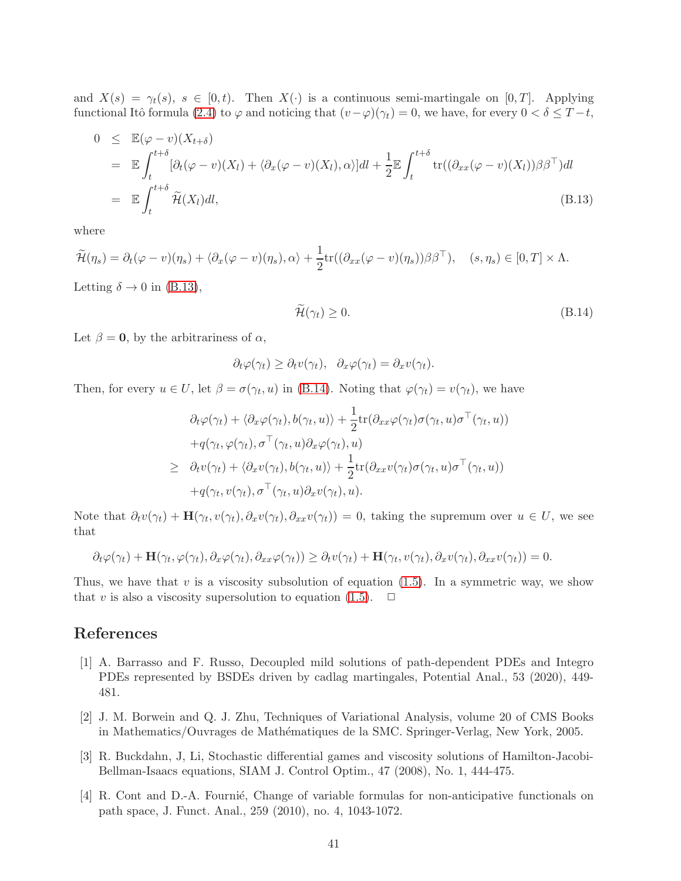and  $X(s) = \gamma_t(s)$ ,  $s \in [0, t)$ . Then  $X(\cdot)$  is a continuous semi-martingale on  $[0, T]$ . Applying functional Itô formula [\(2.4\)](#page-38-0) to  $\varphi$  and noticing that  $(v-\varphi)(\gamma_t) = 0$ , we have, for every  $0 < \delta \leq T-t$ ,

<span id="page-40-4"></span>
$$
0 \leq \mathbb{E}(\varphi - v)(X_{t+\delta})
$$
  
\n
$$
= \mathbb{E} \int_{t}^{t+\delta} [\partial_t(\varphi - v)(X_t) + \langle \partial_x(\varphi - v)(X_t), \alpha \rangle] dt + \frac{1}{2} \mathbb{E} \int_{t}^{t+\delta} \text{tr}((\partial_{xx}(\varphi - v)(X_t))\beta \beta^{\top}) dt
$$
  
\n
$$
= \mathbb{E} \int_{t}^{t+\delta} \widetilde{\mathcal{H}}(X_t) dt,
$$
\n(B.13)

where

$$
\widetilde{\mathcal{H}}(\eta_s) = \partial_t(\varphi - v)(\eta_s) + \langle \partial_x(\varphi - v)(\eta_s), \alpha \rangle + \frac{1}{2} \text{tr}((\partial_{xx}(\varphi - v)(\eta_s))\beta \beta^\top), \quad (s, \eta_s) \in [0, T] \times \Lambda.
$$

Letting  $\delta \rightarrow 0$  in [\(B.13\)](#page-40-4),

<span id="page-40-5"></span>
$$
\widetilde{\mathcal{H}}(\gamma_t) \ge 0. \tag{B.14}
$$

Let  $\beta = 0$ , by the arbitrariness of  $\alpha$ ,

$$
\partial_t \varphi(\gamma_t) \geq \partial_t v(\gamma_t), \quad \partial_x \varphi(\gamma_t) = \partial_x v(\gamma_t).
$$

Then, for every  $u \in U$ , let  $\beta = \sigma(\gamma_t, u)$  in [\(B.14\)](#page-40-5). Noting that  $\varphi(\gamma_t) = v(\gamma_t)$ , we have

$$
\partial_t \varphi(\gamma_t) + \langle \partial_x \varphi(\gamma_t), b(\gamma_t, u) \rangle + \frac{1}{2} \text{tr}(\partial_{xx} \varphi(\gamma_t) \sigma(\gamma_t, u) \sigma^\top(\gamma_t, u)) \n+ q(\gamma_t, \varphi(\gamma_t), \sigma^\top(\gamma_t, u) \partial_x \varphi(\gamma_t), u) \n\geq \partial_t v(\gamma_t) + \langle \partial_x v(\gamma_t), b(\gamma_t, u) \rangle + \frac{1}{2} \text{tr}(\partial_{xx} v(\gamma_t) \sigma(\gamma_t, u) \sigma^\top(\gamma_t, u)) \n+ q(\gamma_t, v(\gamma_t), \sigma^\top(\gamma_t, u) \partial_x v(\gamma_t), u).
$$

Note that  $\partial_t v(\gamma_t) + \mathbf{H}(\gamma_t, v(\gamma_t), \partial_x v(\gamma_t), \partial_{xx} v(\gamma_t)) = 0$ , taking the supremum over  $u \in U$ , we see that

$$
\partial_t \varphi(\gamma_t) + \mathbf{H}(\gamma_t, \varphi(\gamma_t), \partial_x \varphi(\gamma_t), \partial_{xx} \varphi(\gamma_t)) \geq \partial_t v(\gamma_t) + \mathbf{H}(\gamma_t, v(\gamma_t), \partial_x v(\gamma_t), \partial_{xx} v(\gamma_t)) = 0.
$$

Thus, we have that  $v$  is a viscosity subsolution of equation [\(1.5\)](#page-36-1). In a symmetric way, we show that v is also a viscosity supersolution to equation [\(1.5\)](#page-36-1).  $\Box$ 

# <span id="page-40-1"></span>References

- [1] A. Barrasso and F. Russo, Decoupled mild solutions of path-dependent PDEs and Integro PDEs represented by BSDEs driven by cadlag martingales, Potential Anal., 53 (2020), 449- 481.
- <span id="page-40-2"></span>[2] J. M. Borwein and Q. J. Zhu, Techniques of Variational Analysis, volume 20 of CMS Books in Mathematics/Ouvrages de Mathématiques de la SMC. Springer-Verlag, New York, 2005.
- <span id="page-40-3"></span>[3] R. Buckdahn, J, Li, Stochastic differential games and viscosity solutions of Hamilton-Jacobi-Bellman-Isaacs equations, SIAM J. Control Optim., 47 (2008), No. 1, 444-475.
- <span id="page-40-0"></span>[4] R. Cont and D.-A. Fournie, Change of variable formulas for non-anticipative functionals on path space, J. Funct. Anal., 259 (2010), no. 4, 1043-1072.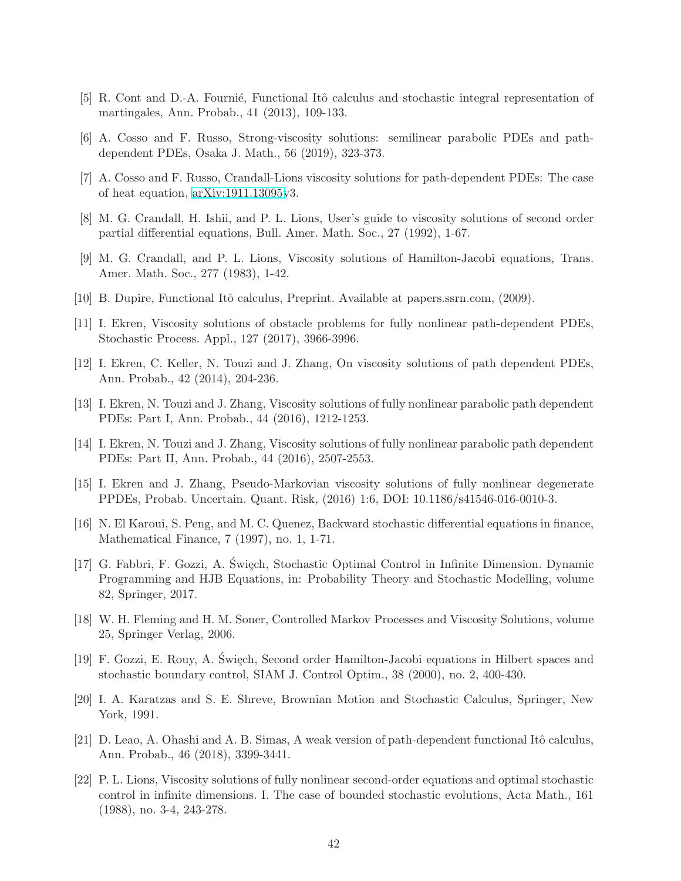- <span id="page-41-12"></span><span id="page-41-7"></span>[5] R. Cont and D.-A. Fournié, Functional Itô calculus and stochastic integral representation of martingales, Ann. Probab., 41 (2013), 109-133.
- <span id="page-41-14"></span>[6] A. Cosso and F. Russo, Strong-viscosity solutions: semilinear parabolic PDEs and pathdependent PDEs, Osaka J. Math., 56 (2019), 323-373.
- <span id="page-41-1"></span>[7] A. Cosso and F. Russo, Crandall-Lions viscosity solutions for path-dependent PDEs: The case of heat equation, [arXiv:1911.13095v](http://arxiv.org/abs/1911.13095)3.
- <span id="page-41-0"></span>[8] M. G. Crandall, H. Ishii, and P. L. Lions, User's guide to viscosity solutions of second order partial differential equations, Bull. Amer. Math. Soc., 27 (1992), 1-67.
- [9] M. G. Crandall, and P. L. Lions, Viscosity solutions of Hamilton-Jacobi equations, Trans. Amer. Math. Soc., 277 (1983), 1-42.
- <span id="page-41-11"></span><span id="page-41-6"></span>[10] B. Dupire, Functional Itô calculus, Preprint. Available at papers.ssrn.com, (2009).
- <span id="page-41-8"></span>[11] I. Ekren, Viscosity solutions of obstacle problems for fully nonlinear path-dependent PDEs, Stochastic Process. Appl., 127 (2017), 3966-3996.
- <span id="page-41-9"></span>[12] I. Ekren, C. Keller, N. Touzi and J. Zhang, On viscosity solutions of path dependent PDEs, Ann. Probab., 42 (2014), 204-236.
- <span id="page-41-10"></span>[13] I. Ekren, N. Touzi and J. Zhang, Viscosity solutions of fully nonlinear parabolic path dependent PDEs: Part I, Ann. Probab., 44 (2016), 1212-1253.
- <span id="page-41-15"></span>[14] I. Ekren, N. Touzi and J. Zhang, Viscosity solutions of fully nonlinear parabolic path dependent PDEs: Part II, Ann. Probab., 44 (2016), 2507-2553.
- <span id="page-41-16"></span>[15] I. Ekren and J. Zhang, Pseudo-Markovian viscosity solutions of fully nonlinear degenerate PPDEs, Probab. Uncertain. Quant. Risk, (2016) 1:6, DOI: 10.1186/s41546-016-0010-3.
- [16] N. El Karoui, S. Peng, and M. C. Quenez, Backward stochastic differential equations in finance, Mathematical Finance, 7 (1997), no. 1, 1-71.
- <span id="page-41-5"></span>[17] G. Fabbri, F. Gozzi, A. Święch, Stochastic Optimal Control in Infinite Dimension. Dynamic Programming and HJB Equations, in: Probability Theory and Stochastic Modelling, volume 82, Springer, 2017.
- <span id="page-41-2"></span>[18] W. H. Fleming and H. M. Soner, Controlled Markov Processes and Viscosity Solutions, volume 25, Springer Verlag, 2006.
- <span id="page-41-3"></span>[19] F. Gozzi, E. Rouy, A. Święch, Second order Hamilton-Jacobi equations in Hilbert spaces and stochastic boundary control, SIAM J. Control Optim., 38 (2000), no. 2, 400-430.
- <span id="page-41-17"></span><span id="page-41-13"></span>[20] I. A. Karatzas and S. E. Shreve, Brownian Motion and Stochastic Calculus, Springer, New York, 1991.
- [21] D. Leao, A. Ohashi and A. B. Simas, A weak version of path-dependent functional Itô calculus, Ann. Probab., 46 (2018), 3399-3441.
- <span id="page-41-4"></span>[22] P. L. Lions, Viscosity solutions of fully nonlinear second-order equations and optimal stochastic control in infinite dimensions. I. The case of bounded stochastic evolutions, Acta Math., 161 (1988), no. 3-4, 243-278.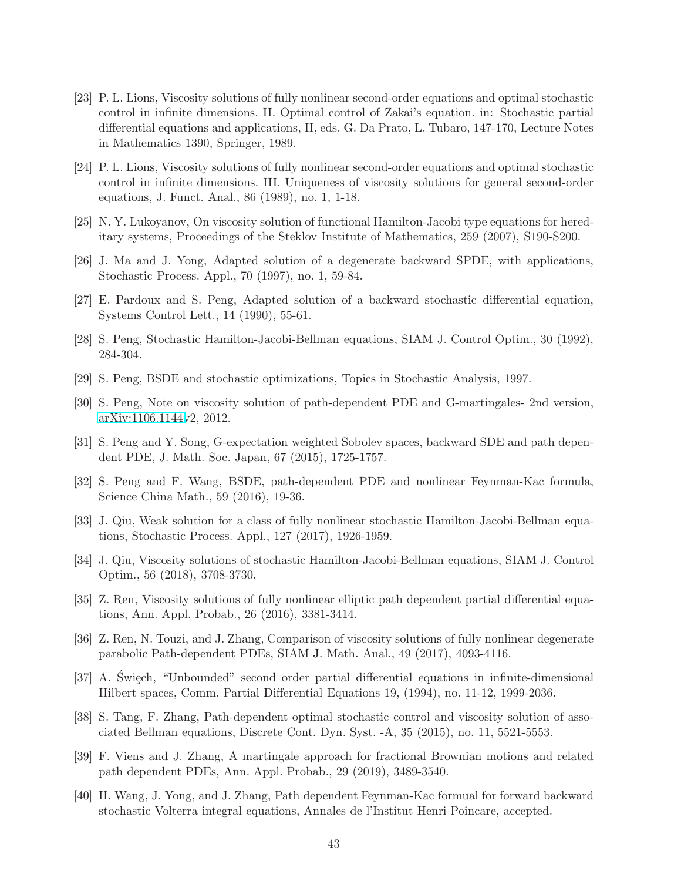- <span id="page-42-0"></span>[23] P. L. Lions, Viscosity solutions of fully nonlinear second-order equations and optimal stochastic control in infinite dimensions. II. Optimal control of Zakai's equation. in: Stochastic partial differential equations and applications, II, eds. G. Da Prato, L. Tubaro, 147-170, Lecture Notes in Mathematics 1390, Springer, 1989.
- <span id="page-42-1"></span>[24] P. L. Lions, Viscosity solutions of fully nonlinear second-order equations and optimal stochastic control in infinite dimensions. III. Uniqueness of viscosity solutions for general second-order equations, J. Funct. Anal., 86 (1989), no. 1, 1-18.
- <span id="page-42-13"></span><span id="page-42-11"></span>[25] N. Y. Lukoyanov, On viscosity solution of functional Hamilton-Jacobi type equations for hereditary systems, Proceedings of the Steklov Institute of Mathematics, 259 (2007), S190-S200.
- <span id="page-42-17"></span>[26] J. Ma and J. Yong, Adapted solution of a degenerate backward SPDE, with applications, Stochastic Process. Appl., 70 (1997), no. 1, 59-84.
- <span id="page-42-12"></span>[27] E. Pardoux and S. Peng, Adapted solution of a backward stochastic differential equation, Systems Control Lett., 14 (1990), 55-61.
- <span id="page-42-16"></span>[28] S. Peng, Stochastic Hamilton-Jacobi-Bellman equations, SIAM J. Control Optim., 30 (1992), 284-304.
- <span id="page-42-3"></span>[29] S. Peng, BSDE and stochastic optimizations, Topics in Stochastic Analysis, 1997.
- <span id="page-42-7"></span>[30] S. Peng, Note on viscosity solution of path-dependent PDE and G-martingales- 2nd version, [arXiv:1106.1144v](http://arxiv.org/abs/1106.1144)2, 2012.
- <span id="page-42-8"></span>[31] S. Peng and Y. Song, G-expectation weighted Sobolev spaces, backward SDE and path dependent PDE, J. Math. Soc. Japan, 67 (2015), 1725-1757.
- [32] S. Peng and F. Wang, BSDE, path-dependent PDE and nonlinear Feynman-Kac formula, Science China Math., 59 (2016), 19-36.
- <span id="page-42-14"></span>[33] J. Qiu, Weak solution for a class of fully nonlinear stochastic Hamilton-Jacobi-Bellman equations, Stochastic Process. Appl., 127 (2017), 1926-1959.
- <span id="page-42-15"></span>[34] J. Qiu, Viscosity solutions of stochastic Hamilton-Jacobi-Bellman equations, SIAM J. Control Optim., 56 (2018), 3708-3730.
- <span id="page-42-5"></span>[35] Z. Ren, Viscosity solutions of fully nonlinear elliptic path dependent partial differential equations, Ann. Appl. Probab., 26 (2016), 3381-3414.
- <span id="page-42-6"></span>[36] Z. Ren, N. Touzi, and J. Zhang, Comparison of viscosity solutions of fully nonlinear degenerate parabolic Path-dependent PDEs, SIAM J. Math. Anal., 49 (2017), 4093-4116.
- <span id="page-42-2"></span>[37] A. Swiech, "Unbounded" second order partial differential equations in infinite-dimensional Hilbert spaces, Comm. Partial Differential Equations 19, (1994), no. 11-12, 1999-2036.
- <span id="page-42-4"></span>[38] S. Tang, F. Zhang, Path-dependent optimal stochastic control and viscosity solution of associated Bellman equations, Discrete Cont. Dyn. Syst. -A, 35 (2015), no. 11, 5521-5553.
- <span id="page-42-9"></span>[39] F. Viens and J. Zhang, A martingale approach for fractional Brownian motions and related path dependent PDEs, Ann. Appl. Probab., 29 (2019), 3489-3540.
- <span id="page-42-10"></span>[40] H. Wang, J. Yong, and J. Zhang, Path dependent Feynman-Kac formual for forward backward stochastic Volterra integral equations, Annales de l'Institut Henri Poincare, accepted.